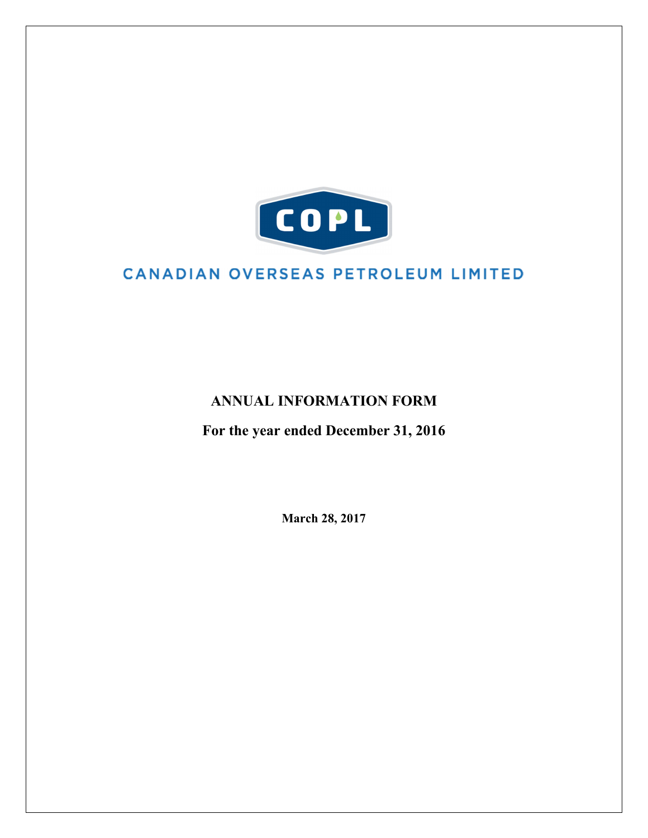

# CANADIAN OVERSEAS PETROLEUM LIMITED

# **ANNUAL INFORMATION FORM**

**For the year ended December 31, 2016**

**March 28, 2017**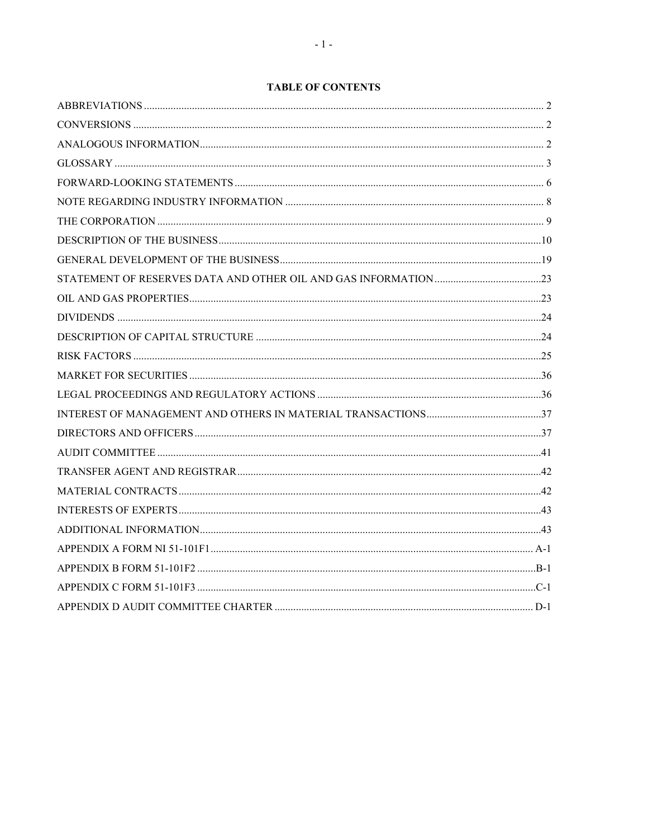# **TABLE OF CONTENTS**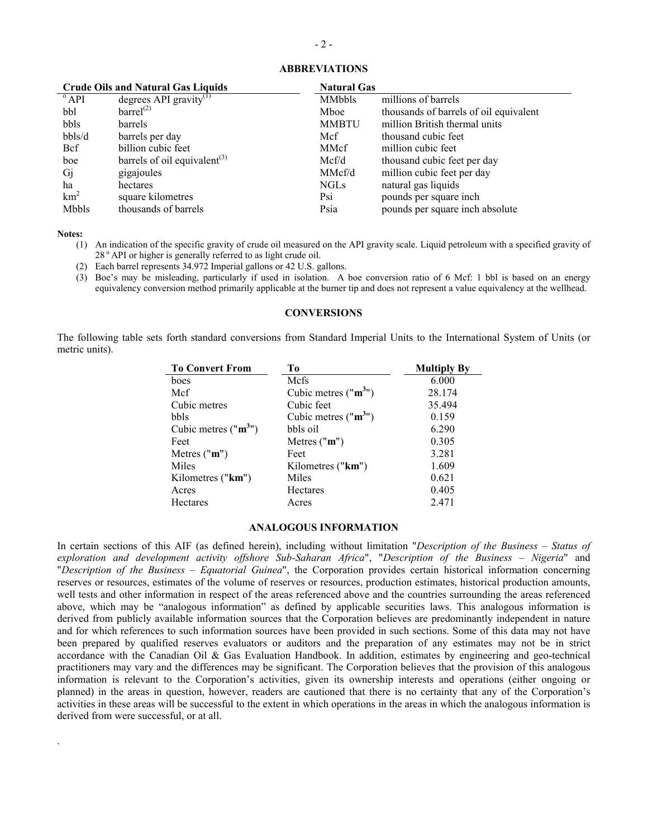| <b>Crude Oils and Natural Gas Liquids</b> |                                          | <b>Natural Gas</b> |                                        |  |
|-------------------------------------------|------------------------------------------|--------------------|----------------------------------------|--|
| $^{\circ}$ API                            | degrees API gravity <sup>(1)</sup>       | <b>MMbbls</b>      | millions of barrels                    |  |
| bbl                                       | barrel <sup>(2)</sup>                    | Mboe               | thousands of barrels of oil equivalent |  |
| bbls                                      | barrels                                  | <b>MMBTU</b>       | million British thermal units          |  |
| bbls/d                                    | barrels per day                          | Mcf                | thousand cubic feet                    |  |
| <b>Bcf</b>                                | billion cubic feet                       | MMcf               | million cubic feet                     |  |
| boe                                       | barrels of oil equivalent <sup>(3)</sup> | Mcf/d              | thousand cubic feet per day            |  |
| Gj                                        | gigajoules                               | MMcf/d             | million cubic feet per day             |  |
| ha                                        | hectares                                 | <b>NGLs</b>        | natural gas liquids                    |  |
| km <sup>2</sup>                           | square kilometres                        | Psi                | pounds per square inch.                |  |
| <b>Mbbls</b>                              | thousands of barrels                     | Psia               | pounds per square inch absolute        |  |

### <span id="page-2-0"></span>**ABBREVIATIONS**

**Notes:**

.

- (1) An indication of the specific gravity of crude oil measured on the API gravity scale. Liquid petroleum with a specified gravity of 28<sup>°</sup> API or higher is generally referred to as light crude oil.
- (2) Each barrel represents 34.972 Imperial gallons or 42 U.S. gallons.
- (3) Boe's may be misleading, particularly if used in isolation. A boe conversion ratio of 6 Mcf: 1 bbl is based on an energy equivalency conversion method primarily applicable at the burner tip and does not represent a value equivalency at the wellhead.

#### <span id="page-2-1"></span>**CONVERSIONS**

The following table sets forth standard conversions from Standard Imperial Units to the International System of Units (or metric units).

| <b>To Convert From</b> | Tо                   | <b>Multiply By</b> |
|------------------------|----------------------|--------------------|
| boes                   | Mcfs                 | 6.000              |
| Mcf                    | Cubic metres $("m3)$ | 28.174             |
| Cubic metres           | Cubic feet           | 35.494             |
| bbls                   | Cubic metres $("m3)$ | 0.159              |
| Cubic metres $("m3)$   | bbls oil             | 6.290              |
| Feet                   | Metres $("m")$       | 0.305              |
| Metres $("m")$         | Feet                 | 3.281              |
| Miles                  | Kilometres ("km")    | 1.609              |
| Kilometres ("km")      | Miles                | 0.621              |
| Acres                  | Hectares             | 0.405              |
| <b>Hectares</b>        | Acres                | 2.471              |

#### <span id="page-2-2"></span>**ANALOGOUS INFORMATION**

In certain sections of this AIF (as defined herein), including without limitation "*Description of the Business – Status of exploration and development activity offshore Sub-Saharan Africa*", "*Description of the Business – Nigeria*" and "*Description of the Business – Equatorial Guinea*", the Corporation provides certain historical information concerning reserves or resources, estimates of the volume of reserves or resources, production estimates, historical production amounts, well tests and other information in respect of the areas referenced above and the countries surrounding the areas referenced above, which may be "analogous information" as defined by applicable securities laws. This analogous information is derived from publicly available information sources that the Corporation believes are predominantly independent in nature and for which references to such information sources have been provided in such sections. Some of this data may not have been prepared by qualified reserves evaluators or auditors and the preparation of any estimates may not be in strict accordance with the Canadian Oil & Gas Evaluation Handbook. In addition, estimates by engineering and geo-technical practitioners may vary and the differences may be significant. The Corporation believes that the provision of this analogous information is relevant to the Corporation's activities, given its ownership interests and operations (either ongoing or planned) in the areas in question, however, readers are cautioned that there is no certainty that any of the Corporation's activities in these areas will be successful to the extent in which operations in the areas in which the analogous information is derived from were successful, or at all.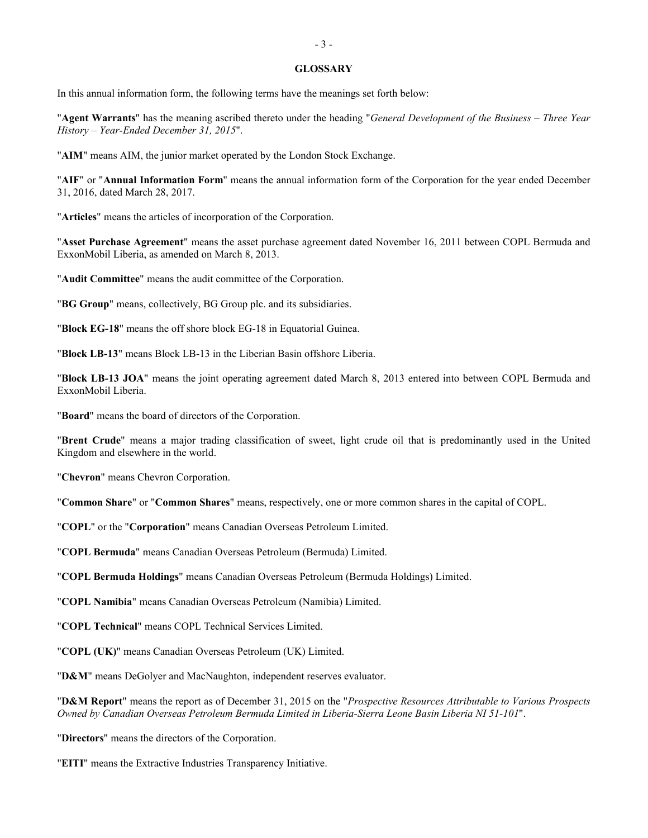#### <span id="page-3-0"></span>**GLOSSARY**

In this annual information form, the following terms have the meanings set forth below:

"**Agent Warrants**" has the meaning ascribed thereto under the heading "*General Development of the Business – Three Year History – Year-Ended December 31, 2015*".

"**AIM**" means AIM, the junior market operated by the London Stock Exchange.

"**AIF**" or "**Annual Information Form**" means the annual information form of the Corporation for the year ended December 31, 2016, dated March 28, 2017.

"**Articles**" means the articles of incorporation of the Corporation.

"**Asset Purchase Agreement**" means the asset purchase agreement dated November 16, 2011 between COPL Bermuda and ExxonMobil Liberia, as amended on March 8, 2013.

"**Audit Committee**" means the audit committee of the Corporation.

"**BG Group**" means, collectively, BG Group plc. and its subsidiaries.

"**Block EG-18**" means the off shore block EG-18 in Equatorial Guinea.

"**Block LB-13**" means Block LB-13 in the Liberian Basin offshore Liberia.

"**Block LB-13 JOA**" means the joint operating agreement dated March 8, 2013 entered into between COPL Bermuda and ExxonMobil Liberia.

"**Board**" means the board of directors of the Corporation.

"**Brent Crude**" means a major trading classification of sweet, light crude oil that is predominantly used in the United Kingdom and elsewhere in the world.

"**Chevron**" means Chevron Corporation.

"**Common Share**" or "**Common Shares**" means, respectively, one or more common shares in the capital of COPL.

"**COPL**" or the "**Corporation**" means Canadian Overseas Petroleum Limited.

"**COPL Bermuda**" means Canadian Overseas Petroleum (Bermuda) Limited.

"**COPL Bermuda Holdings**" means Canadian Overseas Petroleum (Bermuda Holdings) Limited.

"**COPL Namibia**" means Canadian Overseas Petroleum (Namibia) Limited.

"**COPL Technical**" means COPL Technical Services Limited.

"**COPL (UK)**" means Canadian Overseas Petroleum (UK) Limited.

"**D&M**" means DeGolyer and MacNaughton, independent reserves evaluator.

"**D&M Report**" means the report as of December 31, 2015 on the "*Prospective Resources Attributable to Various Prospects Owned by Canadian Overseas Petroleum Bermuda Limited in Liberia-Sierra Leone Basin Liberia NI 51-101*".

"**Directors**" means the directors of the Corporation.

"**EITI**" means the Extractive Industries Transparency Initiative.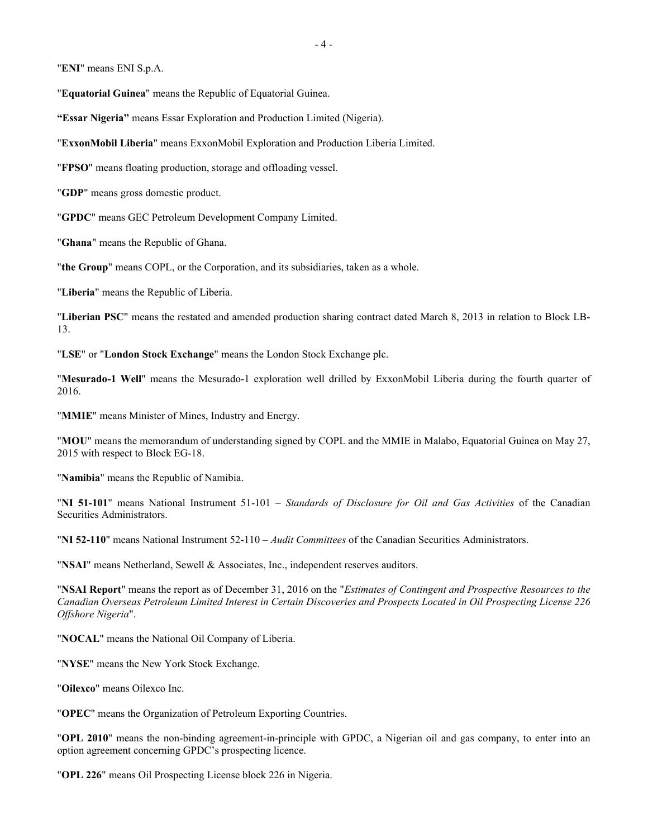"**ENI**" means ENI S.p.A.

"**Equatorial Guinea**" means the Republic of Equatorial Guinea.

**"Essar Nigeria"** means Essar Exploration and Production Limited (Nigeria).

"**ExxonMobil Liberia**" means ExxonMobil Exploration and Production Liberia Limited.

"**FPSO**" means floating production, storage and offloading vessel.

"**GDP**" means gross domestic product.

"**GPDC**" means GEC Petroleum Development Company Limited.

"**Ghana**" means the Republic of Ghana.

"**the Group**" means COPL, or the Corporation, and its subsidiaries, taken as a whole.

"**Liberia**" means the Republic of Liberia.

"**Liberian PSC**" means the restated and amended production sharing contract dated March 8, 2013 in relation to Block LB-13.

"**LSE**" or "**London Stock Exchange**" means the London Stock Exchange plc.

"**Mesurado-1 Well**" means the Mesurado-1 exploration well drilled by ExxonMobil Liberia during the fourth quarter of 2016.

"**MMIE**" means Minister of Mines, Industry and Energy.

"**MOU**" means the memorandum of understanding signed by COPL and the MMIE in Malabo, Equatorial Guinea on May 27, 2015 with respect to Block EG-18.

"**Namibia**" means the Republic of Namibia.

"**NI 51-101**" means National Instrument 51-101 – *Standards of Disclosure for Oil and Gas Activities* of the Canadian Securities Administrators.

"**NI 52-110**" means National Instrument 52-110 – *Audit Committees* of the Canadian Securities Administrators.

"**NSAI**" means Netherland, Sewell & Associates, Inc., independent reserves auditors.

"**NSAI Report**" means the report as of December 31, 2016 on the "*Estimates of Contingent and Prospective Resources to the Canadian Overseas Petroleum Limited Interest in Certain Discoveries and Prospects Located in Oil Prospecting License 226 Offshore Nigeria*".

"**NOCAL**" means the National Oil Company of Liberia.

"**NYSE**" means the New York Stock Exchange.

"**Oilexco**" means Oilexco Inc.

"**OPEC**" means the Organization of Petroleum Exporting Countries.

"**OPL 2010**" means the non-binding agreement-in-principle with GPDC, a Nigerian oil and gas company, to enter into an option agreement concerning GPDC's prospecting licence.

"**OPL 226**" means Oil Prospecting License block 226 in Nigeria.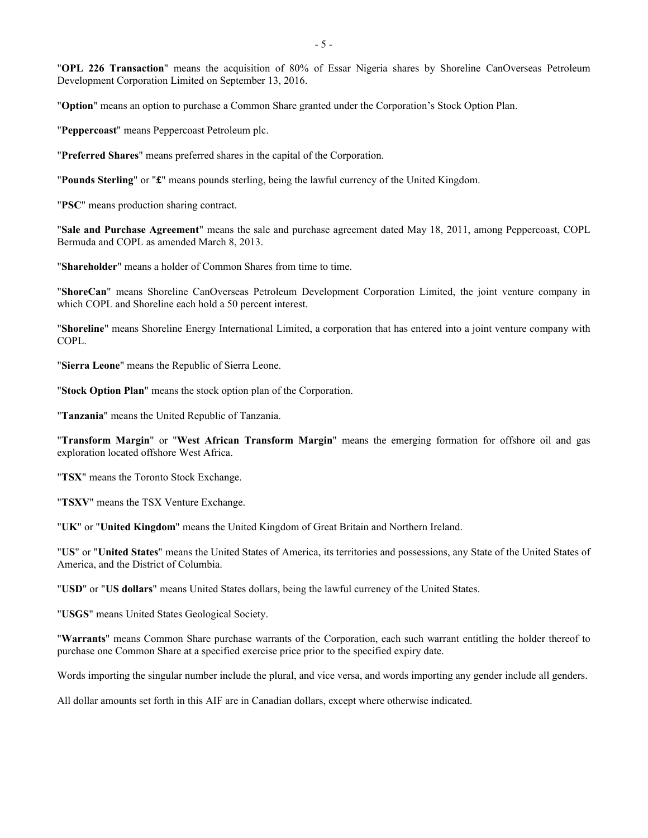"**OPL 226 Transaction**" means the acquisition of 80% of Essar Nigeria shares by Shoreline CanOverseas Petroleum Development Corporation Limited on September 13, 2016.

"**Option**" means an option to purchase a Common Share granted under the Corporation's Stock Option Plan.

"**Peppercoast**" means Peppercoast Petroleum plc.

"**Preferred Shares**" means preferred shares in the capital of the Corporation.

"**Pounds Sterling**" or "**£**" means pounds sterling, being the lawful currency of the United Kingdom.

"**PSC**" means production sharing contract.

"**Sale and Purchase Agreement**" means the sale and purchase agreement dated May 18, 2011, among Peppercoast, COPL Bermuda and COPL as amended March 8, 2013.

"**Shareholder**" means a holder of Common Shares from time to time.

"**ShoreCan**" means Shoreline CanOverseas Petroleum Development Corporation Limited, the joint venture company in which COPL and Shoreline each hold a 50 percent interest.

"**Shoreline**" means Shoreline Energy International Limited, a corporation that has entered into a joint venture company with COPL.

"**Sierra Leone**" means the Republic of Sierra Leone.

"**Stock Option Plan**" means the stock option plan of the Corporation.

"**Tanzania**" means the United Republic of Tanzania.

"**Transform Margin**" or "**West African Transform Margin**" means the emerging formation for offshore oil and gas exploration located offshore West Africa.

"**TSX**" means the Toronto Stock Exchange.

"**TSXV**" means the TSX Venture Exchange.

"**UK**" or "**United Kingdom**" means the United Kingdom of Great Britain and Northern Ireland.

"**US**" or "**United States**" means the United States of America, its territories and possessions, any State of the United States of America, and the District of Columbia.

"**USD**" or "**US dollars**" means United States dollars, being the lawful currency of the United States.

"**USGS**" means United States Geological Society.

"**Warrants**" means Common Share purchase warrants of the Corporation, each such warrant entitling the holder thereof to purchase one Common Share at a specified exercise price prior to the specified expiry date.

Words importing the singular number include the plural, and vice versa, and words importing any gender include all genders.

All dollar amounts set forth in this AIF are in Canadian dollars, except where otherwise indicated.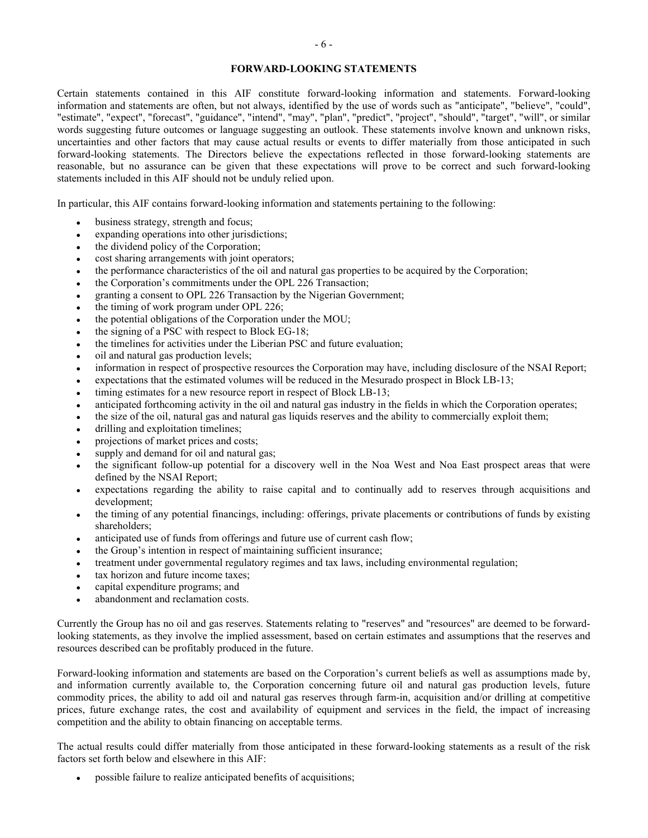### <span id="page-6-0"></span>**FORWARD-LOOKING STATEMENTS**

Certain statements contained in this AIF constitute forward-looking information and statements. Forward-looking information and statements are often, but not always, identified by the use of words such as "anticipate", "believe", "could", "estimate", "expect", "forecast", "guidance", "intend", "may", "plan", "predict", "project", "should", "target", "will", or similar words suggesting future outcomes or language suggesting an outlook. These statements involve known and unknown risks, uncertainties and other factors that may cause actual results or events to differ materially from those anticipated in such forward-looking statements. The Directors believe the expectations reflected in those forward-looking statements are reasonable, but no assurance can be given that these expectations will prove to be correct and such forward-looking statements included in this AIF should not be unduly relied upon.

In particular, this AIF contains forward-looking information and statements pertaining to the following:

- business strategy, strength and focus;
- $expanding operations into other justifications;$
- the dividend policy of the Corporation;
- cost sharing arrangements with joint operators;
- the performance characteristics of the oil and natural gas properties to be acquired by the Corporation;
- the Corporation's commitments under the OPL 226 Transaction;
- granting a consent to OPL 226 Transaction by the Nigerian Government;
- the timing of work program under OPL 226;
- the potential obligations of the Corporation under the MOU;
- the signing of a PSC with respect to Block EG-18;
- the timelines for activities under the Liberian PSC and future evaluation;
- oil and natural gas production levels;
- information in respect of prospective resources the Corporation may have, including disclosure of the NSAI Report;
- expectations that the estimated volumes will be reduced in the Mesurado prospect in Block LB-13;
- timing estimates for a new resource report in respect of Block LB-13;
- anticipated forthcoming activity in the oil and natural gas industry in the fields in which the Corporation operates;
- the size of the oil, natural gas and natural gas liquids reserves and the ability to commercially exploit them;
- drilling and exploitation timelines;
- projections of market prices and costs;
- supply and demand for oil and natural gas;
- the significant follow-up potential for a discovery well in the Noa West and Noa East prospect areas that were defined by the NSAI Report;
- expectations regarding the ability to raise capital and to continually add to reserves through acquisitions and development;
- the timing of any potential financings, including: offerings, private placements or contributions of funds by existing shareholders;
- anticipated use of funds from offerings and future use of current cash flow;
- the Group's intention in respect of maintaining sufficient insurance;
- treatment under governmental regulatory regimes and tax laws, including environmental regulation;
- tax horizon and future income taxes;
- capital expenditure programs; and
- abandonment and reclamation costs.

Currently the Group has no oil and gas reserves. Statements relating to "reserves" and "resources" are deemed to be forwardlooking statements, as they involve the implied assessment, based on certain estimates and assumptions that the reserves and resources described can be profitably produced in the future.

Forward-looking information and statements are based on the Corporation's current beliefs as well as assumptions made by, and information currently available to, the Corporation concerning future oil and natural gas production levels, future commodity prices, the ability to add oil and natural gas reserves through farm-in, acquisition and/or drilling at competitive prices, future exchange rates, the cost and availability of equipment and services in the field, the impact of increasing competition and the ability to obtain financing on acceptable terms.

The actual results could differ materially from those anticipated in these forward-looking statements as a result of the risk factors set forth below and elsewhere in this AIF:

possible failure to realize anticipated benefits of acquisitions;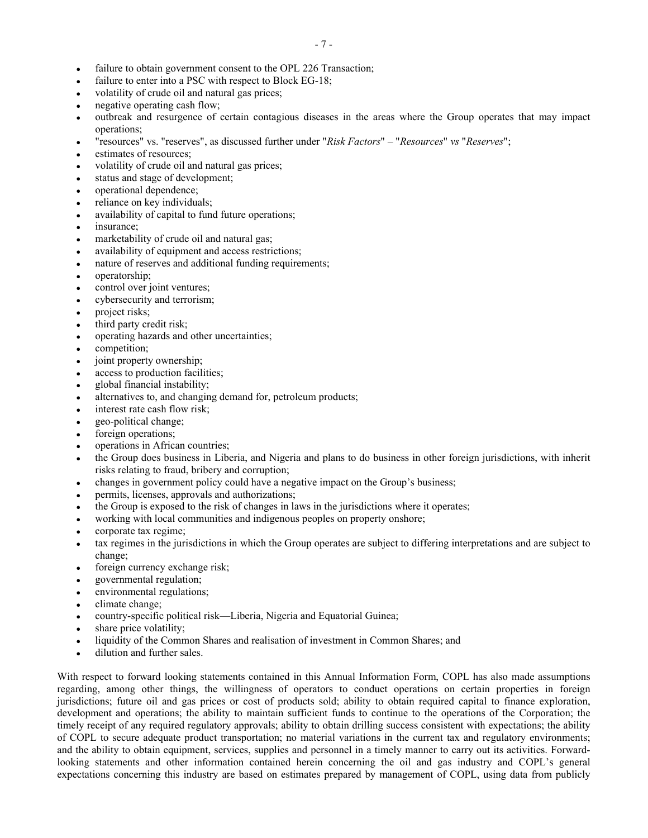- failure to obtain government consent to the OPL 226 Transaction;
- failure to enter into a PSC with respect to Block EG-18;
- volatility of crude oil and natural gas prices;
- negative operating cash flow;
- outbreak and resurgence of certain contagious diseases in the areas where the Group operates that may impact operations;
- "resources" vs. "reserves", as discussed further under "*Risk Factors*" "*Resources*" *vs* "*Reserves*";
- estimates of resources:
- volatility of crude oil and natural gas prices;
- status and stage of development;
- operational dependence;
- reliance on key individuals;
- availability of capital to fund future operations;
- insurance:
- marketability of crude oil and natural gas;
- availability of equipment and access restrictions;
- nature of reserves and additional funding requirements;
- operatorship;
- control over joint ventures;
- cybersecurity and terrorism;
- project risks;
- third party credit risk;
- operating hazards and other uncertainties;
- competition;
- joint property ownership;
- access to production facilities;
- global financial instability;
- alternatives to, and changing demand for, petroleum products;
- interest rate cash flow risk;
- geo-political change;
- foreign operations;
- operations in African countries;
- the Group does business in Liberia, and Nigeria and plans to do business in other foreign jurisdictions, with inherit risks relating to fraud, bribery and corruption;
- changes in government policy could have a negative impact on the Group's business;
- permits, licenses, approvals and authorizations;
- the Group is exposed to the risk of changes in laws in the jurisdictions where it operates;
- working with local communities and indigenous peoples on property onshore;
- corporate tax regime;
- tax regimes in the jurisdictions in which the Group operates are subject to differing interpretations and are subject to change;
- foreign currency exchange risk;
- governmental regulation;
- environmental regulations;
- climate change;
- country-specific political risk—Liberia, Nigeria and Equatorial Guinea;
- share price volatility;
- liquidity of the Common Shares and realisation of investment in Common Shares; and
- dilution and further sales.

With respect to forward looking statements contained in this Annual Information Form, COPL has also made assumptions regarding, among other things, the willingness of operators to conduct operations on certain properties in foreign jurisdictions; future oil and gas prices or cost of products sold; ability to obtain required capital to finance exploration, development and operations; the ability to maintain sufficient funds to continue to the operations of the Corporation; the timely receipt of any required regulatory approvals; ability to obtain drilling success consistent with expectations; the ability of COPL to secure adequate product transportation; no material variations in the current tax and regulatory environments; and the ability to obtain equipment, services, supplies and personnel in a timely manner to carry out its activities. Forwardlooking statements and other information contained herein concerning the oil and gas industry and COPL's general expectations concerning this industry are based on estimates prepared by management of COPL, using data from publicly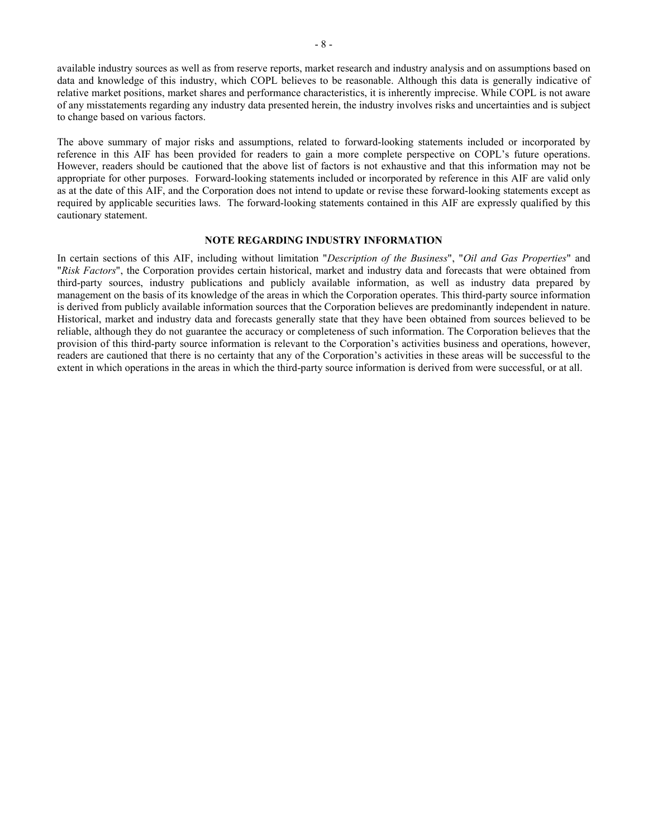available industry sources as well as from reserve reports, market research and industry analysis and on assumptions based on data and knowledge of this industry, which COPL believes to be reasonable. Although this data is generally indicative of relative market positions, market shares and performance characteristics, it is inherently imprecise. While COPL is not aware of any misstatements regarding any industry data presented herein, the industry involves risks and uncertainties and is subject to change based on various factors.

The above summary of major risks and assumptions, related to forward-looking statements included or incorporated by reference in this AIF has been provided for readers to gain a more complete perspective on COPL's future operations. However, readers should be cautioned that the above list of factors is not exhaustive and that this information may not be appropriate for other purposes. Forward-looking statements included or incorporated by reference in this AIF are valid only as at the date of this AIF, and the Corporation does not intend to update or revise these forward-looking statements except as required by applicable securities laws. The forward-looking statements contained in this AIF are expressly qualified by this cautionary statement.

### <span id="page-8-0"></span>**NOTE REGARDING INDUSTRY INFORMATION**

In certain sections of this AIF, including without limitation "*Description of the Business*", "*Oil and Gas Properties*" and "*Risk Factors*", the Corporation provides certain historical, market and industry data and forecasts that were obtained from third-party sources, industry publications and publicly available information, as well as industry data prepared by management on the basis of its knowledge of the areas in which the Corporation operates. This third-party source information is derived from publicly available information sources that the Corporation believes are predominantly independent in nature. Historical, market and industry data and forecasts generally state that they have been obtained from sources believed to be reliable, although they do not guarantee the accuracy or completeness of such information. The Corporation believes that the provision of this third-party source information is relevant to the Corporation's activities business and operations, however, readers are cautioned that there is no certainty that any of the Corporation's activities in these areas will be successful to the extent in which operations in the areas in which the third-party source information is derived from were successful, or at all.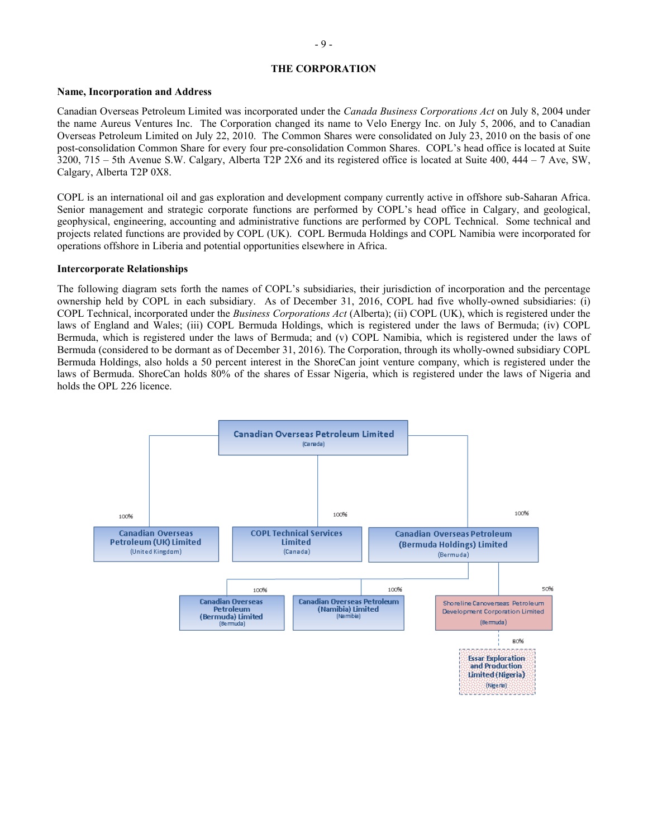### <span id="page-9-0"></span>**THE CORPORATION**

#### **Name, Incorporation and Address**

Canadian Overseas Petroleum Limited was incorporated under the *Canada Business Corporations Act* on July 8, 2004 under the name Aureus Ventures Inc. The Corporation changed its name to Velo Energy Inc. on July 5, 2006, and to Canadian Overseas Petroleum Limited on July 22, 2010. The Common Shares were consolidated on July 23, 2010 on the basis of one post-consolidation Common Share for every four pre-consolidation Common Shares. COPL's head office is located at Suite 3200, 715 – 5th Avenue S.W. Calgary, Alberta T2P 2X6 and its registered office is located at Suite 400, 444 – 7 Ave, SW, Calgary, Alberta T2P 0X8.

COPL is an international oil and gas exploration and development company currently active in offshore sub-Saharan Africa. Senior management and strategic corporate functions are performed by COPL's head office in Calgary, and geological, geophysical, engineering, accounting and administrative functions are performed by COPL Technical. Some technical and projects related functions are provided by COPL (UK). COPL Bermuda Holdings and COPL Namibia were incorporated for operations offshore in Liberia and potential opportunities elsewhere in Africa.

#### **Intercorporate Relationships**

The following diagram sets forth the names of COPL's subsidiaries, their jurisdiction of incorporation and the percentage ownership held by COPL in each subsidiary. As of December 31, 2016, COPL had five wholly-owned subsidiaries: (i) COPL Technical, incorporated under the *Business Corporations Act* (Alberta); (ii) COPL (UK), which is registered under the laws of England and Wales; (iii) COPL Bermuda Holdings, which is registered under the laws of Bermuda; (iv) COPL Bermuda, which is registered under the laws of Bermuda; and (v) COPL Namibia, which is registered under the laws of Bermuda (considered to be dormant as of December 31, 2016). The Corporation, through its wholly-owned subsidiary COPL Bermuda Holdings, also holds a 50 percent interest in the ShoreCan joint venture company, which is registered under the laws of Bermuda. ShoreCan holds 80% of the shares of Essar Nigeria, which is registered under the laws of Nigeria and holds the OPL 226 licence.

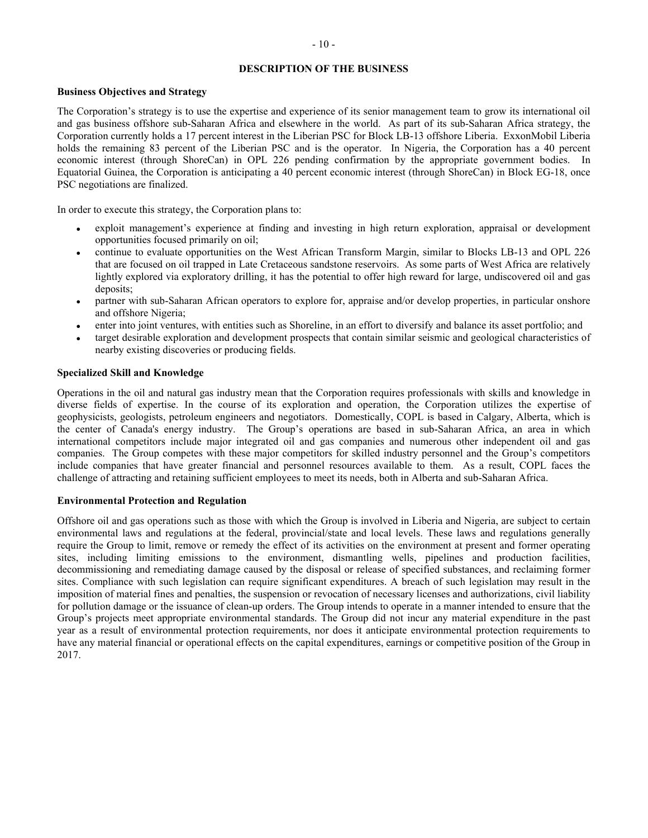### <span id="page-10-0"></span>**DESCRIPTION OF THE BUSINESS**

### **Business Objectives and Strategy**

The Corporation's strategy is to use the expertise and experience of its senior management team to grow its international oil and gas business offshore sub-Saharan Africa and elsewhere in the world. As part of its sub-Saharan Africa strategy, the Corporation currently holds a 17 percent interest in the Liberian PSC for Block LB-13 offshore Liberia. ExxonMobil Liberia holds the remaining 83 percent of the Liberian PSC and is the operator. In Nigeria, the Corporation has a 40 percent economic interest (through ShoreCan) in OPL 226 pending confirmation by the appropriate government bodies. In Equatorial Guinea, the Corporation is anticipating a 40 percent economic interest (through ShoreCan) in Block EG-18, once PSC negotiations are finalized.

In order to execute this strategy, the Corporation plans to:

- exploit management's experience at finding and investing in high return exploration, appraisal or development opportunities focused primarily on oil;
- continue to evaluate opportunities on the West African Transform Margin, similar to Blocks LB-13 and OPL 226 that are focused on oil trapped in Late Cretaceous sandstone reservoirs. As some parts of West Africa are relatively lightly explored via exploratory drilling, it has the potential to offer high reward for large, undiscovered oil and gas deposits;
- partner with sub-Saharan African operators to explore for, appraise and/or develop properties, in particular onshore and offshore Nigeria;
- enter into joint ventures, with entities such as Shoreline, in an effort to diversify and balance its asset portfolio; and
- target desirable exploration and development prospects that contain similar seismic and geological characteristics of nearby existing discoveries or producing fields.

### **Specialized Skill and Knowledge**

Operations in the oil and natural gas industry mean that the Corporation requires professionals with skills and knowledge in diverse fields of expertise. In the course of its exploration and operation, the Corporation utilizes the expertise of geophysicists, geologists, petroleum engineers and negotiators. Domestically, COPL is based in Calgary, Alberta, which is the center of Canada's energy industry. The Group's operations are based in sub-Saharan Africa, an area in which international competitors include major integrated oil and gas companies and numerous other independent oil and gas companies. The Group competes with these major competitors for skilled industry personnel and the Group's competitors include companies that have greater financial and personnel resources available to them. As a result, COPL faces the challenge of attracting and retaining sufficient employees to meet its needs, both in Alberta and sub-Saharan Africa.

### **Environmental Protection and Regulation**

Offshore oil and gas operations such as those with which the Group is involved in Liberia and Nigeria, are subject to certain environmental laws and regulations at the federal, provincial/state and local levels. These laws and regulations generally require the Group to limit, remove or remedy the effect of its activities on the environment at present and former operating sites, including limiting emissions to the environment, dismantling wells, pipelines and production facilities, decommissioning and remediating damage caused by the disposal or release of specified substances, and reclaiming former sites. Compliance with such legislation can require significant expenditures. A breach of such legislation may result in the imposition of material fines and penalties, the suspension or revocation of necessary licenses and authorizations, civil liability for pollution damage or the issuance of clean-up orders. The Group intends to operate in a manner intended to ensure that the Group's projects meet appropriate environmental standards. The Group did not incur any material expenditure in the past year as a result of environmental protection requirements, nor does it anticipate environmental protection requirements to have any material financial or operational effects on the capital expenditures, earnings or competitive position of the Group in 2017.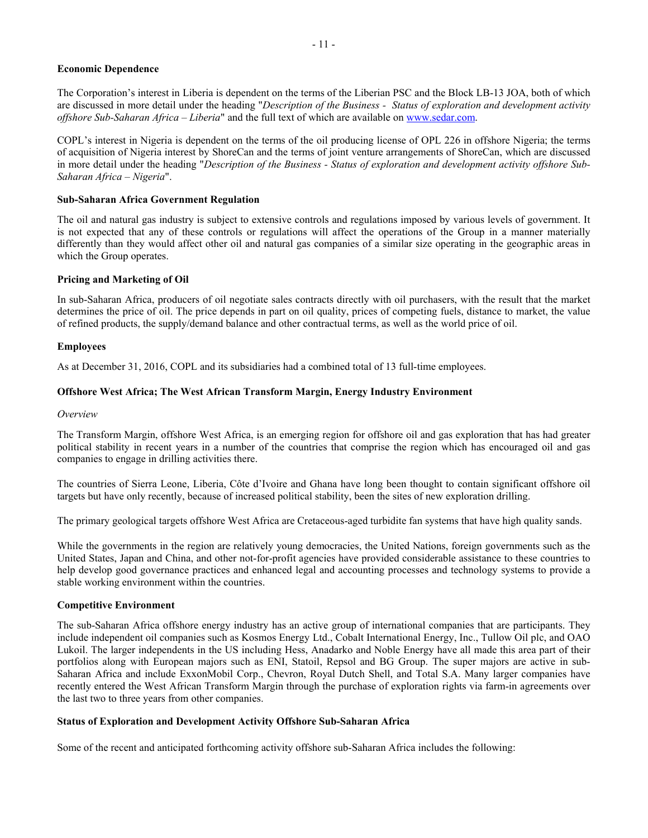### **Economic Dependence**

The Corporation's interest in Liberia is dependent on the terms of the Liberian PSC and the Block LB-13 JOA, both of which are discussed in more detail under the heading "*Description of the Business - Status of exploration and development activity offshore Sub-Saharan Africa – Liberia*" and the full text of which are available on [www.sedar.com.](http://www.sedar.com/)

COPL's interest in Nigeria is dependent on the terms of the oil producing license of OPL 226 in offshore Nigeria; the terms of acquisition of Nigeria interest by ShoreCan and the terms of joint venture arrangements of ShoreCan, which are discussed in more detail under the heading "*Description of the Business - Status of exploration and development activity offshore Sub-Saharan Africa – Nigeria*".

### **Sub-Saharan Africa Government Regulation**

The oil and natural gas industry is subject to extensive controls and regulations imposed by various levels of government. It is not expected that any of these controls or regulations will affect the operations of the Group in a manner materially differently than they would affect other oil and natural gas companies of a similar size operating in the geographic areas in which the Group operates.

### **Pricing and Marketing of Oil**

In sub-Saharan Africa, producers of oil negotiate sales contracts directly with oil purchasers, with the result that the market determines the price of oil. The price depends in part on oil quality, prices of competing fuels, distance to market, the value of refined products, the supply/demand balance and other contractual terms, as well as the world price of oil.

#### **Employees**

As at December 31, 2016, COPL and its subsidiaries had a combined total of 13 full-time employees.

### **Offshore West Africa; The West African Transform Margin, Energy Industry Environment**

#### *Overview*

The Transform Margin, offshore West Africa, is an emerging region for offshore oil and gas exploration that has had greater political stability in recent years in a number of the countries that comprise the region which has encouraged oil and gas companies to engage in drilling activities there.

The countries of Sierra Leone, Liberia, Côte d'Ivoire and Ghana have long been thought to contain significant offshore oil targets but have only recently, because of increased political stability, been the sites of new exploration drilling.

The primary geological targets offshore West Africa are Cretaceous-aged turbidite fan systems that have high quality sands.

While the governments in the region are relatively young democracies, the United Nations, foreign governments such as the United States, Japan and China, and other not-for-profit agencies have provided considerable assistance to these countries to help develop good governance practices and enhanced legal and accounting processes and technology systems to provide a stable working environment within the countries.

### **Competitive Environment**

The sub-Saharan Africa offshore energy industry has an active group of international companies that are participants. They include independent oil companies such as Kosmos Energy Ltd., Cobalt International Energy, Inc., Tullow Oil plc, and OAO Lukoil. The larger independents in the US including Hess, Anadarko and Noble Energy have all made this area part of their portfolios along with European majors such as ENI, Statoil, Repsol and BG Group. The super majors are active in sub-Saharan Africa and include ExxonMobil Corp., Chevron, Royal Dutch Shell, and Total S.A. Many larger companies have recently entered the West African Transform Margin through the purchase of exploration rights via farm-in agreements over the last two to three years from other companies.

#### **Status of Exploration and Development Activity Offshore Sub-Saharan Africa**

Some of the recent and anticipated forthcoming activity offshore sub-Saharan Africa includes the following: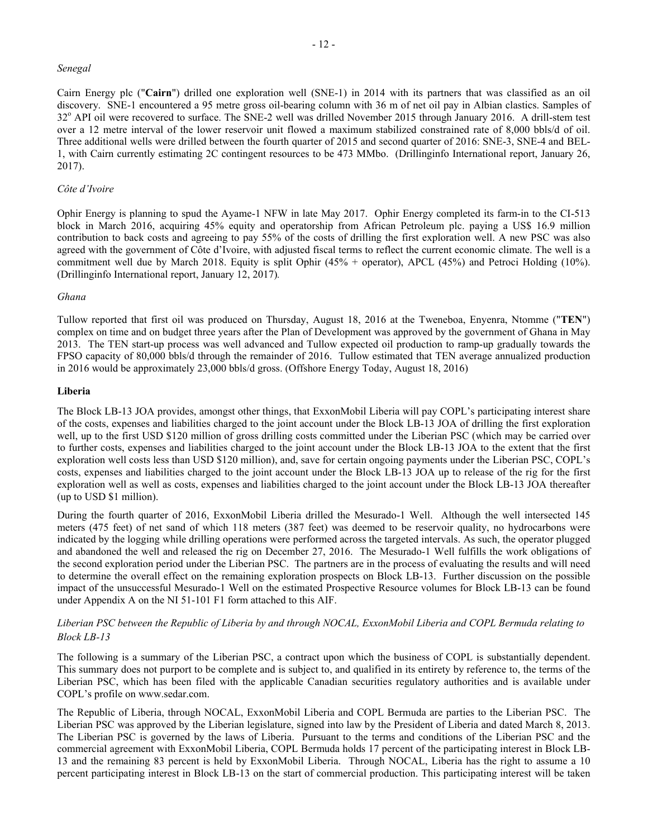### *Senegal*

Cairn Energy plc ("**Cairn**") drilled one exploration well (SNE-1) in 2014 with its partners that was classified as an oil discovery. SNE-1 encountered a 95 metre gross oil-bearing column with 36 m of net oil pay in Albian clastics. Samples of 32<sup>o</sup> API oil were recovered to surface. The SNE-2 well was drilled November 2015 through January 2016. A drill-stem test over a 12 metre interval of the lower reservoir unit flowed a maximum stabilized constrained rate of 8,000 bbls/d of oil. Three additional wells were drilled between the fourth quarter of 2015 and second quarter of 2016: SNE-3, SNE-4 and BEL-1, with Cairn currently estimating 2C contingent resources to be 473 MMbo. (Drillinginfo International report, January 26, 2017).

### *Côte d'Ivoire*

Ophir Energy is planning to spud the Ayame-1 NFW in late May 2017. Ophir Energy completed its farm-in to the CI-513 block in March 2016, acquiring 45% equity and operatorship from African Petroleum plc. paying a US\$ 16.9 million contribution to back costs and agreeing to pay 55% of the costs of drilling the first exploration well. A new PSC was also agreed with the government of Côte d'Ivoire, with adjusted fiscal terms to reflect the current economic climate. The well is a commitment well due by March 2018. Equity is split Ophir (45% + operator), APCL (45%) and Petroci Holding (10%). (Drillinginfo International report, January 12, 2017)*.*

### *Ghana*

Tullow reported that first oil was produced on Thursday, August 18, 2016 at the Tweneboa, Enyenra, Ntomme ("**TEN**") complex on time and on budget three years after the Plan of Development was approved by the government of Ghana in May 2013. The TEN start-up process was well advanced and Tullow expected oil production to ramp-up gradually towards the FPSO capacity of 80,000 bbls/d through the remainder of 2016. Tullow estimated that TEN average annualized production in 2016 would be approximately 23,000 bbls/d gross. (Offshore Energy Today, August 18, 2016)

### **Liberia**

The Block LB-13 JOA provides, amongst other things, that ExxonMobil Liberia will pay COPL's participating interest share of the costs, expenses and liabilities charged to the joint account under the Block LB-13 JOA of drilling the first exploration well, up to the first USD \$120 million of gross drilling costs committed under the Liberian PSC (which may be carried over to further costs, expenses and liabilities charged to the joint account under the Block LB-13 JOA to the extent that the first exploration well costs less than USD \$120 million), and, save for certain ongoing payments under the Liberian PSC, COPL's costs, expenses and liabilities charged to the joint account under the Block LB-13 JOA up to release of the rig for the first exploration well as well as costs, expenses and liabilities charged to the joint account under the Block LB-13 JOA thereafter (up to USD \$1 million).

During the fourth quarter of 2016, ExxonMobil Liberia drilled the Mesurado-1 Well. Although the well intersected 145 meters (475 feet) of net sand of which 118 meters (387 feet) was deemed to be reservoir quality, no hydrocarbons were indicated by the logging while drilling operations were performed across the targeted intervals. As such, the operator plugged and abandoned the well and released the rig on December 27, 2016. The Mesurado-1 Well fulfills the work obligations of the second exploration period under the Liberian PSC. The partners are in the process of evaluating the results and will need to determine the overall effect on the remaining exploration prospects on Block LB-13. Further discussion on the possible impact of the unsuccessful Mesurado-1 Well on the estimated Prospective Resource volumes for Block LB-13 can be found under Appendix A on the NI 51-101 F1 form attached to this AIF.

### *Liberian PSC between the Republic of Liberia by and through NOCAL, ExxonMobil Liberia and COPL Bermuda relating to Block LB-13*

The following is a summary of the Liberian PSC, a contract upon which the business of COPL is substantially dependent. This summary does not purport to be complete and is subject to, and qualified in its entirety by reference to, the terms of the Liberian PSC, which has been filed with the applicable Canadian securities regulatory authorities and is available under COPL's profile on www.sedar.com.

The Republic of Liberia, through NOCAL, ExxonMobil Liberia and COPL Bermuda are parties to the Liberian PSC. The Liberian PSC was approved by the Liberian legislature, signed into law by the President of Liberia and dated March 8, 2013. The Liberian PSC is governed by the laws of Liberia. Pursuant to the terms and conditions of the Liberian PSC and the commercial agreement with ExxonMobil Liberia, COPL Bermuda holds 17 percent of the participating interest in Block LB-13 and the remaining 83 percent is held by ExxonMobil Liberia. Through NOCAL, Liberia has the right to assume a 10 percent participating interest in Block LB-13 on the start of commercial production. This participating interest will be taken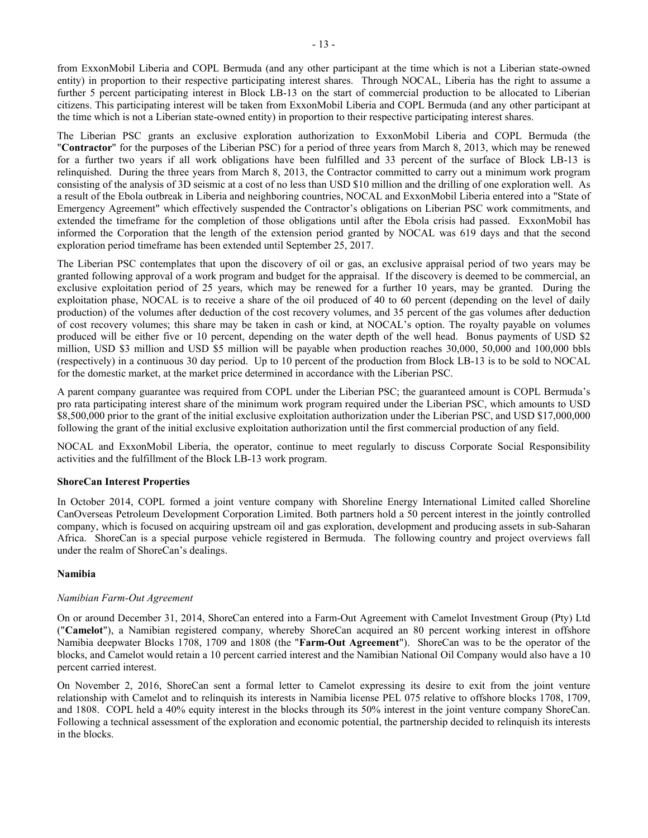from ExxonMobil Liberia and COPL Bermuda (and any other participant at the time which is not a Liberian state-owned entity) in proportion to their respective participating interest shares. Through NOCAL, Liberia has the right to assume a further 5 percent participating interest in Block LB-13 on the start of commercial production to be allocated to Liberian citizens. This participating interest will be taken from ExxonMobil Liberia and COPL Bermuda (and any other participant at the time which is not a Liberian state-owned entity) in proportion to their respective participating interest shares.

The Liberian PSC grants an exclusive exploration authorization to ExxonMobil Liberia and COPL Bermuda (the "**Contractor**" for the purposes of the Liberian PSC) for a period of three years from March 8, 2013, which may be renewed for a further two years if all work obligations have been fulfilled and 33 percent of the surface of Block LB-13 is relinquished. During the three years from March 8, 2013, the Contractor committed to carry out a minimum work program consisting of the analysis of 3D seismic at a cost of no less than USD \$10 million and the drilling of one exploration well. As a result of the Ebola outbreak in Liberia and neighboring countries, NOCAL and ExxonMobil Liberia entered into a "State of Emergency Agreement" which effectively suspended the Contractor's obligations on Liberian PSC work commitments, and extended the timeframe for the completion of those obligations until after the Ebola crisis had passed. ExxonMobil has informed the Corporation that the length of the extension period granted by NOCAL was 619 days and that the second exploration period timeframe has been extended until September 25, 2017.

The Liberian PSC contemplates that upon the discovery of oil or gas, an exclusive appraisal period of two years may be granted following approval of a work program and budget for the appraisal. If the discovery is deemed to be commercial, an exclusive exploitation period of 25 years, which may be renewed for a further 10 years, may be granted. During the exploitation phase, NOCAL is to receive a share of the oil produced of 40 to 60 percent (depending on the level of daily production) of the volumes after deduction of the cost recovery volumes, and 35 percent of the gas volumes after deduction of cost recovery volumes; this share may be taken in cash or kind, at NOCAL's option. The royalty payable on volumes produced will be either five or 10 percent, depending on the water depth of the well head. Bonus payments of USD \$2 million, USD \$3 million and USD \$5 million will be payable when production reaches 30,000, 50,000 and 100,000 bbls (respectively) in a continuous 30 day period. Up to 10 percent of the production from Block LB-13 is to be sold to NOCAL for the domestic market, at the market price determined in accordance with the Liberian PSC.

A parent company guarantee was required from COPL under the Liberian PSC; the guaranteed amount is COPL Bermuda's pro rata participating interest share of the minimum work program required under the Liberian PSC, which amounts to USD \$8,500,000 prior to the grant of the initial exclusive exploitation authorization under the Liberian PSC, and USD \$17,000,000 following the grant of the initial exclusive exploitation authorization until the first commercial production of any field.

NOCAL and ExxonMobil Liberia, the operator, continue to meet regularly to discuss Corporate Social Responsibility activities and the fulfillment of the Block LB-13 work program.

### **ShoreCan Interest Properties**

In October 2014, COPL formed a joint venture company with Shoreline Energy International Limited called Shoreline CanOverseas Petroleum Development Corporation Limited. Both partners hold a 50 percent interest in the jointly controlled company, which is focused on acquiring upstream oil and gas exploration, development and producing assets in sub-Saharan Africa. ShoreCan is a special purpose vehicle registered in Bermuda. The following country and project overviews fall under the realm of ShoreCan's dealings.

### **Namibia**

### *Namibian Farm-Out Agreement*

On or around December 31, 2014, ShoreCan entered into a Farm-Out Agreement with Camelot Investment Group (Pty) Ltd ("**Camelot**"), a Namibian registered company, whereby ShoreCan acquired an 80 percent working interest in offshore Namibia deepwater Blocks 1708, 1709 and 1808 (the "**Farm-Out Agreement**"). ShoreCan was to be the operator of the blocks, and Camelot would retain a 10 percent carried interest and the Namibian National Oil Company would also have a 10 percent carried interest.

On November 2, 2016, ShoreCan sent a formal letter to Camelot expressing its desire to exit from the joint venture relationship with Camelot and to relinquish its interests in Namibia license PEL 075 relative to offshore blocks 1708, 1709, and 1808. COPL held a 40% equity interest in the blocks through its 50% interest in the joint venture company ShoreCan. Following a technical assessment of the exploration and economic potential, the partnership decided to relinquish its interests in the blocks.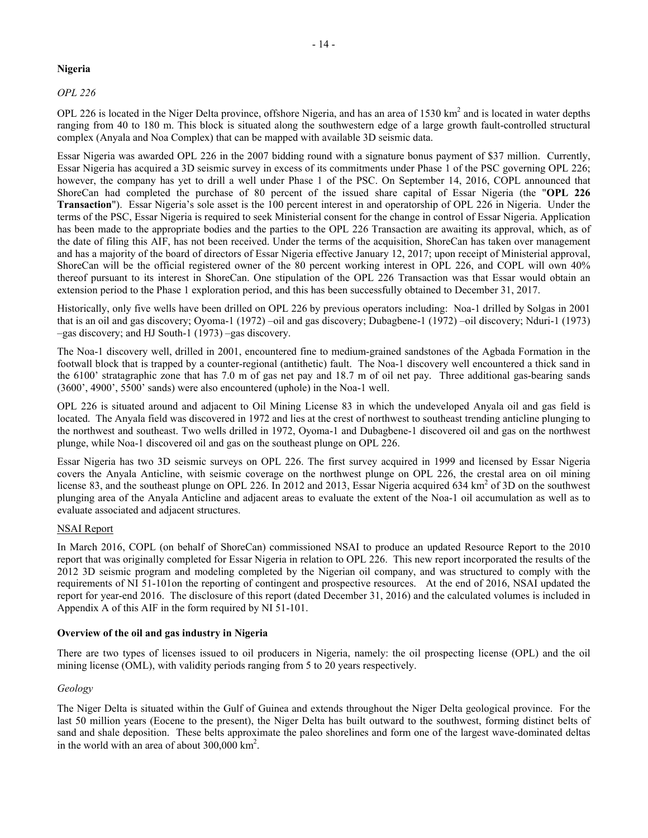### **Nigeria**

*OPL 226*

OPL 226 is located in the Niger Delta province, offshore Nigeria, and has an area of  $1530 \text{ km}^2$  and is located in water depths ranging from 40 to 180 m. This block is situated along the southwestern edge of a large growth fault-controlled structural complex (Anyala and Noa Complex) that can be mapped with available 3D seismic data.

Essar Nigeria was awarded OPL 226 in the 2007 bidding round with a signature bonus payment of \$37 million. Currently, Essar Nigeria has acquired a 3D seismic survey in excess of its commitments under Phase 1 of the PSC governing OPL 226; however, the company has yet to drill a well under Phase 1 of the PSC. On September 14, 2016, COPL announced that ShoreCan had completed the purchase of 80 percent of the issued share capital of Essar Nigeria (the "**OPL 226 Transaction**"). Essar Nigeria's sole asset is the 100 percent interest in and operatorship of OPL 226 in Nigeria. Under the terms of the PSC, Essar Nigeria is required to seek Ministerial consent for the change in control of Essar Nigeria. Application has been made to the appropriate bodies and the parties to the OPL 226 Transaction are awaiting its approval, which, as of the date of filing this AIF, has not been received. Under the terms of the acquisition, ShoreCan has taken over management and has a majority of the board of directors of Essar Nigeria effective January 12, 2017; upon receipt of Ministerial approval, ShoreCan will be the official registered owner of the 80 percent working interest in OPL 226, and COPL will own 40% thereof pursuant to its interest in ShoreCan. One stipulation of the OPL 226 Transaction was that Essar would obtain an extension period to the Phase 1 exploration period, and this has been successfully obtained to December 31, 2017.

Historically, only five wells have been drilled on OPL 226 by previous operators including: Noa-1 drilled by Solgas in 2001 that is an oil and gas discovery; Oyoma-1 (1972) –oil and gas discovery; Dubagbene-1 (1972) –oil discovery; Nduri-1 (1973) –gas discovery; and HJ South-1 (1973) –gas discovery.

The Noa-1 discovery well, drilled in 2001, encountered fine to medium-grained sandstones of the Agbada Formation in the footwall block that is trapped by a counter-regional (antithetic) fault. The Noa-1 discovery well encountered a thick sand in the 6100' stratagraphic zone that has 7.0 m of gas net pay and 18.7 m of oil net pay. Three additional gas-bearing sands (3600', 4900', 5500' sands) were also encountered (uphole) in the Noa-1 well.

OPL 226 is situated around and adjacent to Oil Mining License 83 in which the undeveloped Anyala oil and gas field is located. The Anyala field was discovered in 1972 and lies at the crest of northwest to southeast trending anticline plunging to the northwest and southeast. Two wells drilled in 1972, Oyoma-1 and Dubagbene-1 discovered oil and gas on the northwest plunge, while Noa-1 discovered oil and gas on the southeast plunge on OPL 226.

Essar Nigeria has two 3D seismic surveys on OPL 226. The first survey acquired in 1999 and licensed by Essar Nigeria covers the Anyala Anticline, with seismic coverage on the northwest plunge on OPL 226, the crestal area on oil mining license 83, and the southeast plunge on OPL 226. In 2012 and 2013, Essar Nigeria acquired 634 km<sup>2</sup> of 3D on the southwest plunging area of the Anyala Anticline and adjacent areas to evaluate the extent of the Noa-1 oil accumulation as well as to evaluate associated and adjacent structures.

### NSAI Report

In March 2016, COPL (on behalf of ShoreCan) commissioned NSAI to produce an updated Resource Report to the 2010 report that was originally completed for Essar Nigeria in relation to OPL 226. This new report incorporated the results of the 2012 3D seismic program and modeling completed by the Nigerian oil company, and was structured to comply with the requirements of NI 51-101on the reporting of contingent and prospective resources. At the end of 2016, NSAI updated the report for year-end 2016. The disclosure of this report (dated December 31, 2016) and the calculated volumes is included in Appendix A of this AIF in the form required by NI 51-101.

### **Overview of the oil and gas industry in Nigeria**

There are two types of licenses issued to oil producers in Nigeria, namely: the oil prospecting license (OPL) and the oil mining license (OML), with validity periods ranging from 5 to 20 years respectively.

### *Geology*

The Niger Delta is situated within the Gulf of Guinea and extends throughout the Niger Delta geological province. For the last 50 million years (Eocene to the present), the Niger Delta has built outward to the southwest, forming distinct belts of sand and shale deposition. These belts approximate the paleo shorelines and form one of the largest wave-dominated deltas in the world with an area of about 300,000 km<sup>2</sup>.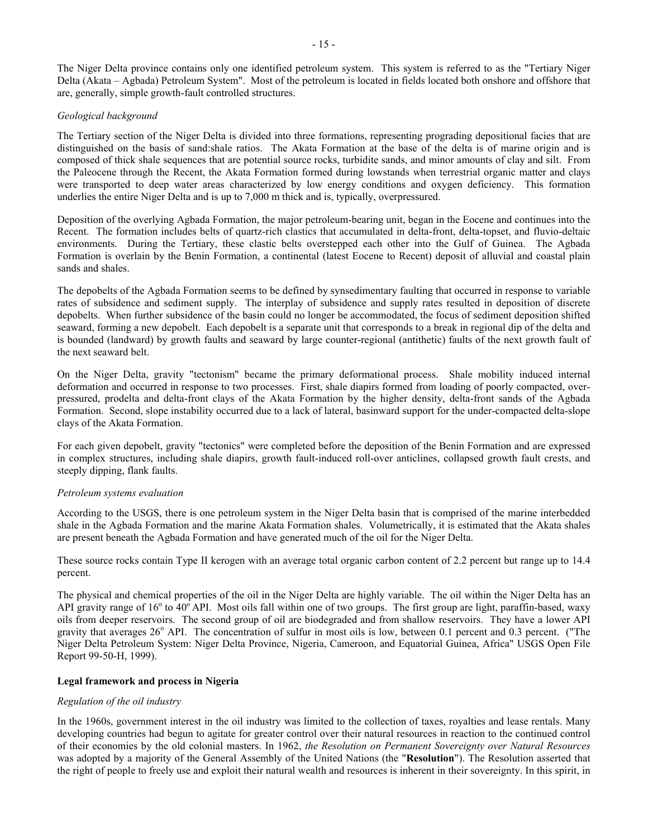The Niger Delta province contains only one identified petroleum system. This system is referred to as the "Tertiary Niger Delta (Akata – Agbada) Petroleum System". Most of the petroleum is located in fields located both onshore and offshore that are, generally, simple growth-fault controlled structures.

### *Geological background*

The Tertiary section of the Niger Delta is divided into three formations, representing prograding depositional facies that are distinguished on the basis of sand:shale ratios. The Akata Formation at the base of the delta is of marine origin and is composed of thick shale sequences that are potential source rocks, turbidite sands, and minor amounts of clay and silt. From the Paleocene through the Recent, the Akata Formation formed during lowstands when terrestrial organic matter and clays were transported to deep water areas characterized by low energy conditions and oxygen deficiency. This formation underlies the entire Niger Delta and is up to 7,000 m thick and is, typically, overpressured.

Deposition of the overlying Agbada Formation, the major petroleum-bearing unit, began in the Eocene and continues into the Recent. The formation includes belts of quartz-rich clastics that accumulated in delta-front, delta-topset, and fluvio-deltaic environments. During the Tertiary, these clastic belts overstepped each other into the Gulf of Guinea. The Agbada Formation is overlain by the Benin Formation, a continental (latest Eocene to Recent) deposit of alluvial and coastal plain sands and shales.

The depobelts of the Agbada Formation seems to be defined by synsedimentary faulting that occurred in response to variable rates of subsidence and sediment supply. The interplay of subsidence and supply rates resulted in deposition of discrete depobelts. When further subsidence of the basin could no longer be accommodated, the focus of sediment deposition shifted seaward, forming a new depobelt. Each depobelt is a separate unit that corresponds to a break in regional dip of the delta and is bounded (landward) by growth faults and seaward by large counter-regional (antithetic) faults of the next growth fault of the next seaward belt.

On the Niger Delta, gravity "tectonism" became the primary deformational process. Shale mobility induced internal deformation and occurred in response to two processes. First, shale diapirs formed from loading of poorly compacted, overpressured, prodelta and delta-front clays of the Akata Formation by the higher density, delta-front sands of the Agbada Formation. Second, slope instability occurred due to a lack of lateral, basinward support for the under-compacted delta-slope clays of the Akata Formation.

For each given depobelt, gravity "tectonics" were completed before the deposition of the Benin Formation and are expressed in complex structures, including shale diapirs, growth fault-induced roll-over anticlines, collapsed growth fault crests, and steeply dipping, flank faults.

### *Petroleum systems evaluation*

According to the USGS, there is one petroleum system in the Niger Delta basin that is comprised of the marine interbedded shale in the Agbada Formation and the marine Akata Formation shales. Volumetrically, it is estimated that the Akata shales are present beneath the Agbada Formation and have generated much of the oil for the Niger Delta.

These source rocks contain Type II kerogen with an average total organic carbon content of 2.2 percent but range up to 14.4 percent.

The physical and chemical properties of the oil in the Niger Delta are highly variable. The oil within the Niger Delta has an API gravity range of  $16^{\circ}$  to  $40^{\circ}$  API. Most oils fall within one of two groups. The first group are light, paraffin-based, waxy oils from deeper reservoirs. The second group of oil are biodegraded and from shallow reservoirs. They have a lower API gravity that averages  $26^{\circ}$  API. The concentration of sulfur in most oils is low, between 0.1 percent and 0.3 percent. ("The Niger Delta Petroleum System: Niger Delta Province, Nigeria, Cameroon, and Equatorial Guinea, Africa" USGS Open File Report 99-50-H, 1999).

### **Legal framework and process in Nigeria**

### *Regulation of the oil industry*

In the 1960s, government interest in the oil industry was limited to the collection of taxes, royalties and lease rentals. Many developing countries had begun to agitate for greater control over their natural resources in reaction to the continued control of their economies by the old colonial masters. In 1962, *the Resolution on Permanent Sovereignty over Natural Resources* was adopted by a majority of the General Assembly of the United Nations (the "**Resolution**"). The Resolution asserted that the right of people to freely use and exploit their natural wealth and resources is inherent in their sovereignty. In this spirit, in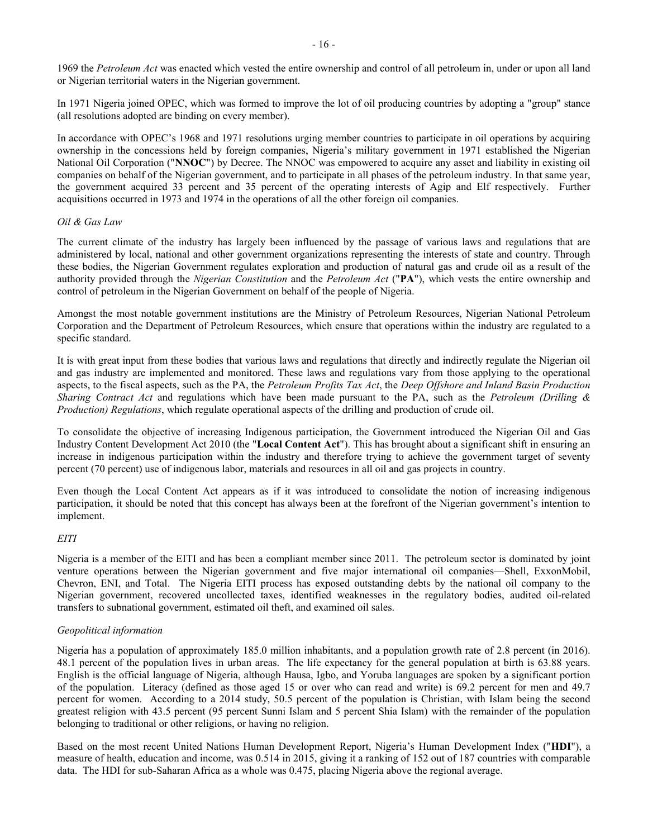1969 the *Petroleum Act* was enacted which vested the entire ownership and control of all petroleum in, under or upon all land or Nigerian territorial waters in the Nigerian government.

In 1971 Nigeria joined OPEC, which was formed to improve the lot of oil producing countries by adopting a "group" stance (all resolutions adopted are binding on every member).

In accordance with OPEC's 1968 and 1971 resolutions urging member countries to participate in oil operations by acquiring ownership in the concessions held by foreign companies, Nigeria's military government in 1971 established the Nigerian National Oil Corporation ("**NNOC**") by Decree. The NNOC was empowered to acquire any asset and liability in existing oil companies on behalf of the Nigerian government, and to participate in all phases of the petroleum industry. In that same year, the government acquired 33 percent and 35 percent of the operating interests of Agip and Elf respectively. Further acquisitions occurred in 1973 and 1974 in the operations of all the other foreign oil companies.

### *Oil & Gas Law*

The current climate of the industry has largely been influenced by the passage of various laws and regulations that are administered by local, national and other government organizations representing the interests of state and country. Through these bodies, the Nigerian Government regulates exploration and production of natural gas and crude oil as a result of the authority provided through the *Nigerian Constitution* and the *Petroleum Act* ("**PA**"), which vests the entire ownership and control of petroleum in the Nigerian Government on behalf of the people of Nigeria.

Amongst the most notable government institutions are the Ministry of Petroleum Resources, Nigerian National Petroleum Corporation and the Department of Petroleum Resources, which ensure that operations within the industry are regulated to a specific standard.

It is with great input from these bodies that various laws and regulations that directly and indirectly regulate the Nigerian oil and gas industry are implemented and monitored. These laws and regulations vary from those applying to the operational aspects, to the fiscal aspects, such as the PA, the *Petroleum Profits Tax Act*, the *Deep Offshore and Inland Basin Production Sharing Contract Act* and regulations which have been made pursuant to the PA, such as the *Petroleum (Drilling & Production) Regulations*, which regulate operational aspects of the drilling and production of crude oil.

To consolidate the objective of increasing Indigenous participation, the Government introduced the Nigerian Oil and Gas Industry Content Development Act 2010 (the "**Local Content Act**"). This has brought about a significant shift in ensuring an increase in indigenous participation within the industry and therefore trying to achieve the government target of seventy percent (70 percent) use of indigenous labor, materials and resources in all oil and gas projects in country.

Even though the Local Content Act appears as if it was introduced to consolidate the notion of increasing indigenous participation, it should be noted that this concept has always been at the forefront of the Nigerian government's intention to implement.

### *EITI*

Nigeria is a member of the EITI and has been a compliant member since 2011. The petroleum sector is dominated by joint venture operations between the Nigerian government and five major international oil companies—Shell, ExxonMobil, Chevron, ENI, and Total. The Nigeria EITI process has exposed outstanding debts by the national oil company to the Nigerian government, recovered uncollected taxes, identified weaknesses in the regulatory bodies, audited oil-related transfers to subnational government, estimated oil theft, and examined oil sales.

#### *Geopolitical information*

Nigeria has a population of approximately 185.0 million inhabitants, and a population growth rate of 2.8 percent (in 2016). 48.1 percent of the population lives in urban areas. The life expectancy for the general population at birth is 63.88 years. English is the official language of Nigeria, although Hausa, Igbo, and Yoruba languages are spoken by a significant portion of the population. Literacy (defined as those aged 15 or over who can read and write) is 69.2 percent for men and 49.7 percent for women. According to a 2014 study, 50.5 percent of the population is Christian, with Islam being the second greatest religion with 43.5 percent (95 percent Sunni Islam and 5 percent Shia Islam) with the remainder of the population belonging to traditional or other religions, or having no religion.

Based on the most recent United Nations Human Development Report, Nigeria's Human Development Index ("**HDI**"), a measure of health, education and income, was 0.514 in 2015, giving it a ranking of 152 out of 187 countries with comparable data. The HDI for sub-Saharan Africa as a whole was 0.475, placing Nigeria above the regional average.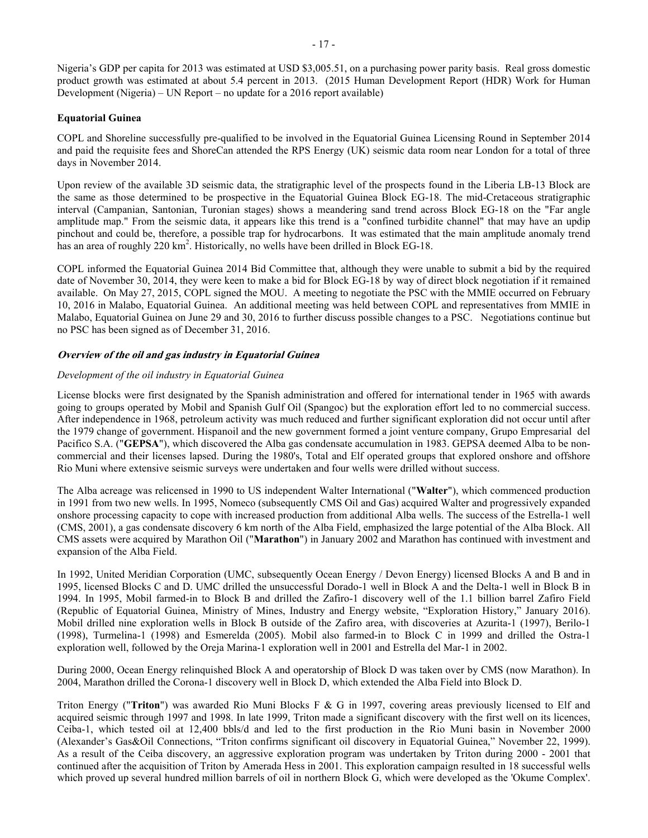Nigeria's GDP per capita for 2013 was estimated at USD \$3,005.51, on a purchasing power parity basis. Real gross domestic product growth was estimated at about 5.4 percent in 2013. (2015 Human Development Report (HDR) Work for Human Development (Nigeria) – UN Report – no update for a 2016 report available)

### **Equatorial Guinea**

COPL and Shoreline successfully pre-qualified to be involved in the Equatorial Guinea Licensing Round in September 2014 and paid the requisite fees and ShoreCan attended the RPS Energy (UK) seismic data room near London for a total of three days in November 2014.

Upon review of the available 3D seismic data, the stratigraphic level of the prospects found in the Liberia LB-13 Block are the same as those determined to be prospective in the Equatorial Guinea Block EG-18. The mid-Cretaceous stratigraphic interval (Campanian, Santonian, Turonian stages) shows a meandering sand trend across Block EG-18 on the "Far angle amplitude map." From the seismic data, it appears like this trend is a "confined turbidite channel" that may have an updip pinchout and could be, therefore, a possible trap for hydrocarbons. It was estimated that the main amplitude anomaly trend has an area of roughly 220 km<sup>2</sup>. Historically, no wells have been drilled in Block EG-18.

COPL informed the Equatorial Guinea 2014 Bid Committee that, although they were unable to submit a bid by the required date of November 30, 2014, they were keen to make a bid for Block EG-18 by way of direct block negotiation if it remained available. On May 27, 2015, COPL signed the MOU. A meeting to negotiate the PSC with the MMIE occurred on February 10, 2016 in Malabo, Equatorial Guinea. An additional meeting was held between COPL and representatives from MMIE in Malabo, Equatorial Guinea on June 29 and 30, 2016 to further discuss possible changes to a PSC. Negotiations continue but no PSC has been signed as of December 31, 2016.

### **Overview of the oil and gas industry in Equatorial Guinea**

### *Development of the oil industry in Equatorial Guinea*

License blocks were first designated by the Spanish administration and offered for international tender in 1965 with awards going to groups operated by Mobil and Spanish Gulf Oil (Spangoc) but the exploration effort led to no commercial success. After independence in 1968, petroleum activity was much reduced and further significant exploration did not occur until after the 1979 change of government. Hispanoil and the new government formed a joint venture company, Grupo Empresarial del Pacifico S.A. ("**GEPSA**"), which discovered the Alba gas condensate accumulation in 1983. GEPSA deemed Alba to be noncommercial and their licenses lapsed. During the 1980's, Total and Elf operated groups that explored onshore and offshore Rio Muni where extensive seismic surveys were undertaken and four wells were drilled without success.

The Alba acreage was relicensed in 1990 to US independent Walter International ("**Walter**"), which commenced production in 1991 from two new wells. In 1995, Nomeco (subsequently CMS Oil and Gas) acquired Walter and progressively expanded onshore processing capacity to cope with increased production from additional Alba wells. The success of the Estrella-1 well (CMS, 2001), a gas condensate discovery 6 km north of the Alba Field, emphasized the large potential of the Alba Block. All CMS assets were acquired by Marathon Oil ("**Marathon**") in January 2002 and Marathon has continued with investment and expansion of the Alba Field.

In 1992, United Meridian Corporation (UMC, subsequently Ocean Energy / Devon Energy) licensed Blocks A and B and in 1995, licensed Blocks C and D. UMC drilled the unsuccessful Dorado-1 well in Block A and the Delta-1 well in Block B in 1994. In 1995, Mobil farmed-in to Block B and drilled the Zafiro-1 discovery well of the 1.1 billion barrel Zafiro Field (Republic of Equatorial Guinea, Ministry of Mines, Industry and Energy website, "Exploration History," January 2016). Mobil drilled nine exploration wells in Block B outside of the Zafiro area, with discoveries at Azurita-1 (1997), Berilo-1 (1998), Turmelina-1 (1998) and Esmerelda (2005). Mobil also farmed-in to Block C in 1999 and drilled the Ostra-1 exploration well, followed by the Oreja Marina-1 exploration well in 2001 and Estrella del Mar-1 in 2002.

During 2000, Ocean Energy relinquished Block A and operatorship of Block D was taken over by CMS (now Marathon). In 2004, Marathon drilled the Corona-1 discovery well in Block D, which extended the Alba Field into Block D.

Triton Energy ("**Triton**") was awarded Rio Muni Blocks F & G in 1997, covering areas previously licensed to Elf and acquired seismic through 1997 and 1998. In late 1999, Triton made a significant discovery with the first well on its licences, Ceiba-1, which tested oil at 12,400 bbls/d and led to the first production in the Rio Muni basin in November 2000 (Alexander's Gas&Oil Connections, "Triton confirms significant oil discovery in Equatorial Guinea," November 22, 1999). As a result of the Ceiba discovery, an aggressive exploration program was undertaken by Triton during 2000 - 2001 that continued after the acquisition of Triton by Amerada Hess in 2001. This exploration campaign resulted in 18 successful wells which proved up several hundred million barrels of oil in northern Block G, which were developed as the 'Okume Complex'.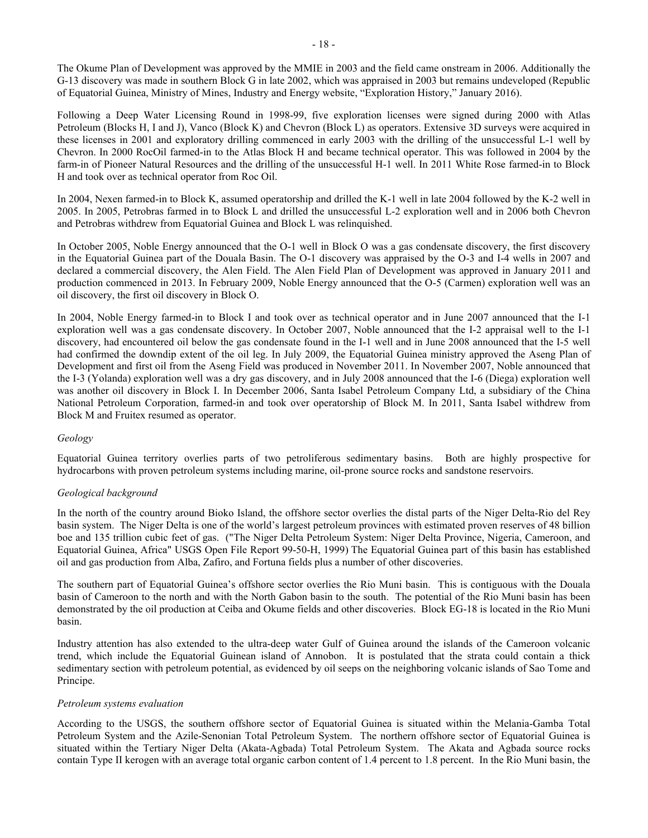The Okume Plan of Development was approved by the MMIE in 2003 and the field came onstream in 2006. Additionally the G-13 discovery was made in southern Block G in late 2002, which was appraised in 2003 but remains undeveloped (Republic of Equatorial Guinea, Ministry of Mines, Industry and Energy website, "Exploration History," January 2016).

Following a Deep Water Licensing Round in 1998-99, five exploration licenses were signed during 2000 with Atlas Petroleum (Blocks H, I and J), Vanco (Block K) and Chevron (Block L) as operators. Extensive 3D surveys were acquired in these licenses in 2001 and exploratory drilling commenced in early 2003 with the drilling of the unsuccessful L-1 well by Chevron. In 2000 RocOil farmed-in to the Atlas Block H and became technical operator. This was followed in 2004 by the farm-in of Pioneer Natural Resources and the drilling of the unsuccessful H-1 well. In 2011 White Rose farmed-in to Block H and took over as technical operator from Roc Oil.

In 2004, Nexen farmed-in to Block K, assumed operatorship and drilled the K-1 well in late 2004 followed by the K-2 well in 2005. In 2005, Petrobras farmed in to Block L and drilled the unsuccessful L-2 exploration well and in 2006 both Chevron and Petrobras withdrew from Equatorial Guinea and Block L was relinquished.

In October 2005, Noble Energy announced that the O-1 well in Block O was a gas condensate discovery, the first discovery in the Equatorial Guinea part of the Douala Basin. The O-1 discovery was appraised by the O-3 and I-4 wells in 2007 and declared a commercial discovery, the Alen Field. The Alen Field Plan of Development was approved in January 2011 and production commenced in 2013. In February 2009, Noble Energy announced that the O-5 (Carmen) exploration well was an oil discovery, the first oil discovery in Block O.

In 2004, Noble Energy farmed-in to Block I and took over as technical operator and in June 2007 announced that the I-1 exploration well was a gas condensate discovery. In October 2007, Noble announced that the I-2 appraisal well to the I-1 discovery, had encountered oil below the gas condensate found in the I-1 well and in June 2008 announced that the I-5 well had confirmed the downdip extent of the oil leg. In July 2009, the Equatorial Guinea ministry approved the Aseng Plan of Development and first oil from the Aseng Field was produced in November 2011. In November 2007, Noble announced that the I-3 (Yolanda) exploration well was a dry gas discovery, and in July 2008 announced that the I-6 (Diega) exploration well was another oil discovery in Block I. In December 2006, Santa Isabel Petroleum Company Ltd, a subsidiary of the China National Petroleum Corporation, farmed-in and took over operatorship of Block M. In 2011, Santa Isabel withdrew from Block M and Fruitex resumed as operator.

### *Geology*

Equatorial Guinea territory overlies parts of two petroliferous sedimentary basins. Both are highly prospective for hydrocarbons with proven petroleum systems including marine, oil-prone source rocks and sandstone reservoirs.

### *Geological background*

In the north of the country around Bioko Island, the offshore sector overlies the distal parts of the Niger Delta-Rio del Rey basin system. The Niger Delta is one of the world's largest petroleum provinces with estimated proven reserves of 48 billion boe and 135 trillion cubic feet of gas. ("The Niger Delta Petroleum System: Niger Delta Province, Nigeria, Cameroon, and Equatorial Guinea, Africa" USGS Open File Report 99-50-H, 1999) The Equatorial Guinea part of this basin has established oil and gas production from Alba, Zafiro, and Fortuna fields plus a number of other discoveries.

The southern part of Equatorial Guinea's offshore sector overlies the Rio Muni basin. This is contiguous with the Douala basin of Cameroon to the north and with the North Gabon basin to the south. The potential of the Rio Muni basin has been demonstrated by the oil production at Ceiba and Okume fields and other discoveries. Block EG-18 is located in the Rio Muni basin.

Industry attention has also extended to the ultra-deep water Gulf of Guinea around the islands of the Cameroon volcanic trend, which include the Equatorial Guinean island of Annobon. It is postulated that the strata could contain a thick sedimentary section with petroleum potential, as evidenced by oil seeps on the neighboring volcanic islands of Sao Tome and Principe.

### *Petroleum systems evaluation*

According to the USGS, the southern offshore sector of Equatorial Guinea is situated within the Melania-Gamba Total Petroleum System and the Azile-Senonian Total Petroleum System. The northern offshore sector of Equatorial Guinea is situated within the Tertiary Niger Delta (Akata-Agbada) Total Petroleum System. The Akata and Agbada source rocks contain Type II kerogen with an average total organic carbon content of 1.4 percent to 1.8 percent. In the Rio Muni basin, the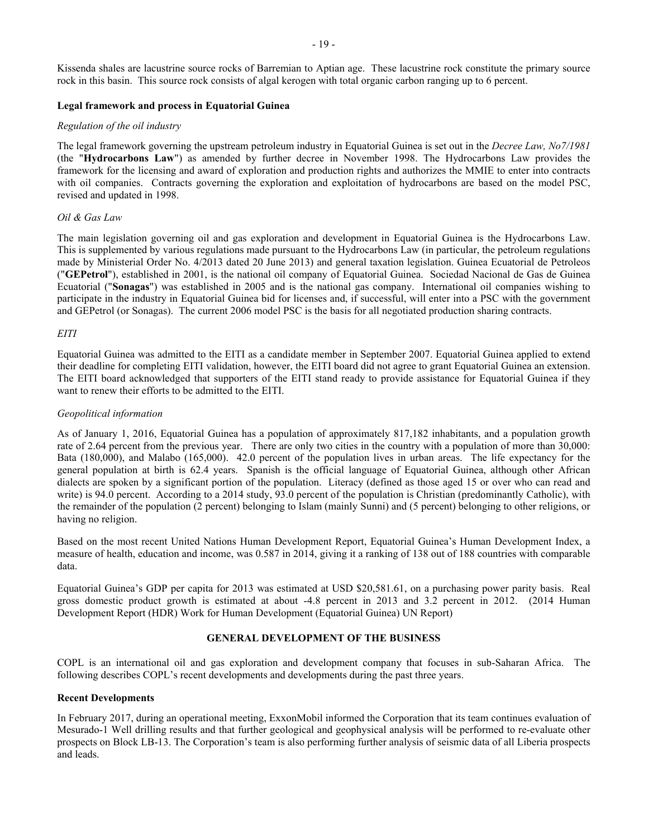Kissenda shales are lacustrine source rocks of Barremian to Aptian age. These lacustrine rock constitute the primary source rock in this basin. This source rock consists of algal kerogen with total organic carbon ranging up to 6 percent.

### **Legal framework and process in Equatorial Guinea**

### *Regulation of the oil industry*

The legal framework governing the upstream petroleum industry in Equatorial Guinea is set out in the *Decree Law, No7/1981*  (the "**Hydrocarbons Law**") as amended by further decree in November 1998. The Hydrocarbons Law provides the framework for the licensing and award of exploration and production rights and authorizes the MMIE to enter into contracts with oil companies. Contracts governing the exploration and exploitation of hydrocarbons are based on the model PSC, revised and updated in 1998.

### *Oil & Gas Law*

The main legislation governing oil and gas exploration and development in Equatorial Guinea is the Hydrocarbons Law. This is supplemented by various regulations made pursuant to the Hydrocarbons Law (in particular, the petroleum regulations made by Ministerial Order No. 4/2013 dated 20 June 2013) and general taxation legislation. Guinea Ecuatorial de Petroleos ("**GEPetrol**"), established in 2001, is the national oil company of Equatorial Guinea. Sociedad Nacional de Gas de Guinea Ecuatorial ("**Sonagas**") was established in 2005 and is the national gas company. International oil companies wishing to participate in the industry in Equatorial Guinea bid for licenses and, if successful, will enter into a PSC with the government and GEPetrol (or Sonagas). The current 2006 model PSC is the basis for all negotiated production sharing contracts.

### *EITI*

Equatorial Guinea was admitted to the EITI as a candidate member in September 2007. Equatorial Guinea applied to extend their deadline for completing EITI validation, however, the EITI board did not agree to grant Equatorial Guinea an extension. The EITI board acknowledged that supporters of the EITI stand ready to provide assistance for Equatorial Guinea if they want to renew their efforts to be admitted to the EITI.

### *Geopolitical information*

As of January 1, 2016, Equatorial Guinea has a population of approximately 817,182 inhabitants, and a population growth rate of 2.64 percent from the previous year. There are only two cities in the country with a population of more than 30,000: Bata (180,000), and Malabo (165,000). 42.0 percent of the population lives in urban areas. The life expectancy for the general population at birth is 62.4 years. Spanish is the official language of Equatorial Guinea, although other African dialects are spoken by a significant portion of the population. Literacy (defined as those aged 15 or over who can read and write) is 94.0 percent. According to a 2014 study, 93.0 percent of the population is Christian (predominantly Catholic), with the remainder of the population (2 percent) belonging to Islam (mainly Sunni) and (5 percent) belonging to other religions, or having no religion.

Based on the most recent United Nations Human Development Report, Equatorial Guinea's Human Development Index, a measure of health, education and income, was 0.587 in 2014, giving it a ranking of 138 out of 188 countries with comparable data.

Equatorial Guinea's GDP per capita for 2013 was estimated at USD \$20,581.61, on a purchasing power parity basis. Real gross domestic product growth is estimated at about -4.8 percent in 2013 and 3.2 percent in 2012. (2014 Human Development Report (HDR) Work for Human Development (Equatorial Guinea) UN Report)

### <span id="page-19-0"></span>**GENERAL DEVELOPMENT OF THE BUSINESS**

COPL is an international oil and gas exploration and development company that focuses in sub-Saharan Africa. The following describes COPL's recent developments and developments during the past three years.

### **Recent Developments**

In February 2017, during an operational meeting, ExxonMobil informed the Corporation that its team continues evaluation of Mesurado-1 Well drilling results and that further geological and geophysical analysis will be performed to re-evaluate other prospects on Block LB-13. The Corporation's team is also performing further analysis of seismic data of all Liberia prospects and leads.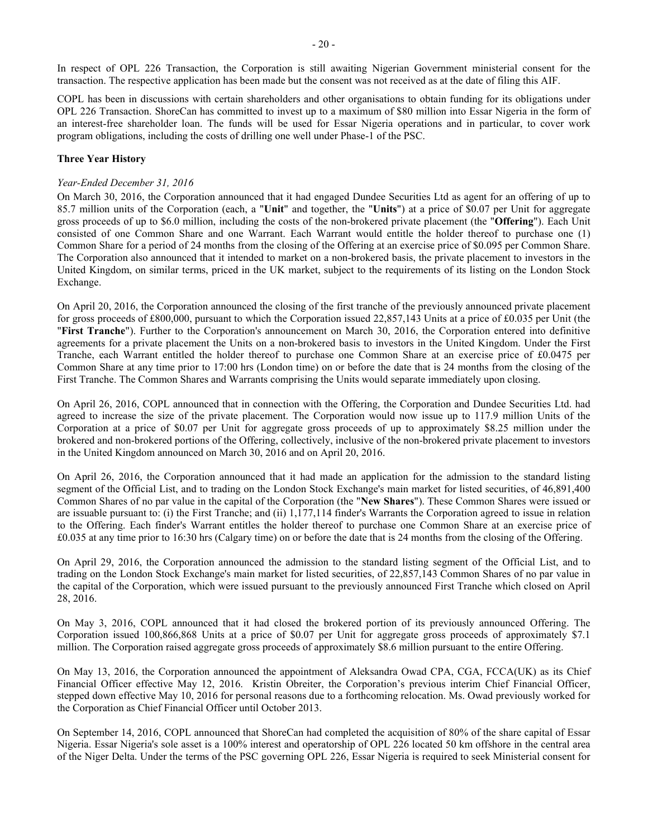In respect of OPL 226 Transaction, the Corporation is still awaiting Nigerian Government ministerial consent for the transaction. The respective application has been made but the consent was not received as at the date of filing this AIF.

COPL has been in discussions with certain shareholders and other organisations to obtain funding for its obligations under OPL 226 Transaction. ShoreCan has committed to invest up to a maximum of \$80 million into Essar Nigeria in the form of an interest-free shareholder loan. The funds will be used for Essar Nigeria operations and in particular, to cover work program obligations, including the costs of drilling one well under Phase-1 of the PSC.

### **Three Year History**

### *Year-Ended December 31, 2016*

On March 30, 2016, the Corporation announced that it had engaged Dundee Securities Ltd as agent for an offering of up to 85.7 million units of the Corporation (each, a "**Unit**" and together, the "**Units**") at a price of \$0.07 per Unit for aggregate gross proceeds of up to \$6.0 million, including the costs of the non-brokered private placement (the "**Offering**"). Each Unit consisted of one Common Share and one Warrant. Each Warrant would entitle the holder thereof to purchase one (1) Common Share for a period of 24 months from the closing of the Offering at an exercise price of \$0.095 per Common Share. The Corporation also announced that it intended to market on a non-brokered basis, the private placement to investors in the United Kingdom, on similar terms, priced in the UK market, subject to the requirements of its listing on the London Stock Exchange.

On April 20, 2016, the Corporation announced the closing of the first tranche of the previously announced private placement for gross proceeds of £800,000, pursuant to which the Corporation issued 22,857,143 Units at a price of £0.035 per Unit (the "**First Tranche**"). Further to the Corporation's announcement on March 30, 2016, the Corporation entered into definitive agreements for a private placement the Units on a non-brokered basis to investors in the United Kingdom. Under the First Tranche, each Warrant entitled the holder thereof to purchase one Common Share at an exercise price of £0.0475 per Common Share at any time prior to 17:00 hrs (London time) on or before the date that is 24 months from the closing of the First Tranche. The Common Shares and Warrants comprising the Units would separate immediately upon closing.

On April 26, 2016, COPL announced that in connection with the Offering, the Corporation and Dundee Securities Ltd. had agreed to increase the size of the private placement. The Corporation would now issue up to 117.9 million Units of the Corporation at a price of \$0.07 per Unit for aggregate gross proceeds of up to approximately \$8.25 million under the brokered and non-brokered portions of the Offering, collectively, inclusive of the non-brokered private placement to investors in the United Kingdom announced on March 30, 2016 and on April 20, 2016.

On April 26, 2016, the Corporation announced that it had made an application for the admission to the standard listing segment of the Official List, and to trading on the London Stock Exchange's main market for listed securities, of 46,891,400 Common Shares of no par value in the capital of the Corporation (the "**New Shares**"). These Common Shares were issued or are issuable pursuant to: (i) the First Tranche; and (ii)  $1,177,114$  finder's Warrants the Corporation agreed to issue in relation to the Offering. Each finder's Warrant entitles the holder thereof to purchase one Common Share at an exercise price of £0.035 at any time prior to 16:30 hrs (Calgary time) on or before the date that is 24 months from the closing of the Offering.

On April 29, 2016, the Corporation announced the admission to the standard listing segment of the Official List, and to trading on the London Stock Exchange's main market for listed securities, of 22,857,143 Common Shares of no par value in the capital of the Corporation, which were issued pursuant to the previously announced First Tranche which closed on April 28, 2016.

On May 3, 2016, COPL announced that it had closed the brokered portion of its previously announced Offering. The Corporation issued 100,866,868 Units at a price of \$0.07 per Unit for aggregate gross proceeds of approximately \$7.1 million. The Corporation raised aggregate gross proceeds of approximately \$8.6 million pursuant to the entire Offering.

On May 13, 2016, the Corporation announced the appointment of Aleksandra Owad CPA, CGA, FCCA(UK) as its Chief Financial Officer effective May 12, 2016. Kristin Obreiter, the Corporation's previous interim Chief Financial Officer, stepped down effective May 10, 2016 for personal reasons due to a forthcoming relocation. Ms. Owad previously worked for the Corporation as Chief Financial Officer until October 2013.

On September 14, 2016, COPL announced that ShoreCan had completed the acquisition of 80% of the share capital of Essar Nigeria. Essar Nigeria's sole asset is a 100% interest and operatorship of OPL 226 located 50 km offshore in the central area of the Niger Delta. Under the terms of the PSC governing OPL 226, Essar Nigeria is required to seek Ministerial consent for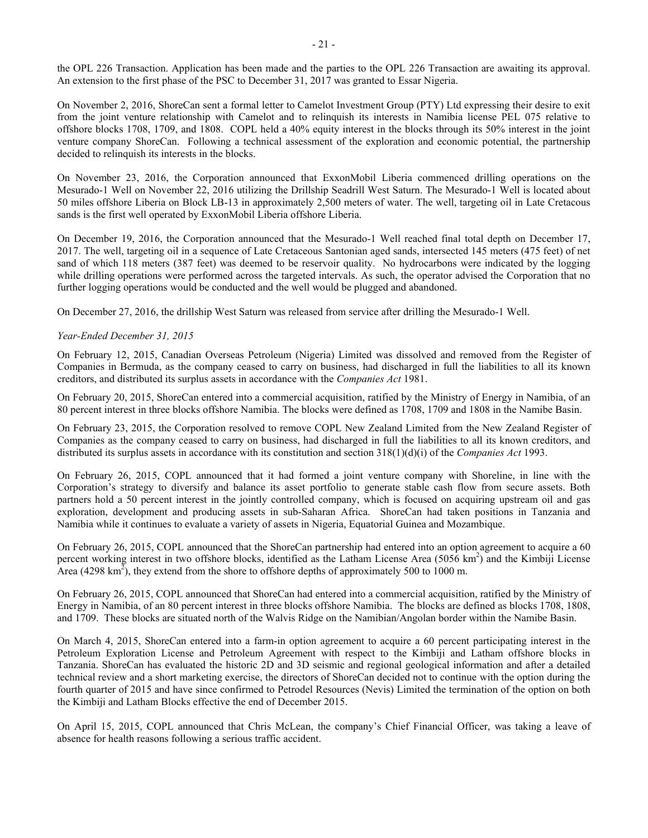the OPL 226 Transaction. Application has been made and the parties to the OPL 226 Transaction are awaiting its approval. An extension to the first phase of the PSC to December 31, 2017 was granted to Essar Nigeria.

On November 2, 2016, ShoreCan sent a formal letter to Camelot Investment Group (PTY) Ltd expressing their desire to exit from the joint venture relationship with Camelot and to relinquish its interests in Namibia license PEL 075 relative to offshore blocks 1708, 1709, and 1808. COPL held a 40% equity interest in the blocks through its 50% interest in the joint venture company ShoreCan. Following a technical assessment of the exploration and economic potential, the partnership decided to relinquish its interests in the blocks.

On November 23, 2016, the Corporation announced that ExxonMobil Liberia commenced drilling operations on the Mesurado-1 Well on November 22, 2016 utilizing the Drillship Seadrill West Saturn. The Mesurado-1 Well is located about 50 miles offshore Liberia on Block LB-13 in approximately 2,500 meters of water. The well, targeting oil in Late Cretacous sands is the first well operated by ExxonMobil Liberia offshore Liberia.

On December 19, 2016, the Corporation announced that the Mesurado-1 Well reached final total depth on December 17, 2017. The well, targeting oil in a sequence of Late Cretaceous Santonian aged sands, intersected 145 meters (475 feet) of net sand of which 118 meters (387 feet) was deemed to be reservoir quality. No hydrocarbons were indicated by the logging while drilling operations were performed across the targeted intervals. As such, the operator advised the Corporation that no further logging operations would be conducted and the well would be plugged and abandoned.

On December 27, 2016, the drillship West Saturn was released from service after drilling the Mesurado-1 Well.

### *Year-Ended December 31, 2015*

On February 12, 2015, Canadian Overseas Petroleum (Nigeria) Limited was dissolved and removed from the Register of Companies in Bermuda, as the company ceased to carry on business, had discharged in full the liabilities to all its known creditors, and distributed its surplus assets in accordance with the *Companies Act* 1981.

On February 20, 2015, ShoreCan entered into a commercial acquisition, ratified by the Ministry of Energy in Namibia, of an 80 percent interest in three blocks offshore Namibia. The blocks were defined as 1708, 1709 and 1808 in the Namibe Basin.

On February 23, 2015, the Corporation resolved to remove COPL New Zealand Limited from the New Zealand Register of Companies as the company ceased to carry on business, had discharged in full the liabilities to all its known creditors, and distributed its surplus assets in accordance with its constitution and section 318(1)(d)(i) of the *Companies Act* 1993.

On February 26, 2015, COPL announced that it had formed a joint venture company with Shoreline, in line with the Corporation's strategy to diversify and balance its asset portfolio to generate stable cash flow from secure assets. Both partners hold a 50 percent interest in the jointly controlled company, which is focused on acquiring upstream oil and gas exploration, development and producing assets in sub-Saharan Africa. ShoreCan had taken positions in Tanzania and Namibia while it continues to evaluate a variety of assets in Nigeria, Equatorial Guinea and Mozambique.

On February 26, 2015, COPL announced that the ShoreCan partnership had entered into an option agreement to acquire a 60 percent working interest in two offshore blocks, identified as the Latham License Area (5056 km<sup>2</sup>) and the Kimbiji License Area (4298  $\text{km}^2$ ), they extend from the shore to offshore depths of approximately 500 to 1000 m.

On February 26, 2015, COPL announced that ShoreCan had entered into a commercial acquisition, ratified by the Ministry of Energy in Namibia, of an 80 percent interest in three blocks offshore Namibia. The blocks are defined as blocks 1708, 1808, and 1709. These blocks are situated north of the Walvis Ridge on the Namibian/Angolan border within the Namibe Basin.

On March 4, 2015, ShoreCan entered into a farm-in option agreement to acquire a 60 percent participating interest in the Petroleum Exploration License and Petroleum Agreement with respect to the Kimbiji and Latham offshore blocks in Tanzania. ShoreCan has evaluated the historic 2D and 3D seismic and regional geological information and after a detailed technical review and a short marketing exercise, the directors of ShoreCan decided not to continue with the option during the fourth quarter of 2015 and have since confirmed to Petrodel Resources (Nevis) Limited the termination of the option on both the Kimbiji and Latham Blocks effective the end of December 2015.

On April 15, 2015, COPL announced that Chris McLean, the company's Chief Financial Officer, was taking a leave of absence for health reasons following a serious traffic accident.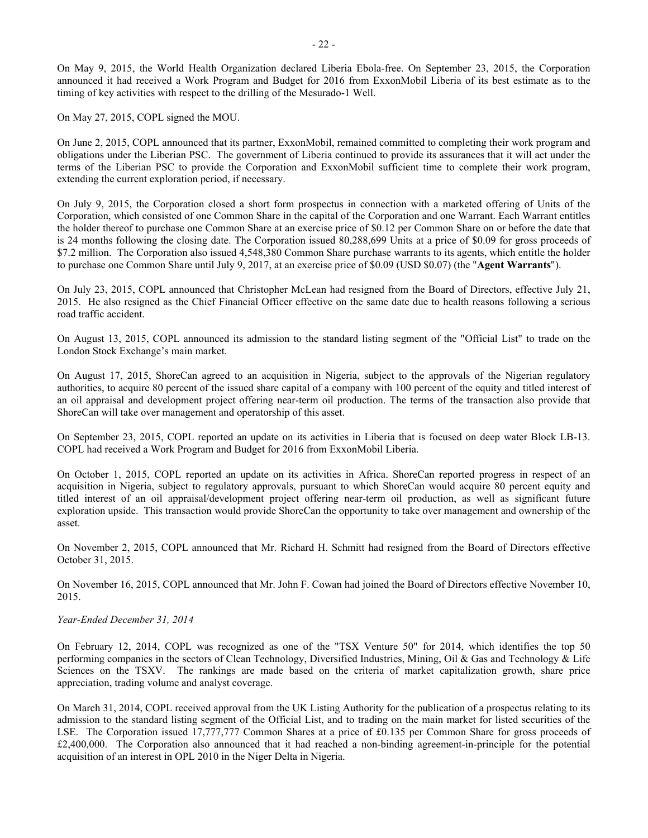On May 9, 2015, the World Health Organization declared Liberia Ebola-free. On September 23, 2015, the Corporation announced it had received a Work Program and Budget for 2016 from ExxonMobil Liberia of its best estimate as to the timing of key activities with respect to the drilling of the Mesurado-1 Well.

On May 27, 2015, COPL signed the MOU.

On June 2, 2015, COPL announced that its partner, ExxonMobil, remained committed to completing their work program and obligations under the Liberian PSC. The government of Liberia continued to provide its assurances that it will act under the terms of the Liberian PSC to provide the Corporation and ExxonMobil sufficient time to complete their work program, extending the current exploration period, if necessary.

On July 9, 2015, the Corporation closed a short form prospectus in connection with a marketed offering of Units of the Corporation, which consisted of one Common Share in the capital of the Corporation and one Warrant. Each Warrant entitles the holder thereof to purchase one Common Share at an exercise price of \$0.12 per Common Share on or before the date that is 24 months following the closing date. The Corporation issued 80,288,699 Units at a price of \$0.09 for gross proceeds of \$7.2 million. The Corporation also issued 4,548,380 Common Share purchase warrants to its agents, which entitle the holder to purchase one Common Share until July 9, 2017, at an exercise price of \$0.09 (USD \$0.07) (the "**Agent Warrants**").

On July 23, 2015, COPL announced that Christopher McLean had resigned from the Board of Directors, effective July 21, 2015. He also resigned as the Chief Financial Officer effective on the same date due to health reasons following a serious road traffic accident.

On August 13, 2015, COPL announced its admission to the standard listing segment of the "Official List" to trade on the London Stock Exchange's main market.

On August 17, 2015, ShoreCan agreed to an acquisition in Nigeria, subject to the approvals of the Nigerian regulatory authorities, to acquire 80 percent of the issued share capital of a company with 100 percent of the equity and titled interest of an oil appraisal and development project offering near-term oil production. The terms of the transaction also provide that ShoreCan will take over management and operatorship of this asset.

On September 23, 2015, COPL reported an update on its activities in Liberia that is focused on deep water Block LB-13. COPL had received a Work Program and Budget for 2016 from ExxonMobil Liberia.

On October 1, 2015, COPL reported an update on its activities in Africa. ShoreCan reported progress in respect of an acquisition in Nigeria, subject to regulatory approvals, pursuant to which ShoreCan would acquire 80 percent equity and titled interest of an oil appraisal/development project offering near-term oil production, as well as significant future exploration upside. This transaction would provide ShoreCan the opportunity to take over management and ownership of the asset.

On November 2, 2015, COPL announced that Mr. Richard H. Schmitt had resigned from the Board of Directors effective October 31, 2015.

On November 16, 2015, COPL announced that Mr. John F. Cowan had joined the Board of Directors effective November 10, 2015.

*Year-Ended December 31, 2014*

On February 12, 2014, COPL was recognized as one of the "TSX Venture 50" for 2014, which identifies the top 50 performing companies in the sectors of Clean Technology, Diversified Industries, Mining, Oil & Gas and Technology & Life Sciences on the TSXV. The rankings are made based on the criteria of market capitalization growth, share price appreciation, trading volume and analyst coverage.

On March 31, 2014, COPL received approval from the UK Listing Authority for the publication of a prospectus relating to its admission to the standard listing segment of the Official List, and to trading on the main market for listed securities of the LSE. The Corporation issued 17,777,777 Common Shares at a price of £0.135 per Common Share for gross proceeds of £2,400,000. The Corporation also announced that it had reached a non-binding agreement-in-principle for the potential acquisition of an interest in OPL 2010 in the Niger Delta in Nigeria.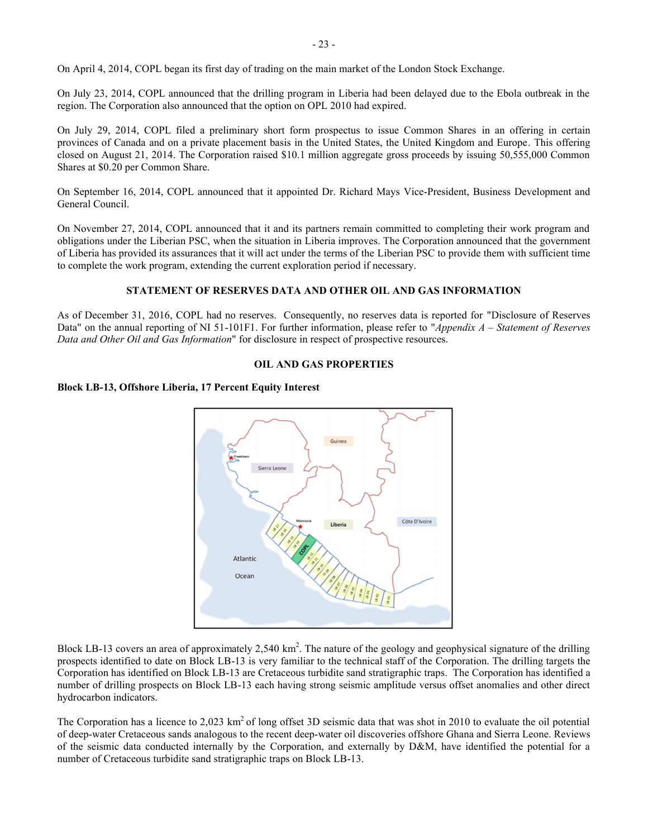On April 4, 2014, COPL began its first day of trading on the main market of the London Stock Exchange.

On July 23, 2014, COPL announced that the drilling program in Liberia had been delayed due to the Ebola outbreak in the region. The Corporation also announced that the option on OPL 2010 had expired.

On July 29, 2014, COPL filed a preliminary short form prospectus to issue Common Shares in an offering in certain provinces of Canada and on a private placement basis in the United States, the United Kingdom and Europe. This offering closed on August 21, 2014. The Corporation raised \$10.1 million aggregate gross proceeds by issuing 50,555,000 Common Shares at \$0.20 per Common Share.

On September 16, 2014, COPL announced that it appointed Dr. Richard Mays Vice-President, Business Development and General Council.

On November 27, 2014, COPL announced that it and its partners remain committed to completing their work program and obligations under the Liberian PSC, when the situation in Liberia improves. The Corporation announced that the government of Liberia has provided its assurances that it will act under the terms of the Liberian PSC to provide them with sufficient time to complete the work program, extending the current exploration period if necessary.

### <span id="page-23-0"></span>**STATEMENT OF RESERVES DATA AND OTHER OIL AND GAS INFORMATION**

As of December 31, 2016, COPL had no reserves. Consequently, no reserves data is reported for "Disclosure of Reserves Data" on the annual reporting of NI 51-101F1. For further information, please refer to "*Appendix A – Statement of Reserves Data and Other Oil and Gas Information*" for disclosure in respect of prospective resources.

#### <span id="page-23-1"></span>**OIL AND GAS PROPERTIES**

### **Block LB-13, Offshore Liberia, 17 Percent Equity Interest**



Block LB-13 covers an area of approximately 2,540  $km^2$ . The nature of the geology and geophysical signature of the drilling prospects identified to date on Block LB-13 is very familiar to the technical staff of the Corporation. The drilling targets the Corporation has identified on Block LB-13 are Cretaceous turbidite sand stratigraphic traps. The Corporation has identified a number of drilling prospects on Block LB-13 each having strong seismic amplitude versus offset anomalies and other direct hydrocarbon indicators.

The Corporation has a licence to 2,023  $km^2$  of long offset 3D seismic data that was shot in 2010 to evaluate the oil potential of deep-water Cretaceous sands analogous to the recent deep-water oil discoveries offshore Ghana and Sierra Leone. Reviews of the seismic data conducted internally by the Corporation, and externally by D&M, have identified the potential for a number of Cretaceous turbidite sand stratigraphic traps on Block LB-13.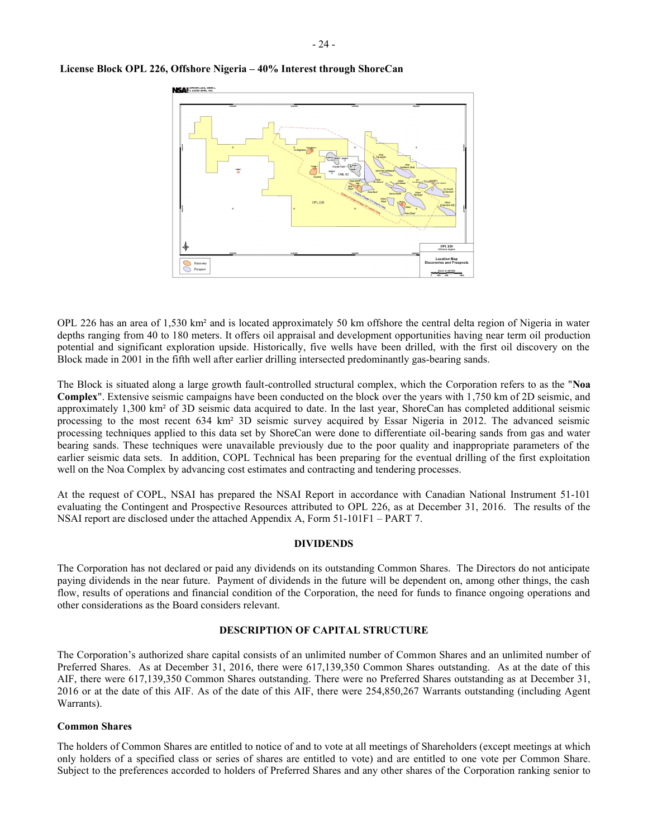

#### **License Block OPL 226, Offshore Nigeria – 40% Interest through ShoreCan**

OPL 226 has an area of 1,530 km² and is located approximately 50 km offshore the central delta region of Nigeria in water depths ranging from 40 to 180 meters. It offers oil appraisal and development opportunities having near term oil production potential and significant exploration upside. Historically, five wells have been drilled, with the first oil discovery on the Block made in 2001 in the fifth well after earlier drilling intersected predominantly gas-bearing sands.

The Block is situated along a large growth fault-controlled structural complex, which the Corporation refers to as the "**Noa Complex**". Extensive seismic campaigns have been conducted on the block over the years with 1,750 km of 2D seismic, and approximately 1,300 km² of 3D seismic data acquired to date. In the last year, ShoreCan has completed additional seismic processing to the most recent 634 km² 3D seismic survey acquired by Essar Nigeria in 2012. The advanced seismic processing techniques applied to this data set by ShoreCan were done to differentiate oil-bearing sands from gas and water bearing sands. These techniques were unavailable previously due to the poor quality and inappropriate parameters of the earlier seismic data sets. In addition, COPL Technical has been preparing for the eventual drilling of the first exploitation well on the Noa Complex by advancing cost estimates and contracting and tendering processes.

At the request of COPL, NSAI has prepared the NSAI Report in accordance with Canadian National Instrument 51-101 evaluating the Contingent and Prospective Resources attributed to OPL 226, as at December 31, 2016. The results of the NSAI report are disclosed under the attached Appendix A, Form 51-101F1 – PART 7.

### <span id="page-24-0"></span>**DIVIDENDS**

The Corporation has not declared or paid any dividends on its outstanding Common Shares. The Directors do not anticipate paying dividends in the near future. Payment of dividends in the future will be dependent on, among other things, the cash flow, results of operations and financial condition of the Corporation, the need for funds to finance ongoing operations and other considerations as the Board considers relevant.

### <span id="page-24-1"></span>**DESCRIPTION OF CAPITAL STRUCTURE**

The Corporation's authorized share capital consists of an unlimited number of Common Shares and an unlimited number of Preferred Shares. As at December 31, 2016, there were 617,139,350 Common Shares outstanding. As at the date of this AIF, there were 617,139,350 Common Shares outstanding. There were no Preferred Shares outstanding as at December 31, 2016 or at the date of this AIF. As of the date of this AIF, there were 254,850,267 Warrants outstanding (including Agent Warrants).

### **Common Shares**

The holders of Common Shares are entitled to notice of and to vote at all meetings of Shareholders (except meetings at which only holders of a specified class or series of shares are entitled to vote) and are entitled to one vote per Common Share. Subject to the preferences accorded to holders of Preferred Shares and any other shares of the Corporation ranking senior to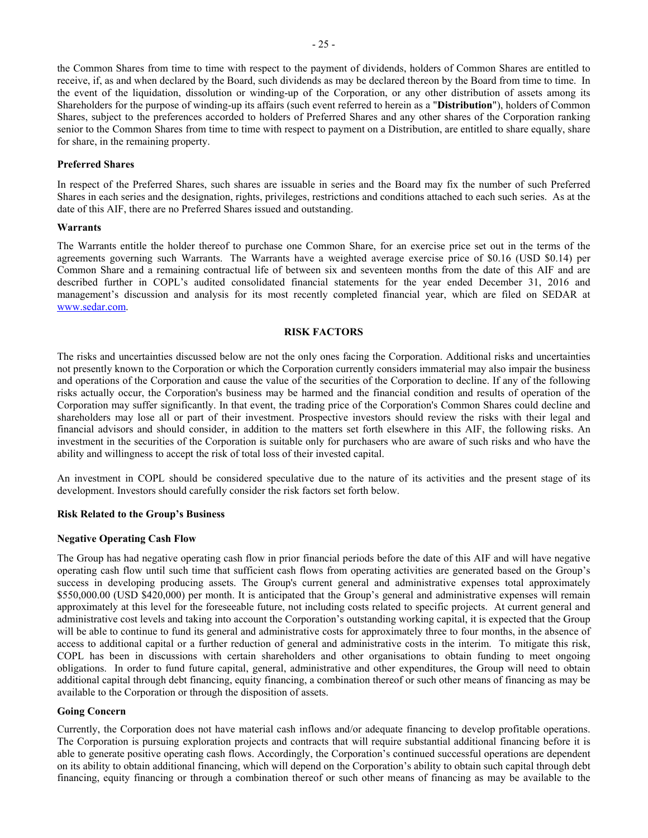the Common Shares from time to time with respect to the payment of dividends, holders of Common Shares are entitled to receive, if, as and when declared by the Board, such dividends as may be declared thereon by the Board from time to time. In the event of the liquidation, dissolution or winding-up of the Corporation, or any other distribution of assets among its Shareholders for the purpose of winding-up its affairs (such event referred to herein as a "**Distribution**"), holders of Common Shares, subject to the preferences accorded to holders of Preferred Shares and any other shares of the Corporation ranking senior to the Common Shares from time to time with respect to payment on a Distribution, are entitled to share equally, share for share, in the remaining property.

### **Preferred Shares**

In respect of the Preferred Shares, such shares are issuable in series and the Board may fix the number of such Preferred Shares in each series and the designation, rights, privileges, restrictions and conditions attached to each such series. As at the date of this AIF, there are no Preferred Shares issued and outstanding.

#### **Warrants**

The Warrants entitle the holder thereof to purchase one Common Share, for an exercise price set out in the terms of the agreements governing such Warrants. The Warrants have a weighted average exercise price of \$0.16 (USD \$0.14) per Common Share and a remaining contractual life of between six and seventeen months from the date of this AIF and are described further in COPL's audited consolidated financial statements for the year ended December 31, 2016 and management's discussion and analysis for its most recently completed financial year, which are filed on SEDAR at [www.sedar.com.](http://www.sedar.com/)

### <span id="page-25-0"></span>**RISK FACTORS**

The risks and uncertainties discussed below are not the only ones facing the Corporation. Additional risks and uncertainties not presently known to the Corporation or which the Corporation currently considers immaterial may also impair the business and operations of the Corporation and cause the value of the securities of the Corporation to decline. If any of the following risks actually occur, the Corporation's business may be harmed and the financial condition and results of operation of the Corporation may suffer significantly. In that event, the trading price of the Corporation's Common Shares could decline and shareholders may lose all or part of their investment. Prospective investors should review the risks with their legal and financial advisors and should consider, in addition to the matters set forth elsewhere in this AIF, the following risks. An investment in the securities of the Corporation is suitable only for purchasers who are aware of such risks and who have the ability and willingness to accept the risk of total loss of their invested capital.

An investment in COPL should be considered speculative due to the nature of its activities and the present stage of its development. Investors should carefully consider the risk factors set forth below.

### **Risk Related to the Group's Business**

#### **Negative Operating Cash Flow**

The Group has had negative operating cash flow in prior financial periods before the date of this AIF and will have negative operating cash flow until such time that sufficient cash flows from operating activities are generated based on the Group's success in developing producing assets. The Group's current general and administrative expenses total approximately \$550,000.00 (USD \$420,000) per month. It is anticipated that the Group's general and administrative expenses will remain approximately at this level for the foreseeable future, not including costs related to specific projects. At current general and administrative cost levels and taking into account the Corporation's outstanding working capital, it is expected that the Group will be able to continue to fund its general and administrative costs for approximately three to four months, in the absence of access to additional capital or a further reduction of general and administrative costs in the interim. To mitigate this risk, COPL has been in discussions with certain shareholders and other organisations to obtain funding to meet ongoing obligations. In order to fund future capital, general, administrative and other expenditures, the Group will need to obtain additional capital through debt financing, equity financing, a combination thereof or such other means of financing as may be available to the Corporation or through the disposition of assets.

#### **Going Concern**

Currently, the Corporation does not have material cash inflows and/or adequate financing to develop profitable operations. The Corporation is pursuing exploration projects and contracts that will require substantial additional financing before it is able to generate positive operating cash flows. Accordingly, the Corporation's continued successful operations are dependent on its ability to obtain additional financing, which will depend on the Corporation's ability to obtain such capital through debt financing, equity financing or through a combination thereof or such other means of financing as may be available to the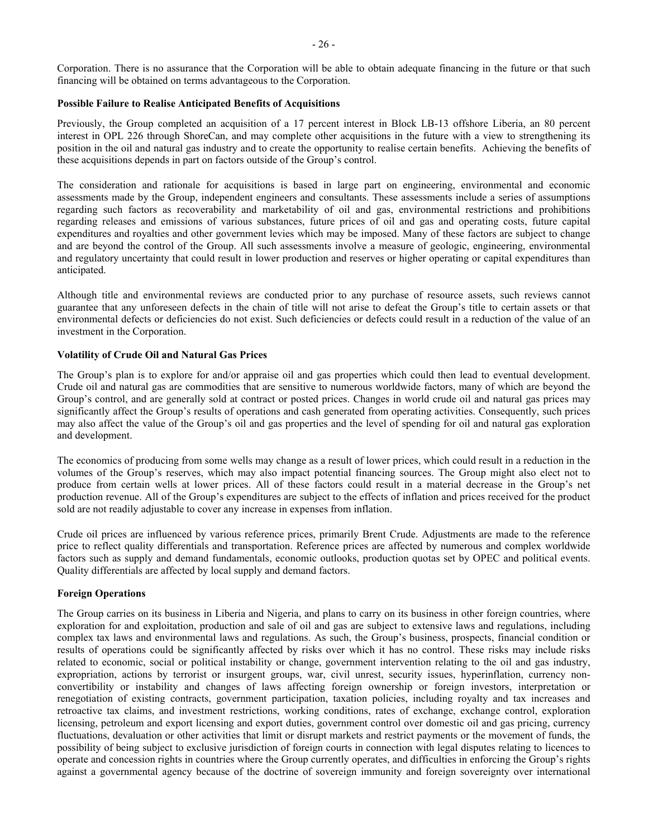Corporation. There is no assurance that the Corporation will be able to obtain adequate financing in the future or that such financing will be obtained on terms advantageous to the Corporation.

#### **Possible Failure to Realise Anticipated Benefits of Acquisitions**

Previously, the Group completed an acquisition of a 17 percent interest in Block LB-13 offshore Liberia, an 80 percent interest in OPL 226 through ShoreCan, and may complete other acquisitions in the future with a view to strengthening its position in the oil and natural gas industry and to create the opportunity to realise certain benefits. Achieving the benefits of these acquisitions depends in part on factors outside of the Group's control.

The consideration and rationale for acquisitions is based in large part on engineering, environmental and economic assessments made by the Group, independent engineers and consultants. These assessments include a series of assumptions regarding such factors as recoverability and marketability of oil and gas, environmental restrictions and prohibitions regarding releases and emissions of various substances, future prices of oil and gas and operating costs, future capital expenditures and royalties and other government levies which may be imposed. Many of these factors are subject to change and are beyond the control of the Group. All such assessments involve a measure of geologic, engineering, environmental and regulatory uncertainty that could result in lower production and reserves or higher operating or capital expenditures than anticipated.

Although title and environmental reviews are conducted prior to any purchase of resource assets, such reviews cannot guarantee that any unforeseen defects in the chain of title will not arise to defeat the Group's title to certain assets or that environmental defects or deficiencies do not exist. Such deficiencies or defects could result in a reduction of the value of an investment in the Corporation.

### **Volatility of Crude Oil and Natural Gas Prices**

The Group's plan is to explore for and/or appraise oil and gas properties which could then lead to eventual development. Crude oil and natural gas are commodities that are sensitive to numerous worldwide factors, many of which are beyond the Group's control, and are generally sold at contract or posted prices. Changes in world crude oil and natural gas prices may significantly affect the Group's results of operations and cash generated from operating activities. Consequently, such prices may also affect the value of the Group's oil and gas properties and the level of spending for oil and natural gas exploration and development.

The economics of producing from some wells may change as a result of lower prices, which could result in a reduction in the volumes of the Group's reserves, which may also impact potential financing sources. The Group might also elect not to produce from certain wells at lower prices. All of these factors could result in a material decrease in the Group's net production revenue. All of the Group's expenditures are subject to the effects of inflation and prices received for the product sold are not readily adjustable to cover any increase in expenses from inflation.

Crude oil prices are influenced by various reference prices, primarily Brent Crude. Adjustments are made to the reference price to reflect quality differentials and transportation. Reference prices are affected by numerous and complex worldwide factors such as supply and demand fundamentals, economic outlooks, production quotas set by OPEC and political events. Quality differentials are affected by local supply and demand factors.

### **Foreign Operations**

The Group carries on its business in Liberia and Nigeria, and plans to carry on its business in other foreign countries, where exploration for and exploitation, production and sale of oil and gas are subject to extensive laws and regulations, including complex tax laws and environmental laws and regulations. As such, the Group's business, prospects, financial condition or results of operations could be significantly affected by risks over which it has no control. These risks may include risks related to economic, social or political instability or change, government intervention relating to the oil and gas industry, expropriation, actions by terrorist or insurgent groups, war, civil unrest, security issues, hyperinflation, currency nonconvertibility or instability and changes of laws affecting foreign ownership or foreign investors, interpretation or renegotiation of existing contracts, government participation, taxation policies, including royalty and tax increases and retroactive tax claims, and investment restrictions, working conditions, rates of exchange, exchange control, exploration licensing, petroleum and export licensing and export duties, government control over domestic oil and gas pricing, currency fluctuations, devaluation or other activities that limit or disrupt markets and restrict payments or the movement of funds, the possibility of being subject to exclusive jurisdiction of foreign courts in connection with legal disputes relating to licences to operate and concession rights in countries where the Group currently operates, and difficulties in enforcing the Group's rights against a governmental agency because of the doctrine of sovereign immunity and foreign sovereignty over international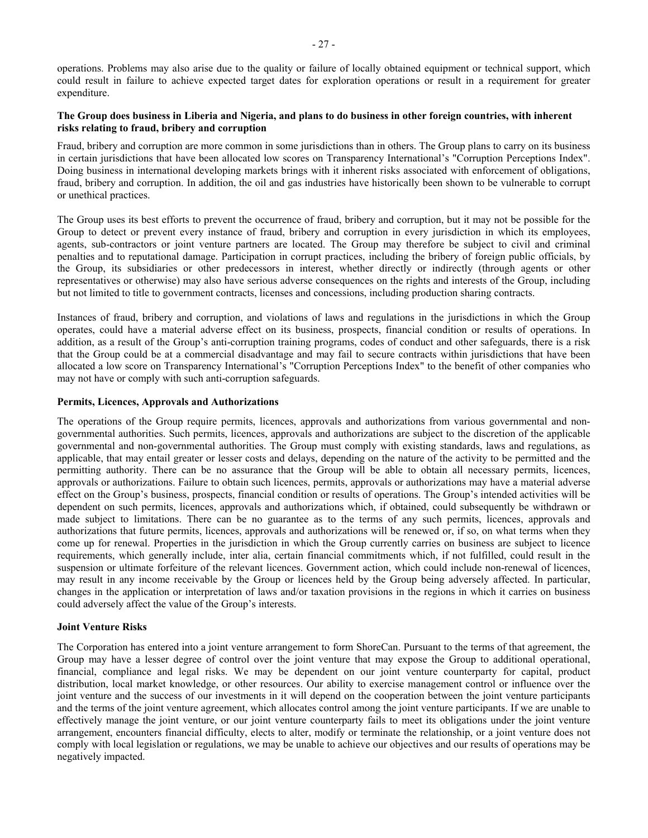### **The Group does business in Liberia and Nigeria, and plans to do business in other foreign countries, with inherent risks relating to fraud, bribery and corruption**

Fraud, bribery and corruption are more common in some jurisdictions than in others. The Group plans to carry on its business in certain jurisdictions that have been allocated low scores on Transparency International's "Corruption Perceptions Index". Doing business in international developing markets brings with it inherent risks associated with enforcement of obligations, fraud, bribery and corruption. In addition, the oil and gas industries have historically been shown to be vulnerable to corrupt or unethical practices.

The Group uses its best efforts to prevent the occurrence of fraud, bribery and corruption, but it may not be possible for the Group to detect or prevent every instance of fraud, bribery and corruption in every jurisdiction in which its employees, agents, sub-contractors or joint venture partners are located. The Group may therefore be subject to civil and criminal penalties and to reputational damage. Participation in corrupt practices, including the bribery of foreign public officials, by the Group, its subsidiaries or other predecessors in interest, whether directly or indirectly (through agents or other representatives or otherwise) may also have serious adverse consequences on the rights and interests of the Group, including but not limited to title to government contracts, licenses and concessions, including production sharing contracts.

Instances of fraud, bribery and corruption, and violations of laws and regulations in the jurisdictions in which the Group operates, could have a material adverse effect on its business, prospects, financial condition or results of operations. In addition, as a result of the Group's anti-corruption training programs, codes of conduct and other safeguards, there is a risk that the Group could be at a commercial disadvantage and may fail to secure contracts within jurisdictions that have been allocated a low score on Transparency International's "Corruption Perceptions Index" to the benefit of other companies who may not have or comply with such anti-corruption safeguards.

### **Permits, Licences, Approvals and Authorizations**

The operations of the Group require permits, licences, approvals and authorizations from various governmental and nongovernmental authorities. Such permits, licences, approvals and authorizations are subject to the discretion of the applicable governmental and non-governmental authorities. The Group must comply with existing standards, laws and regulations, as applicable, that may entail greater or lesser costs and delays, depending on the nature of the activity to be permitted and the permitting authority. There can be no assurance that the Group will be able to obtain all necessary permits, licences, approvals or authorizations. Failure to obtain such licences, permits, approvals or authorizations may have a material adverse effect on the Group's business, prospects, financial condition or results of operations. The Group's intended activities will be dependent on such permits, licences, approvals and authorizations which, if obtained, could subsequently be withdrawn or made subject to limitations. There can be no guarantee as to the terms of any such permits, licences, approvals and authorizations that future permits, licences, approvals and authorizations will be renewed or, if so, on what terms when they come up for renewal. Properties in the jurisdiction in which the Group currently carries on business are subject to licence requirements, which generally include, inter alia, certain financial commitments which, if not fulfilled, could result in the suspension or ultimate forfeiture of the relevant licences. Government action, which could include non-renewal of licences, may result in any income receivable by the Group or licences held by the Group being adversely affected. In particular, changes in the application or interpretation of laws and/or taxation provisions in the regions in which it carries on business could adversely affect the value of the Group's interests.

### **Joint Venture Risks**

The Corporation has entered into a joint venture arrangement to form ShoreCan. Pursuant to the terms of that agreement, the Group may have a lesser degree of control over the joint venture that may expose the Group to additional operational, financial, compliance and legal risks. We may be dependent on our joint venture counterparty for capital, product distribution, local market knowledge, or other resources. Our ability to exercise management control or influence over the joint venture and the success of our investments in it will depend on the cooperation between the joint venture participants and the terms of the joint venture agreement, which allocates control among the joint venture participants. If we are unable to effectively manage the joint venture, or our joint venture counterparty fails to meet its obligations under the joint venture arrangement, encounters financial difficulty, elects to alter, modify or terminate the relationship, or a joint venture does not comply with local legislation or regulations, we may be unable to achieve our objectives and our results of operations may be negatively impacted.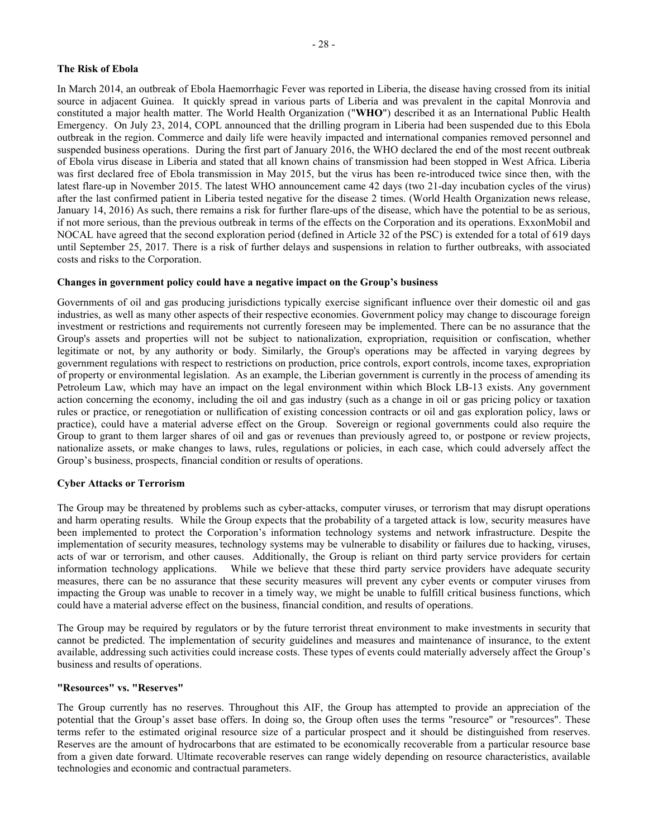### **The Risk of Ebola**

In March 2014, an outbreak of Ebola Haemorrhagic Fever was reported in Liberia, the disease having crossed from its initial source in adjacent Guinea. It quickly spread in various parts of Liberia and was prevalent in the capital Monrovia and constituted a major health matter. The World Health Organization ("**WHO**") described it as an International Public Health Emergency. On July 23, 2014, COPL announced that the drilling program in Liberia had been suspended due to this Ebola outbreak in the region. Commerce and daily life were heavily impacted and international companies removed personnel and suspended business operations. During the first part of January 2016, the WHO declared the end of the most recent outbreak of Ebola virus disease in Liberia and stated that all known chains of transmission had been stopped in West Africa. Liberia was first declared free of Ebola transmission in May 2015, but the virus has been re-introduced twice since then, with the latest flare-up in November 2015. The latest WHO announcement came 42 days (two 21-day incubation cycles of the virus) after the last confirmed patient in Liberia tested negative for the disease 2 times. (World Health Organization news release, January 14, 2016) As such, there remains a risk for further flare-ups of the disease, which have the potential to be as serious, if not more serious, than the previous outbreak in terms of the effects on the Corporation and its operations. ExxonMobil and NOCAL have agreed that the second exploration period (defined in Article 32 of the PSC) is extended for a total of 619 days until September 25, 2017. There is a risk of further delays and suspensions in relation to further outbreaks, with associated costs and risks to the Corporation.

### **Changes in government policy could have a negative impact on the Group's business**

Governments of oil and gas producing jurisdictions typically exercise significant influence over their domestic oil and gas industries, as well as many other aspects of their respective economies. Government policy may change to discourage foreign investment or restrictions and requirements not currently foreseen may be implemented. There can be no assurance that the Group's assets and properties will not be subject to nationalization, expropriation, requisition or confiscation, whether legitimate or not, by any authority or body. Similarly, the Group's operations may be affected in varying degrees by government regulations with respect to restrictions on production, price controls, export controls, income taxes, expropriation of property or environmental legislation. As an example, the Liberian government is currently in the process of amending its Petroleum Law, which may have an impact on the legal environment within which Block LB-13 exists. Any government action concerning the economy, including the oil and gas industry (such as a change in oil or gas pricing policy or taxation rules or practice, or renegotiation or nullification of existing concession contracts or oil and gas exploration policy, laws or practice), could have a material adverse effect on the Group. Sovereign or regional governments could also require the Group to grant to them larger shares of oil and gas or revenues than previously agreed to, or postpone or review projects, nationalize assets, or make changes to laws, rules, regulations or policies, in each case, which could adversely affect the Group's business, prospects, financial condition or results of operations.

### **Cyber Attacks or Terrorism**

The Group may be threatened by problems such as cyber-attacks, computer viruses, or terrorism that may disrupt operations and harm operating results. While the Group expects that the probability of a targeted attack is low, security measures have been implemented to protect the Corporation's information technology systems and network infrastructure. Despite the implementation of security measures, technology systems may be vulnerable to disability or failures due to hacking, viruses, acts of war or terrorism, and other causes. Additionally, the Group is reliant on third party service providers for certain information technology applications. While we believe that these third party service providers have adequate security measures, there can be no assurance that these security measures will prevent any cyber events or computer viruses from impacting the Group was unable to recover in a timely way, we might be unable to fulfill critical business functions, which could have a material adverse effect on the business, financial condition, and results of operations.

The Group may be required by regulators or by the future terrorist threat environment to make investments in security that cannot be predicted. The implementation of security guidelines and measures and maintenance of insurance, to the extent available, addressing such activities could increase costs. These types of events could materially adversely affect the Group's business and results of operations.

### **"Resources" vs. "Reserves"**

The Group currently has no reserves. Throughout this AIF, the Group has attempted to provide an appreciation of the potential that the Group's asset base offers. In doing so, the Group often uses the terms "resource" or "resources". These terms refer to the estimated original resource size of a particular prospect and it should be distinguished from reserves. Reserves are the amount of hydrocarbons that are estimated to be economically recoverable from a particular resource base from a given date forward. Ultimate recoverable reserves can range widely depending on resource characteristics, available technologies and economic and contractual parameters.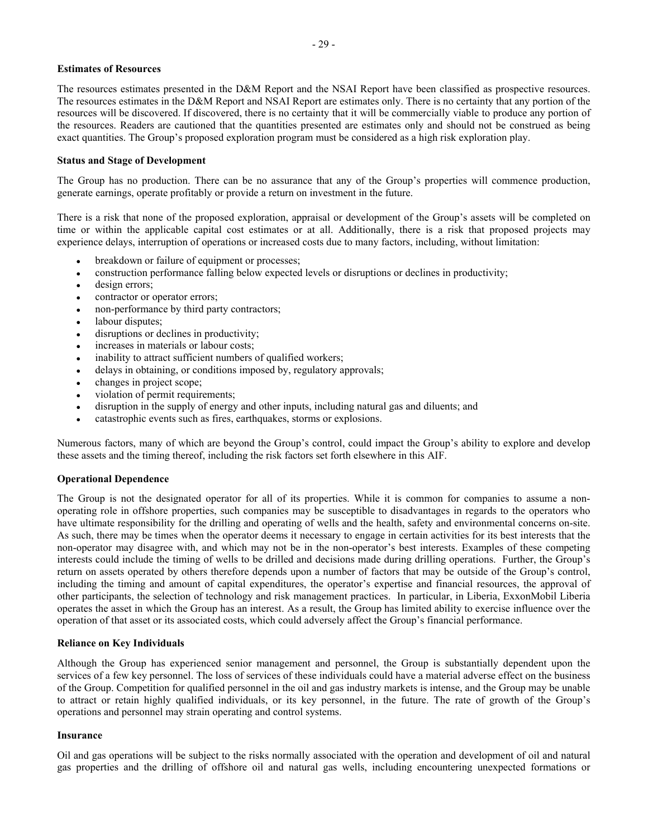### **Estimates of Resources**

The resources estimates presented in the D&M Report and the NSAI Report have been classified as prospective resources. The resources estimates in the D&M Report and NSAI Report are estimates only. There is no certainty that any portion of the resources will be discovered. If discovered, there is no certainty that it will be commercially viable to produce any portion of the resources. Readers are cautioned that the quantities presented are estimates only and should not be construed as being exact quantities. The Group's proposed exploration program must be considered as a high risk exploration play.

### **Status and Stage of Development**

The Group has no production. There can be no assurance that any of the Group's properties will commence production, generate earnings, operate profitably or provide a return on investment in the future.

There is a risk that none of the proposed exploration, appraisal or development of the Group's assets will be completed on time or within the applicable capital cost estimates or at all. Additionally, there is a risk that proposed projects may experience delays, interruption of operations or increased costs due to many factors, including, without limitation:

- breakdown or failure of equipment or processes;
- construction performance falling below expected levels or disruptions or declines in productivity;
- design errors;
- contractor or operator errors;
- non-performance by third party contractors;
- labour disputes;
- disruptions or declines in productivity;
- increases in materials or labour costs;
- inability to attract sufficient numbers of qualified workers;
- delays in obtaining, or conditions imposed by, regulatory approvals;
- changes in project scope;
- violation of permit requirements;
- disruption in the supply of energy and other inputs, including natural gas and diluents; and
- catastrophic events such as fires, earthquakes, storms or explosions.

Numerous factors, many of which are beyond the Group's control, could impact the Group's ability to explore and develop these assets and the timing thereof, including the risk factors set forth elsewhere in this AIF.

### **Operational Dependence**

The Group is not the designated operator for all of its properties. While it is common for companies to assume a nonoperating role in offshore properties, such companies may be susceptible to disadvantages in regards to the operators who have ultimate responsibility for the drilling and operating of wells and the health, safety and environmental concerns on-site. As such, there may be times when the operator deems it necessary to engage in certain activities for its best interests that the non-operator may disagree with, and which may not be in the non-operator's best interests. Examples of these competing interests could include the timing of wells to be drilled and decisions made during drilling operations. Further, the Group's return on assets operated by others therefore depends upon a number of factors that may be outside of the Group's control, including the timing and amount of capital expenditures, the operator's expertise and financial resources, the approval of other participants, the selection of technology and risk management practices. In particular, in Liberia, ExxonMobil Liberia operates the asset in which the Group has an interest. As a result, the Group has limited ability to exercise influence over the operation of that asset or its associated costs, which could adversely affect the Group's financial performance.

### **Reliance on Key Individuals**

Although the Group has experienced senior management and personnel, the Group is substantially dependent upon the services of a few key personnel. The loss of services of these individuals could have a material adverse effect on the business of the Group. Competition for qualified personnel in the oil and gas industry markets is intense, and the Group may be unable to attract or retain highly qualified individuals, or its key personnel, in the future. The rate of growth of the Group's operations and personnel may strain operating and control systems.

### **Insurance**

Oil and gas operations will be subject to the risks normally associated with the operation and development of oil and natural gas properties and the drilling of offshore oil and natural gas wells, including encountering unexpected formations or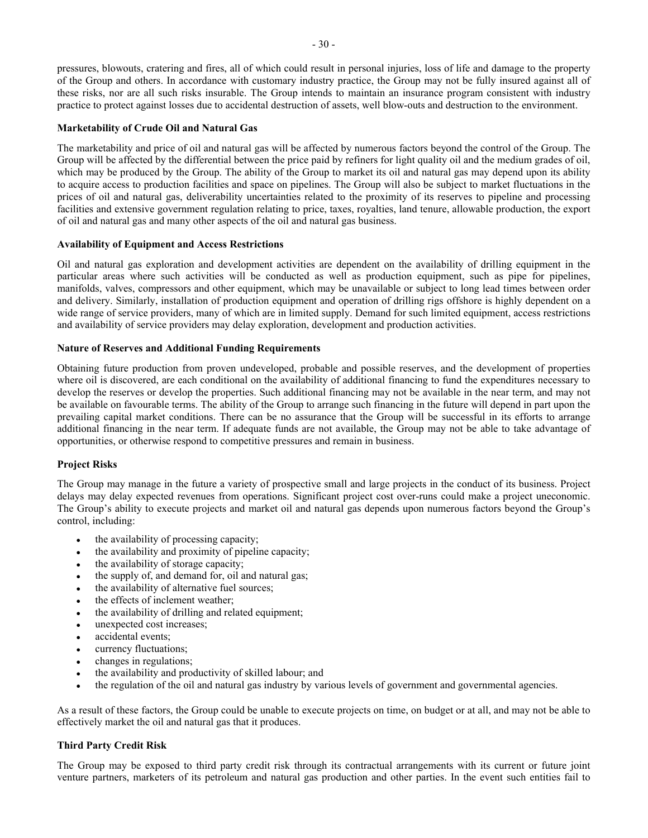pressures, blowouts, cratering and fires, all of which could result in personal injuries, loss of life and damage to the property of the Group and others. In accordance with customary industry practice, the Group may not be fully insured against all of these risks, nor are all such risks insurable. The Group intends to maintain an insurance program consistent with industry practice to protect against losses due to accidental destruction of assets, well blow-outs and destruction to the environment.

### **Marketability of Crude Oil and Natural Gas**

The marketability and price of oil and natural gas will be affected by numerous factors beyond the control of the Group. The Group will be affected by the differential between the price paid by refiners for light quality oil and the medium grades of oil, which may be produced by the Group. The ability of the Group to market its oil and natural gas may depend upon its ability to acquire access to production facilities and space on pipelines. The Group will also be subject to market fluctuations in the prices of oil and natural gas, deliverability uncertainties related to the proximity of its reserves to pipeline and processing facilities and extensive government regulation relating to price, taxes, royalties, land tenure, allowable production, the export of oil and natural gas and many other aspects of the oil and natural gas business.

### **Availability of Equipment and Access Restrictions**

Oil and natural gas exploration and development activities are dependent on the availability of drilling equipment in the particular areas where such activities will be conducted as well as production equipment, such as pipe for pipelines, manifolds, valves, compressors and other equipment, which may be unavailable or subject to long lead times between order and delivery. Similarly, installation of production equipment and operation of drilling rigs offshore is highly dependent on a wide range of service providers, many of which are in limited supply. Demand for such limited equipment, access restrictions and availability of service providers may delay exploration, development and production activities.

### **Nature of Reserves and Additional Funding Requirements**

Obtaining future production from proven undeveloped, probable and possible reserves, and the development of properties where oil is discovered, are each conditional on the availability of additional financing to fund the expenditures necessary to develop the reserves or develop the properties. Such additional financing may not be available in the near term, and may not be available on favourable terms. The ability of the Group to arrange such financing in the future will depend in part upon the prevailing capital market conditions. There can be no assurance that the Group will be successful in its efforts to arrange additional financing in the near term. If adequate funds are not available, the Group may not be able to take advantage of opportunities, or otherwise respond to competitive pressures and remain in business.

### **Project Risks**

The Group may manage in the future a variety of prospective small and large projects in the conduct of its business. Project delays may delay expected revenues from operations. Significant project cost over-runs could make a project uneconomic. The Group's ability to execute projects and market oil and natural gas depends upon numerous factors beyond the Group's control, including:

- the availability of processing capacity;
- the availability and proximity of pipeline capacity;
- the availability of storage capacity;
- the supply of, and demand for, oil and natural gas;
- the availability of alternative fuel sources;
- the effects of inclement weather;
- the availability of drilling and related equipment;
- unexpected cost increases;
- accidental events;
- currency fluctuations:
- changes in regulations;
- the availability and productivity of skilled labour; and
- the regulation of the oil and natural gas industry by various levels of government and governmental agencies.

As a result of these factors, the Group could be unable to execute projects on time, on budget or at all, and may not be able to effectively market the oil and natural gas that it produces.

### **Third Party Credit Risk**

The Group may be exposed to third party credit risk through its contractual arrangements with its current or future joint venture partners, marketers of its petroleum and natural gas production and other parties. In the event such entities fail to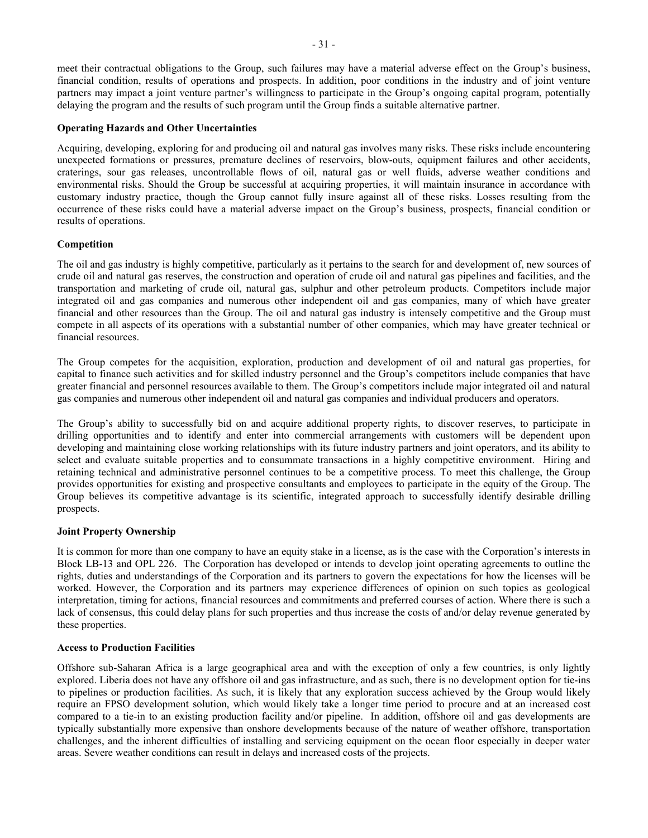meet their contractual obligations to the Group, such failures may have a material adverse effect on the Group's business, financial condition, results of operations and prospects. In addition, poor conditions in the industry and of joint venture partners may impact a joint venture partner's willingness to participate in the Group's ongoing capital program, potentially delaying the program and the results of such program until the Group finds a suitable alternative partner.

### **Operating Hazards and Other Uncertainties**

Acquiring, developing, exploring for and producing oil and natural gas involves many risks. These risks include encountering unexpected formations or pressures, premature declines of reservoirs, blow-outs, equipment failures and other accidents, craterings, sour gas releases, uncontrollable flows of oil, natural gas or well fluids, adverse weather conditions and environmental risks. Should the Group be successful at acquiring properties, it will maintain insurance in accordance with customary industry practice, though the Group cannot fully insure against all of these risks. Losses resulting from the occurrence of these risks could have a material adverse impact on the Group's business, prospects, financial condition or results of operations.

### **Competition**

The oil and gas industry is highly competitive, particularly as it pertains to the search for and development of, new sources of crude oil and natural gas reserves, the construction and operation of crude oil and natural gas pipelines and facilities, and the transportation and marketing of crude oil, natural gas, sulphur and other petroleum products. Competitors include major integrated oil and gas companies and numerous other independent oil and gas companies, many of which have greater financial and other resources than the Group. The oil and natural gas industry is intensely competitive and the Group must compete in all aspects of its operations with a substantial number of other companies, which may have greater technical or financial resources.

The Group competes for the acquisition, exploration, production and development of oil and natural gas properties, for capital to finance such activities and for skilled industry personnel and the Group's competitors include companies that have greater financial and personnel resources available to them. The Group's competitors include major integrated oil and natural gas companies and numerous other independent oil and natural gas companies and individual producers and operators.

The Group's ability to successfully bid on and acquire additional property rights, to discover reserves, to participate in drilling opportunities and to identify and enter into commercial arrangements with customers will be dependent upon developing and maintaining close working relationships with its future industry partners and joint operators, and its ability to select and evaluate suitable properties and to consummate transactions in a highly competitive environment. Hiring and retaining technical and administrative personnel continues to be a competitive process. To meet this challenge, the Group provides opportunities for existing and prospective consultants and employees to participate in the equity of the Group. The Group believes its competitive advantage is its scientific, integrated approach to successfully identify desirable drilling prospects.

### **Joint Property Ownership**

It is common for more than one company to have an equity stake in a license, as is the case with the Corporation's interests in Block LB-13 and OPL 226. The Corporation has developed or intends to develop joint operating agreements to outline the rights, duties and understandings of the Corporation and its partners to govern the expectations for how the licenses will be worked. However, the Corporation and its partners may experience differences of opinion on such topics as geological interpretation, timing for actions, financial resources and commitments and preferred courses of action. Where there is such a lack of consensus, this could delay plans for such properties and thus increase the costs of and/or delay revenue generated by these properties.

### **Access to Production Facilities**

Offshore sub-Saharan Africa is a large geographical area and with the exception of only a few countries, is only lightly explored. Liberia does not have any offshore oil and gas infrastructure, and as such, there is no development option for tie-ins to pipelines or production facilities. As such, it is likely that any exploration success achieved by the Group would likely require an FPSO development solution, which would likely take a longer time period to procure and at an increased cost compared to a tie-in to an existing production facility and/or pipeline. In addition, offshore oil and gas developments are typically substantially more expensive than onshore developments because of the nature of weather offshore, transportation challenges, and the inherent difficulties of installing and servicing equipment on the ocean floor especially in deeper water areas. Severe weather conditions can result in delays and increased costs of the projects.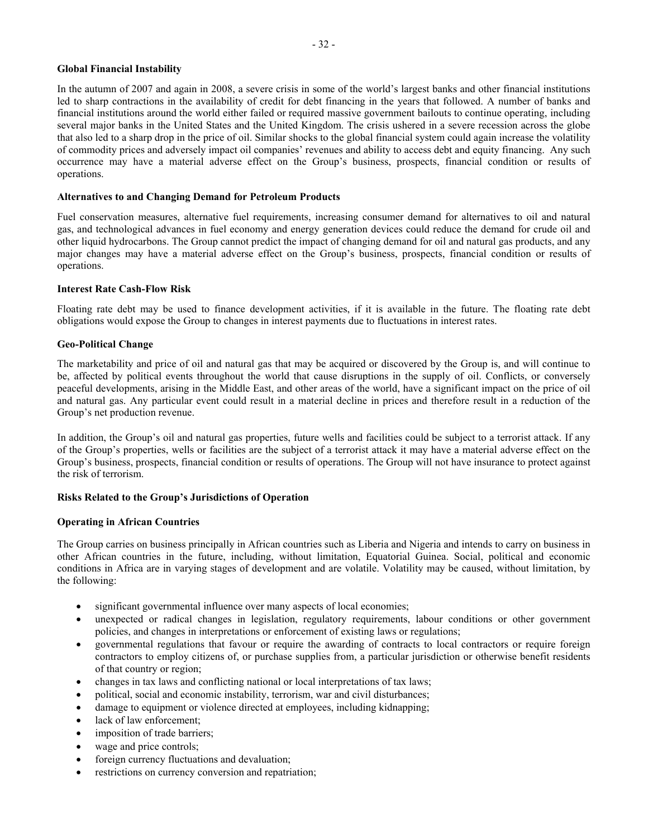### **Global Financial Instability**

In the autumn of 2007 and again in 2008, a severe crisis in some of the world's largest banks and other financial institutions led to sharp contractions in the availability of credit for debt financing in the years that followed. A number of banks and financial institutions around the world either failed or required massive government bailouts to continue operating, including several major banks in the United States and the United Kingdom. The crisis ushered in a severe recession across the globe that also led to a sharp drop in the price of oil. Similar shocks to the global financial system could again increase the volatility of commodity prices and adversely impact oil companies' revenues and ability to access debt and equity financing. Any such occurrence may have a material adverse effect on the Group's business, prospects, financial condition or results of operations.

### **Alternatives to and Changing Demand for Petroleum Products**

Fuel conservation measures, alternative fuel requirements, increasing consumer demand for alternatives to oil and natural gas, and technological advances in fuel economy and energy generation devices could reduce the demand for crude oil and other liquid hydrocarbons. The Group cannot predict the impact of changing demand for oil and natural gas products, and any major changes may have a material adverse effect on the Group's business, prospects, financial condition or results of operations.

### **Interest Rate Cash-Flow Risk**

Floating rate debt may be used to finance development activities, if it is available in the future. The floating rate debt obligations would expose the Group to changes in interest payments due to fluctuations in interest rates.

### **Geo-Political Change**

The marketability and price of oil and natural gas that may be acquired or discovered by the Group is, and will continue to be, affected by political events throughout the world that cause disruptions in the supply of oil. Conflicts, or conversely peaceful developments, arising in the Middle East, and other areas of the world, have a significant impact on the price of oil and natural gas. Any particular event could result in a material decline in prices and therefore result in a reduction of the Group's net production revenue.

In addition, the Group's oil and natural gas properties, future wells and facilities could be subject to a terrorist attack. If any of the Group's properties, wells or facilities are the subject of a terrorist attack it may have a material adverse effect on the Group's business, prospects, financial condition or results of operations. The Group will not have insurance to protect against the risk of terrorism.

### **Risks Related to the Group's Jurisdictions of Operation**

### **Operating in African Countries**

The Group carries on business principally in African countries such as Liberia and Nigeria and intends to carry on business in other African countries in the future, including, without limitation, Equatorial Guinea. Social, political and economic conditions in Africa are in varying stages of development and are volatile. Volatility may be caused, without limitation, by the following:

- significant governmental influence over many aspects of local economies;
- unexpected or radical changes in legislation, regulatory requirements, labour conditions or other government policies, and changes in interpretations or enforcement of existing laws or regulations;
- governmental regulations that favour or require the awarding of contracts to local contractors or require foreign contractors to employ citizens of, or purchase supplies from, a particular jurisdiction or otherwise benefit residents of that country or region;
- changes in tax laws and conflicting national or local interpretations of tax laws;
- political, social and economic instability, terrorism, war and civil disturbances;
- damage to equipment or violence directed at employees, including kidnapping;
- lack of law enforcement;
- imposition of trade barriers;
- wage and price controls:
- foreign currency fluctuations and devaluation;
- restrictions on currency conversion and repatriation;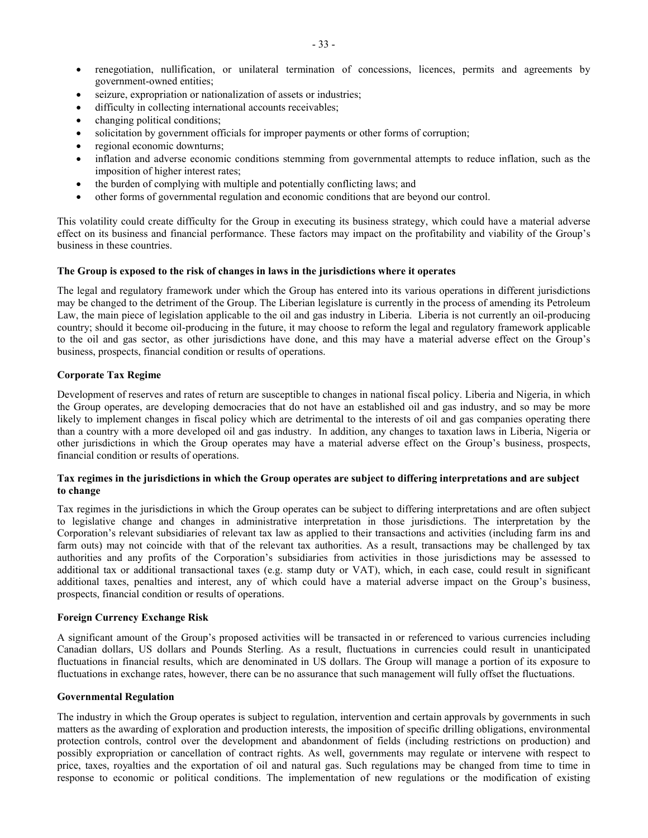- renegotiation, nullification, or unilateral termination of concessions, licences, permits and agreements by government-owned entities;
- seizure, expropriation or nationalization of assets or industries;
- difficulty in collecting international accounts receivables;
- changing political conditions;
- solicitation by government officials for improper payments or other forms of corruption;
- regional economic downturns;
- inflation and adverse economic conditions stemming from governmental attempts to reduce inflation, such as the imposition of higher interest rates;
- the burden of complying with multiple and potentially conflicting laws; and
- other forms of governmental regulation and economic conditions that are beyond our control.

This volatility could create difficulty for the Group in executing its business strategy, which could have a material adverse effect on its business and financial performance. These factors may impact on the profitability and viability of the Group's business in these countries.

### **The Group is exposed to the risk of changes in laws in the jurisdictions where it operates**

The legal and regulatory framework under which the Group has entered into its various operations in different jurisdictions may be changed to the detriment of the Group. The Liberian legislature is currently in the process of amending its Petroleum Law, the main piece of legislation applicable to the oil and gas industry in Liberia. Liberia is not currently an oil-producing country; should it become oil-producing in the future, it may choose to reform the legal and regulatory framework applicable to the oil and gas sector, as other jurisdictions have done, and this may have a material adverse effect on the Group's business, prospects, financial condition or results of operations.

### **Corporate Tax Regime**

Development of reserves and rates of return are susceptible to changes in national fiscal policy. Liberia and Nigeria, in which the Group operates, are developing democracies that do not have an established oil and gas industry, and so may be more likely to implement changes in fiscal policy which are detrimental to the interests of oil and gas companies operating there than a country with a more developed oil and gas industry. In addition, any changes to taxation laws in Liberia, Nigeria or other jurisdictions in which the Group operates may have a material adverse effect on the Group's business, prospects, financial condition or results of operations.

### **Tax regimes in the jurisdictions in which the Group operates are subject to differing interpretations and are subject to change**

Tax regimes in the jurisdictions in which the Group operates can be subject to differing interpretations and are often subject to legislative change and changes in administrative interpretation in those jurisdictions. The interpretation by the Corporation's relevant subsidiaries of relevant tax law as applied to their transactions and activities (including farm ins and farm outs) may not coincide with that of the relevant tax authorities. As a result, transactions may be challenged by tax authorities and any profits of the Corporation's subsidiaries from activities in those jurisdictions may be assessed to additional tax or additional transactional taxes (e.g. stamp duty or VAT), which, in each case, could result in significant additional taxes, penalties and interest, any of which could have a material adverse impact on the Group's business, prospects, financial condition or results of operations.

### **Foreign Currency Exchange Risk**

A significant amount of the Group's proposed activities will be transacted in or referenced to various currencies including Canadian dollars, US dollars and Pounds Sterling. As a result, fluctuations in currencies could result in unanticipated fluctuations in financial results, which are denominated in US dollars. The Group will manage a portion of its exposure to fluctuations in exchange rates, however, there can be no assurance that such management will fully offset the fluctuations.

### **Governmental Regulation**

The industry in which the Group operates is subject to regulation, intervention and certain approvals by governments in such matters as the awarding of exploration and production interests, the imposition of specific drilling obligations, environmental protection controls, control over the development and abandonment of fields (including restrictions on production) and possibly expropriation or cancellation of contract rights. As well, governments may regulate or intervene with respect to price, taxes, royalties and the exportation of oil and natural gas. Such regulations may be changed from time to time in response to economic or political conditions. The implementation of new regulations or the modification of existing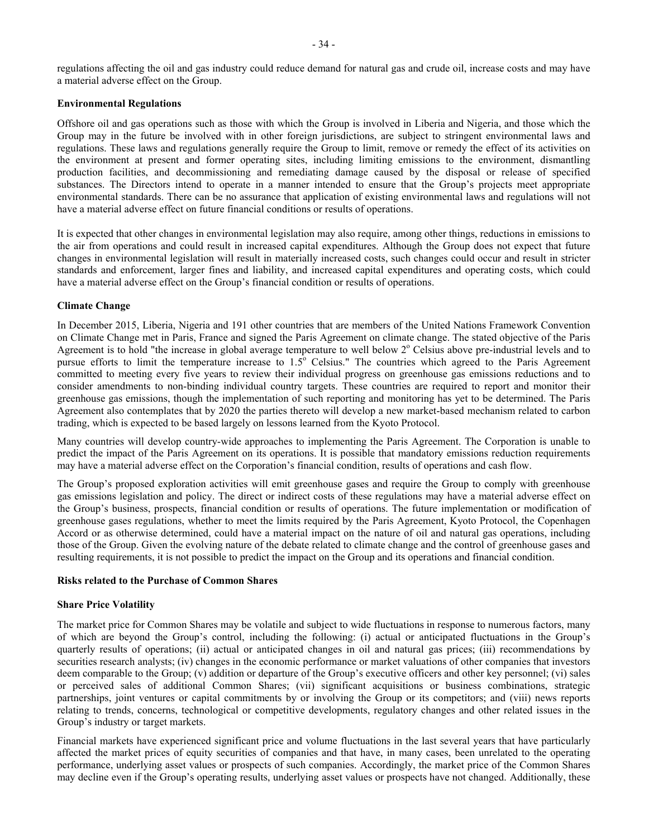regulations affecting the oil and gas industry could reduce demand for natural gas and crude oil, increase costs and may have a material adverse effect on the Group.

### **Environmental Regulations**

Offshore oil and gas operations such as those with which the Group is involved in Liberia and Nigeria, and those which the Group may in the future be involved with in other foreign jurisdictions, are subject to stringent environmental laws and regulations. These laws and regulations generally require the Group to limit, remove or remedy the effect of its activities on the environment at present and former operating sites, including limiting emissions to the environment, dismantling production facilities, and decommissioning and remediating damage caused by the disposal or release of specified substances. The Directors intend to operate in a manner intended to ensure that the Group's projects meet appropriate environmental standards. There can be no assurance that application of existing environmental laws and regulations will not have a material adverse effect on future financial conditions or results of operations.

It is expected that other changes in environmental legislation may also require, among other things, reductions in emissions to the air from operations and could result in increased capital expenditures. Although the Group does not expect that future changes in environmental legislation will result in materially increased costs, such changes could occur and result in stricter standards and enforcement, larger fines and liability, and increased capital expenditures and operating costs, which could have a material adverse effect on the Group's financial condition or results of operations.

### **Climate Change**

In December 2015, Liberia, Nigeria and 191 other countries that are members of the United Nations Framework Convention on Climate Change met in Paris, France and signed the Paris Agreement on climate change. The stated objective of the Paris Agreement is to hold "the increase in global average temperature to well below  $2^{\circ}$  Celsius above pre-industrial levels and to pursue efforts to limit the temperature increase to 1.5<sup>o</sup> Celsius." The countries which agreed to the Paris Agreement committed to meeting every five years to review their individual progress on greenhouse gas emissions reductions and to consider amendments to non-binding individual country targets. These countries are required to report and monitor their greenhouse gas emissions, though the implementation of such reporting and monitoring has yet to be determined. The Paris Agreement also contemplates that by 2020 the parties thereto will develop a new market-based mechanism related to carbon trading, which is expected to be based largely on lessons learned from the Kyoto Protocol.

Many countries will develop country-wide approaches to implementing the Paris Agreement. The Corporation is unable to predict the impact of the Paris Agreement on its operations. It is possible that mandatory emissions reduction requirements may have a material adverse effect on the Corporation's financial condition, results of operations and cash flow.

The Group's proposed exploration activities will emit greenhouse gases and require the Group to comply with greenhouse gas emissions legislation and policy. The direct or indirect costs of these regulations may have a material adverse effect on the Group's business, prospects, financial condition or results of operations. The future implementation or modification of greenhouse gases regulations, whether to meet the limits required by the Paris Agreement, Kyoto Protocol, the Copenhagen Accord or as otherwise determined, could have a material impact on the nature of oil and natural gas operations, including those of the Group. Given the evolving nature of the debate related to climate change and the control of greenhouse gases and resulting requirements, it is not possible to predict the impact on the Group and its operations and financial condition.

#### **Risks related to the Purchase of Common Shares**

### **Share Price Volatility**

The market price for Common Shares may be volatile and subject to wide fluctuations in response to numerous factors, many of which are beyond the Group's control, including the following: (i) actual or anticipated fluctuations in the Group's quarterly results of operations; (ii) actual or anticipated changes in oil and natural gas prices; (iii) recommendations by securities research analysts; (iv) changes in the economic performance or market valuations of other companies that investors deem comparable to the Group; (v) addition or departure of the Group's executive officers and other key personnel; (vi) sales or perceived sales of additional Common Shares; (vii) significant acquisitions or business combinations, strategic partnerships, joint ventures or capital commitments by or involving the Group or its competitors; and (viii) news reports relating to trends, concerns, technological or competitive developments, regulatory changes and other related issues in the Group's industry or target markets.

Financial markets have experienced significant price and volume fluctuations in the last several years that have particularly affected the market prices of equity securities of companies and that have, in many cases, been unrelated to the operating performance, underlying asset values or prospects of such companies. Accordingly, the market price of the Common Shares may decline even if the Group's operating results, underlying asset values or prospects have not changed. Additionally, these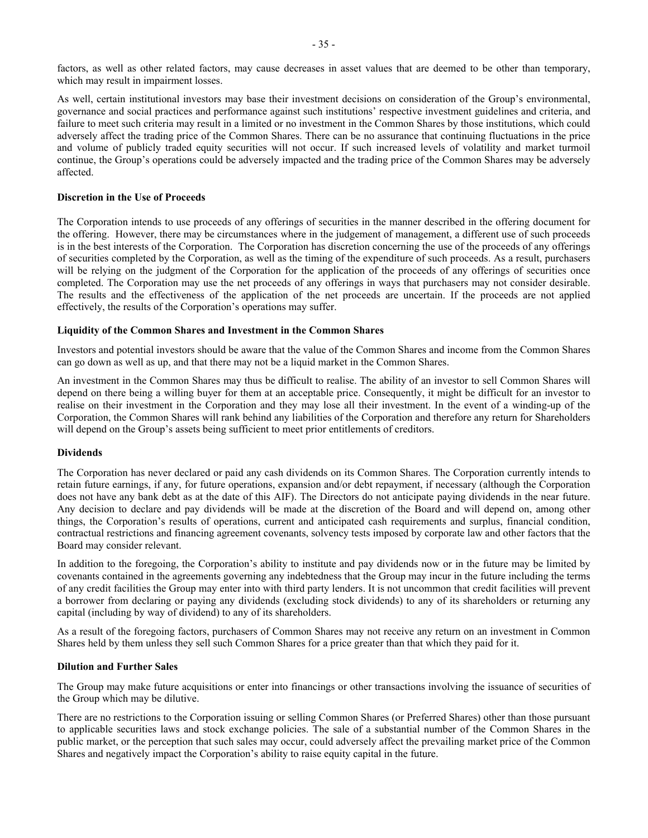factors, as well as other related factors, may cause decreases in asset values that are deemed to be other than temporary, which may result in impairment losses.

As well, certain institutional investors may base their investment decisions on consideration of the Group's environmental, governance and social practices and performance against such institutions' respective investment guidelines and criteria, and failure to meet such criteria may result in a limited or no investment in the Common Shares by those institutions, which could adversely affect the trading price of the Common Shares. There can be no assurance that continuing fluctuations in the price and volume of publicly traded equity securities will not occur. If such increased levels of volatility and market turmoil continue, the Group's operations could be adversely impacted and the trading price of the Common Shares may be adversely affected.

### **Discretion in the Use of Proceeds**

The Corporation intends to use proceeds of any offerings of securities in the manner described in the offering document for the offering. However, there may be circumstances where in the judgement of management, a different use of such proceeds is in the best interests of the Corporation. The Corporation has discretion concerning the use of the proceeds of any offerings of securities completed by the Corporation, as well as the timing of the expenditure of such proceeds. As a result, purchasers will be relying on the judgment of the Corporation for the application of the proceeds of any offerings of securities once completed. The Corporation may use the net proceeds of any offerings in ways that purchasers may not consider desirable. The results and the effectiveness of the application of the net proceeds are uncertain. If the proceeds are not applied effectively, the results of the Corporation's operations may suffer.

#### **Liquidity of the Common Shares and Investment in the Common Shares**

Investors and potential investors should be aware that the value of the Common Shares and income from the Common Shares can go down as well as up, and that there may not be a liquid market in the Common Shares.

An investment in the Common Shares may thus be difficult to realise. The ability of an investor to sell Common Shares will depend on there being a willing buyer for them at an acceptable price. Consequently, it might be difficult for an investor to realise on their investment in the Corporation and they may lose all their investment. In the event of a winding-up of the Corporation, the Common Shares will rank behind any liabilities of the Corporation and therefore any return for Shareholders will depend on the Group's assets being sufficient to meet prior entitlements of creditors.

#### **Dividends**

The Corporation has never declared or paid any cash dividends on its Common Shares. The Corporation currently intends to retain future earnings, if any, for future operations, expansion and/or debt repayment, if necessary (although the Corporation does not have any bank debt as at the date of this AIF). The Directors do not anticipate paying dividends in the near future. Any decision to declare and pay dividends will be made at the discretion of the Board and will depend on, among other things, the Corporation's results of operations, current and anticipated cash requirements and surplus, financial condition, contractual restrictions and financing agreement covenants, solvency tests imposed by corporate law and other factors that the Board may consider relevant.

In addition to the foregoing, the Corporation's ability to institute and pay dividends now or in the future may be limited by covenants contained in the agreements governing any indebtedness that the Group may incur in the future including the terms of any credit facilities the Group may enter into with third party lenders. It is not uncommon that credit facilities will prevent a borrower from declaring or paying any dividends (excluding stock dividends) to any of its shareholders or returning any capital (including by way of dividend) to any of its shareholders.

As a result of the foregoing factors, purchasers of Common Shares may not receive any return on an investment in Common Shares held by them unless they sell such Common Shares for a price greater than that which they paid for it.

### **Dilution and Further Sales**

The Group may make future acquisitions or enter into financings or other transactions involving the issuance of securities of the Group which may be dilutive.

There are no restrictions to the Corporation issuing or selling Common Shares (or Preferred Shares) other than those pursuant to applicable securities laws and stock exchange policies. The sale of a substantial number of the Common Shares in the public market, or the perception that such sales may occur, could adversely affect the prevailing market price of the Common Shares and negatively impact the Corporation's ability to raise equity capital in the future.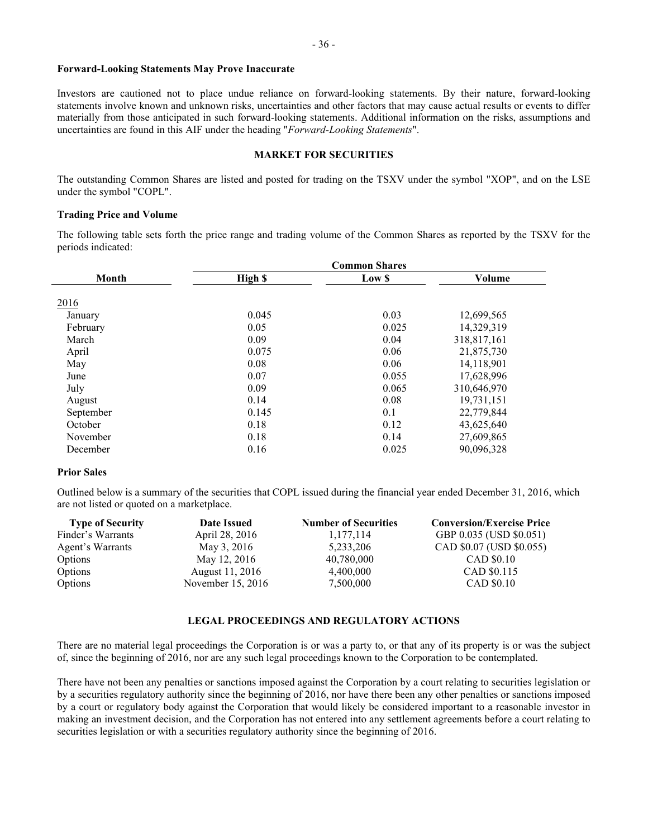### **Forward-Looking Statements May Prove Inaccurate**

Investors are cautioned not to place undue reliance on forward-looking statements. By their nature, forward-looking statements involve known and unknown risks, uncertainties and other factors that may cause actual results or events to differ materially from those anticipated in such forward-looking statements. Additional information on the risks, assumptions and uncertainties are found in this AIF under the heading "*Forward-Looking Statements*".

### <span id="page-36-0"></span>**MARKET FOR SECURITIES**

The outstanding Common Shares are listed and posted for trading on the TSXV under the symbol "XOP", and on the LSE under the symbol "COPL".

#### **Trading Price and Volume**

The following table sets forth the price range and trading volume of the Common Shares as reported by the TSXV for the periods indicated:

|              | <b>Common Shares</b> |        |             |  |
|--------------|----------------------|--------|-------------|--|
| <b>Month</b> | High \$              | Low \$ | Volume      |  |
|              |                      |        |             |  |
| 2016         |                      |        |             |  |
| January      | 0.045                | 0.03   | 12,699,565  |  |
| February     | 0.05                 | 0.025  | 14,329,319  |  |
| March        | 0.09                 | 0.04   | 318,817,161 |  |
| April        | 0.075                | 0.06   | 21,875,730  |  |
| May          | 0.08                 | 0.06   | 14,118,901  |  |
| June         | 0.07                 | 0.055  | 17,628,996  |  |
| July         | 0.09                 | 0.065  | 310,646,970 |  |
| August       | 0.14                 | 0.08   | 19,731,151  |  |
| September    | 0.145                | 0.1    | 22,779,844  |  |
| October      | 0.18                 | 0.12   | 43,625,640  |  |
| November     | 0.18                 | 0.14   | 27,609,865  |  |
| December     | 0.16                 | 0.025  | 90,096,328  |  |

#### **Prior Sales**

Outlined below is a summary of the securities that COPL issued during the financial year ended December 31, 2016, which are not listed or quoted on a marketplace.

| <b>Type of Security</b> | <b>Date Issued</b> | <b>Number of Securities</b> | <b>Conversion/Exercise Price</b> |
|-------------------------|--------------------|-----------------------------|----------------------------------|
| Finder's Warrants       | April 28, 2016     | 1,177,114                   | GBP 0.035 (USD \$0.051)          |
| Agent's Warrants        | May 3, 2016        | 5,233,206                   | CAD \$0.07 (USD \$0.055)         |
| Options                 | May 12, 2016       | 40,780,000                  | CAD \$0.10                       |
| Options                 | August 11, 2016    | 4,400,000                   | CAD \$0.115                      |
| Options                 | November 15, 2016  | 7,500,000                   | CAD \$0.10                       |

#### <span id="page-36-1"></span>**LEGAL PROCEEDINGS AND REGULATORY ACTIONS**

There are no material legal proceedings the Corporation is or was a party to, or that any of its property is or was the subject of, since the beginning of 2016, nor are any such legal proceedings known to the Corporation to be contemplated.

There have not been any penalties or sanctions imposed against the Corporation by a court relating to securities legislation or by a securities regulatory authority since the beginning of 2016, nor have there been any other penalties or sanctions imposed by a court or regulatory body against the Corporation that would likely be considered important to a reasonable investor in making an investment decision, and the Corporation has not entered into any settlement agreements before a court relating to securities legislation or with a securities regulatory authority since the beginning of 2016.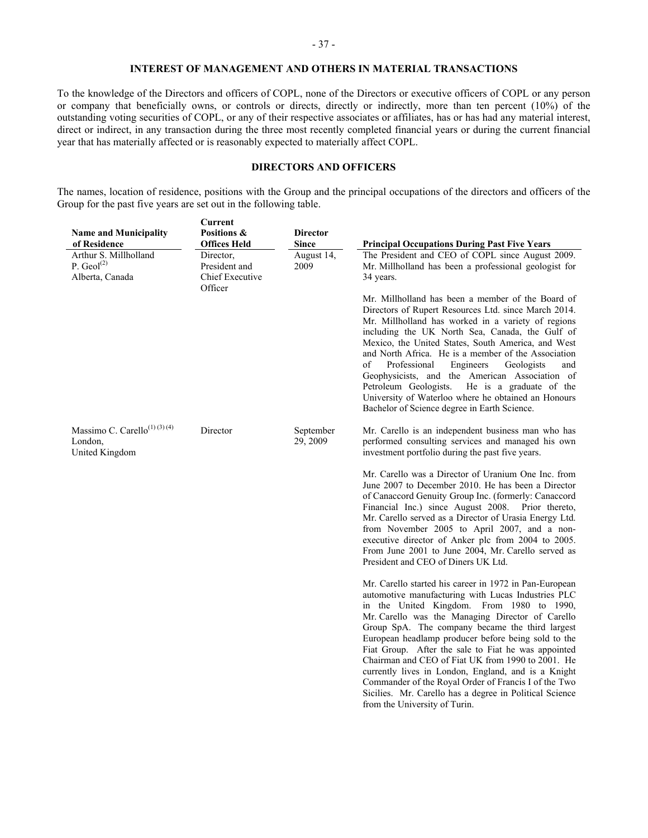### <span id="page-37-0"></span>**INTEREST OF MANAGEMENT AND OTHERS IN MATERIAL TRANSACTIONS**

To the knowledge of the Directors and officers of COPL, none of the Directors or executive officers of COPL or any person or company that beneficially owns, or controls or directs, directly or indirectly, more than ten percent (10%) of the outstanding voting securities of COPL, or any of their respective associates or affiliates, has or has had any material interest, direct or indirect, in any transaction during the three most recently completed financial years or during the current financial year that has materially affected or is reasonably expected to materially affect COPL.

## <span id="page-37-1"></span>**DIRECTORS AND OFFICERS**

The names, location of residence, positions with the Group and the principal occupations of the directors and officers of the Group for the past five years are set out in the following table.

| <b>Principal Occupations During Past Five Years</b><br>The President and CEO of COPL since August 2009.                                                                                                                                                                                                                                                                                                                                                                                                                                                                                                       |
|---------------------------------------------------------------------------------------------------------------------------------------------------------------------------------------------------------------------------------------------------------------------------------------------------------------------------------------------------------------------------------------------------------------------------------------------------------------------------------------------------------------------------------------------------------------------------------------------------------------|
|                                                                                                                                                                                                                                                                                                                                                                                                                                                                                                                                                                                                               |
|                                                                                                                                                                                                                                                                                                                                                                                                                                                                                                                                                                                                               |
| Mr. Millholland has been a professional geologist for                                                                                                                                                                                                                                                                                                                                                                                                                                                                                                                                                         |
| Mr. Millholland has been a member of the Board of<br>Directors of Rupert Resources Ltd. since March 2014.<br>Mr. Millholland has worked in a variety of regions<br>including the UK North Sea, Canada, the Gulf of<br>Mexico, the United States, South America, and West<br>and North Africa. He is a member of the Association<br>and<br>Geophysicists, and the American Association of<br>He is a graduate of the<br>University of Waterloo where he obtained an Honours                                                                                                                                    |
| Mr. Carello is an independent business man who has<br>performed consulting services and managed his own                                                                                                                                                                                                                                                                                                                                                                                                                                                                                                       |
| Mr. Carello was a Director of Uranium One Inc. from<br>June 2007 to December 2010. He has been a Director<br>of Canaccord Genuity Group Inc. (formerly: Canaccord<br>Financial Inc.) since August 2008. Prior thereto,<br>Mr. Carello served as a Director of Urasia Energy Ltd.<br>from November 2005 to April 2007, and a non-<br>executive director of Anker plc from 2004 to 2005.<br>From June 2001 to June 2004, Mr. Carello served as                                                                                                                                                                  |
| Mr. Carello started his career in 1972 in Pan-European<br>automotive manufacturing with Lucas Industries PLC<br>in the United Kingdom. From 1980 to 1990,<br>Mr. Carello was the Managing Director of Carello<br>Group SpA. The company became the third largest<br>European headlamp producer before being sold to the<br>Fiat Group. After the sale to Fiat he was appointed<br>Chairman and CEO of Fiat UK from 1990 to 2001. He<br>currently lives in London, England, and is a Knight<br>Commander of the Royal Order of Francis I of the Two<br>Sicilies. Mr. Carello has a degree in Political Science |
|                                                                                                                                                                                                                                                                                                                                                                                                                                                                                                                                                                                                               |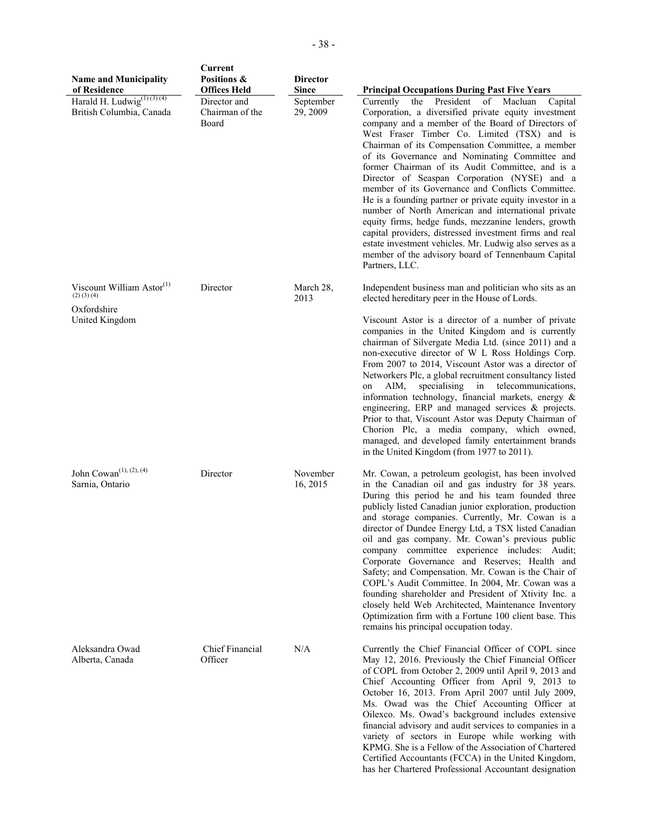| <b>Name and Municipality</b><br>of Residence                      | Current<br>Positions &<br><b>Offices Held</b> | <b>Director</b><br><b>Since</b> | <b>Principal Occupations During Past Five Years</b>                                                                                                                                                                                                                                                                                                                                                                                                                                                                                                                                                                                                                                                                                                                                                                                                       |
|-------------------------------------------------------------------|-----------------------------------------------|---------------------------------|-----------------------------------------------------------------------------------------------------------------------------------------------------------------------------------------------------------------------------------------------------------------------------------------------------------------------------------------------------------------------------------------------------------------------------------------------------------------------------------------------------------------------------------------------------------------------------------------------------------------------------------------------------------------------------------------------------------------------------------------------------------------------------------------------------------------------------------------------------------|
| Harald H. Ludwig <sup>(1)(3)(4)</sup><br>British Columbia, Canada | Director and<br>Chairman of the<br>Board      | September<br>29, 2009           | President<br>Currently<br>of Macluan<br>Capital<br>the<br>Corporation, a diversified private equity investment<br>company and a member of the Board of Directors of<br>West Fraser Timber Co. Limited (TSX) and is<br>Chairman of its Compensation Committee, a member<br>of its Governance and Nominating Committee and<br>former Chairman of its Audit Committee, and is a<br>Director of Seaspan Corporation (NYSE) and a<br>member of its Governance and Conflicts Committee.<br>He is a founding partner or private equity investor in a<br>number of North American and international private<br>equity firms, hedge funds, mezzanine lenders, growth<br>capital providers, distressed investment firms and real<br>estate investment vehicles. Mr. Ludwig also serves as a<br>member of the advisory board of Tennenbaum Capital<br>Partners, LLC. |
| Viscount William Astor <sup>(1)</sup><br>$(2)$ $(3)$ $(4)$        | Director                                      | March 28,<br>2013               | Independent business man and politician who sits as an<br>elected hereditary peer in the House of Lords.                                                                                                                                                                                                                                                                                                                                                                                                                                                                                                                                                                                                                                                                                                                                                  |
| Oxfordshire<br>United Kingdom                                     |                                               |                                 | Viscount Astor is a director of a number of private<br>companies in the United Kingdom and is currently<br>chairman of Silvergate Media Ltd. (since 2011) and a<br>non-executive director of W L Ross Holdings Corp.<br>From 2007 to 2014, Viscount Astor was a director of<br>Networkers Plc, a global recruitment consultancy listed<br>AIM,<br>specialising<br>in<br>telecommunications,<br>on<br>information technology, financial markets, energy &<br>engineering, ERP and managed services & projects.<br>Prior to that, Viscount Astor was Deputy Chairman of<br>Chorion Plc, a media company, which owned,<br>managed, and developed family entertainment brands<br>in the United Kingdom (from 1977 to 2011).                                                                                                                                   |
| John Cowan <sup>(1), (2), (4)</sup><br>Sarnia, Ontario            | Director                                      | November<br>16, 2015            | Mr. Cowan, a petroleum geologist, has been involved<br>in the Canadian oil and gas industry for 38 years.<br>During this period he and his team founded three<br>publicly listed Canadian junior exploration, production<br>and storage companies. Currently, Mr. Cowan is a<br>director of Dundee Energy Ltd, a TSX listed Canadian<br>oil and gas company. Mr. Cowan's previous public<br>company committee experience includes: Audit;<br>Corporate Governance and Reserves; Health and<br>Safety; and Compensation. Mr. Cowan is the Chair of<br>COPL's Audit Committee. In 2004, Mr. Cowan was a<br>founding shareholder and President of Xtivity Inc. a<br>closely held Web Architected, Maintenance Inventory<br>Optimization firm with a Fortune 100 client base. This<br>remains his principal occupation today.                                 |
| Aleksandra Owad<br>Alberta, Canada                                | Chief Financial<br>Officer                    | N/A                             | Currently the Chief Financial Officer of COPL since<br>May 12, 2016. Previously the Chief Financial Officer<br>of COPL from October 2, 2009 until April 9, 2013 and<br>Chief Accounting Officer from April 9, 2013 to<br>October 16, 2013. From April 2007 until July 2009,<br>Ms. Owad was the Chief Accounting Officer at<br>Oilexco. Ms. Owad's background includes extensive<br>financial advisory and audit services to companies in a<br>variety of sectors in Europe while working with<br>KPMG. She is a Fellow of the Association of Chartered<br>Certified Accountants (FCCA) in the United Kingdom,<br>has her Chartered Professional Accountant designation                                                                                                                                                                                   |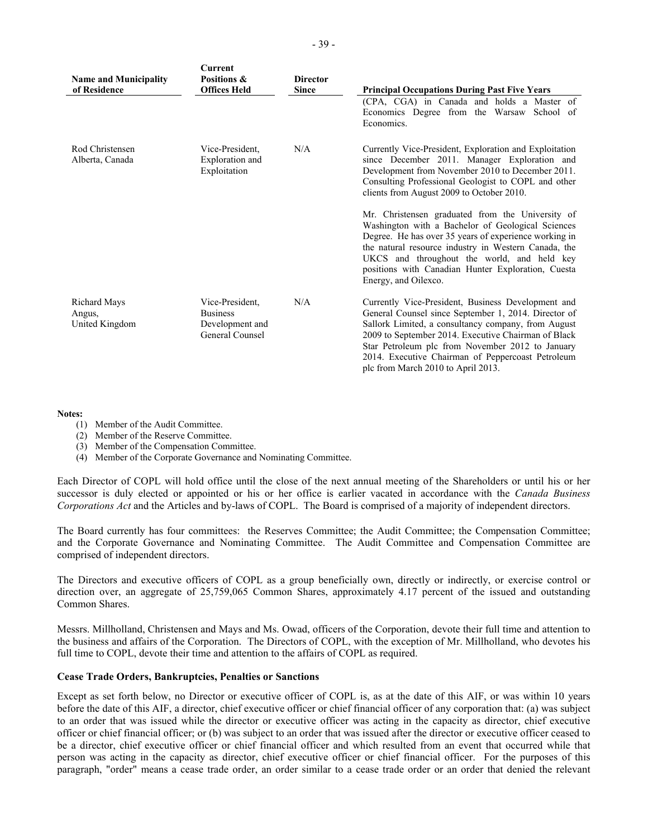| <b>Name and Municipality</b><br>of Residence | Current<br>Positions &<br><b>Offices Held</b>                            | <b>Director</b><br><b>Since</b> | <b>Principal Occupations During Past Five Years</b>                                                                                                                                                                                                                                                                                                                     |
|----------------------------------------------|--------------------------------------------------------------------------|---------------------------------|-------------------------------------------------------------------------------------------------------------------------------------------------------------------------------------------------------------------------------------------------------------------------------------------------------------------------------------------------------------------------|
|                                              |                                                                          |                                 | (CPA, CGA) in Canada and holds a Master of<br>Economics Degree from the Warsaw School of<br>Economics.                                                                                                                                                                                                                                                                  |
| Rod Christensen<br>Alberta, Canada           | Vice-President.<br>Exploration and<br>Exploitation                       | N/A                             | Currently Vice-President, Exploration and Exploitation<br>since December 2011. Manager Exploration and<br>Development from November 2010 to December 2011.<br>Consulting Professional Geologist to COPL and other<br>clients from August 2009 to October 2010.                                                                                                          |
|                                              |                                                                          |                                 | Mr. Christensen graduated from the University of<br>Washington with a Bachelor of Geological Sciences<br>Degree. He has over 35 years of experience working in<br>the natural resource industry in Western Canada, the<br>UKCS and throughout the world, and held key<br>positions with Canadian Hunter Exploration, Cuesta<br>Energy, and Oilexco.                     |
| Richard Mays<br>Angus,<br>United Kingdom     | Vice-President,<br><b>Business</b><br>Development and<br>General Counsel | N/A                             | Currently Vice-President, Business Development and<br>General Counsel since September 1, 2014. Director of<br>Sallork Limited, a consultancy company, from August<br>2009 to September 2014. Executive Chairman of Black<br>Star Petroleum plc from November 2012 to January<br>2014. Executive Chairman of Peppercoast Petroleum<br>plc from March 2010 to April 2013. |

#### **Notes:**

- (1) Member of the Audit Committee.
- (2) Member of the Reserve Committee.
- (3) Member of the Compensation Committee.
- (4) Member of the Corporate Governance and Nominating Committee.

Each Director of COPL will hold office until the close of the next annual meeting of the Shareholders or until his or her successor is duly elected or appointed or his or her office is earlier vacated in accordance with the *Canada Business Corporations Act* and the Articles and by-laws of COPL. The Board is comprised of a majority of independent directors.

The Board currently has four committees: the Reserves Committee; the Audit Committee; the Compensation Committee; and the Corporate Governance and Nominating Committee. The Audit Committee and Compensation Committee are comprised of independent directors.

The Directors and executive officers of COPL as a group beneficially own, directly or indirectly, or exercise control or direction over, an aggregate of 25,759,065 Common Shares, approximately 4.17 percent of the issued and outstanding Common Shares.

Messrs. Millholland, Christensen and Mays and Ms. Owad, officers of the Corporation, devote their full time and attention to the business and affairs of the Corporation. The Directors of COPL, with the exception of Mr. Millholland, who devotes his full time to COPL, devote their time and attention to the affairs of COPL as required.

#### **Cease Trade Orders, Bankruptcies, Penalties or Sanctions**

Except as set forth below, no Director or executive officer of COPL is, as at the date of this AIF, or was within 10 years before the date of this AIF, a director, chief executive officer or chief financial officer of any corporation that: (a) was subject to an order that was issued while the director or executive officer was acting in the capacity as director, chief executive officer or chief financial officer; or (b) was subject to an order that was issued after the director or executive officer ceased to be a director, chief executive officer or chief financial officer and which resulted from an event that occurred while that person was acting in the capacity as director, chief executive officer or chief financial officer. For the purposes of this paragraph, "order" means a cease trade order, an order similar to a cease trade order or an order that denied the relevant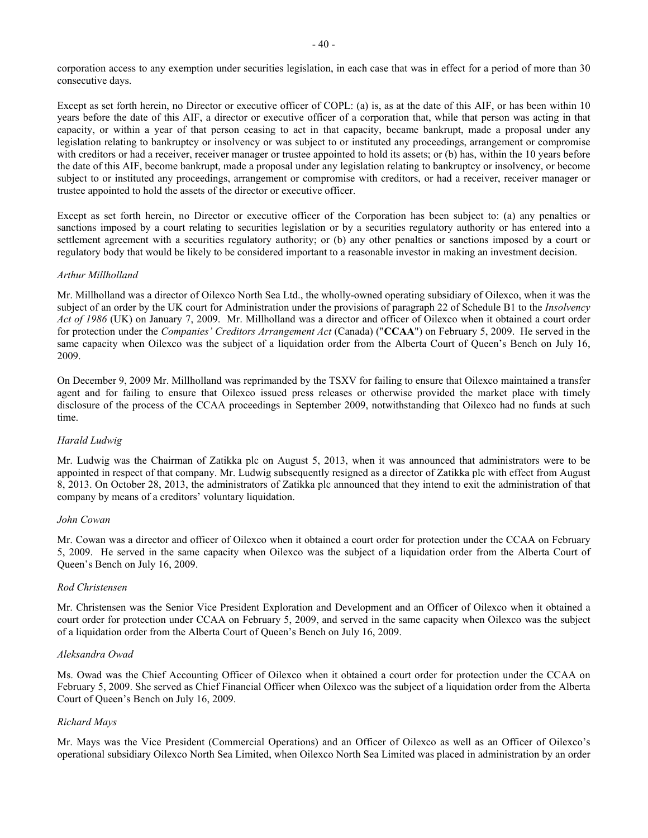corporation access to any exemption under securities legislation, in each case that was in effect for a period of more than 30 consecutive days.

Except as set forth herein, no Director or executive officer of COPL: (a) is, as at the date of this AIF, or has been within 10 years before the date of this AIF, a director or executive officer of a corporation that, while that person was acting in that capacity, or within a year of that person ceasing to act in that capacity, became bankrupt, made a proposal under any legislation relating to bankruptcy or insolvency or was subject to or instituted any proceedings, arrangement or compromise with creditors or had a receiver, receiver manager or trustee appointed to hold its assets; or (b) has, within the 10 years before the date of this AIF, become bankrupt, made a proposal under any legislation relating to bankruptcy or insolvency, or become subject to or instituted any proceedings, arrangement or compromise with creditors, or had a receiver, receiver manager or trustee appointed to hold the assets of the director or executive officer.

Except as set forth herein, no Director or executive officer of the Corporation has been subject to: (a) any penalties or sanctions imposed by a court relating to securities legislation or by a securities regulatory authority or has entered into a settlement agreement with a securities regulatory authority; or (b) any other penalties or sanctions imposed by a court or regulatory body that would be likely to be considered important to a reasonable investor in making an investment decision.

### *Arthur Millholland*

Mr. Millholland was a director of Oilexco North Sea Ltd., the wholly-owned operating subsidiary of Oilexco, when it was the subject of an order by the UK court for Administration under the provisions of paragraph 22 of Schedule B1 to the *Insolvency Act of 1986* (UK) on January 7, 2009. Mr. Millholland was a director and officer of Oilexco when it obtained a court order for protection under the *Companies' Creditors Arrangement Act* (Canada) ("**CCAA**") on February 5, 2009. He served in the same capacity when Oilexco was the subject of a liquidation order from the Alberta Court of Queen's Bench on July 16, 2009.

On December 9, 2009 Mr. Millholland was reprimanded by the TSXV for failing to ensure that Oilexco maintained a transfer agent and for failing to ensure that Oilexco issued press releases or otherwise provided the market place with timely disclosure of the process of the CCAA proceedings in September 2009, notwithstanding that Oilexco had no funds at such time.

### *Harald Ludwig*

Mr. Ludwig was the Chairman of Zatikka plc on August 5, 2013, when it was announced that administrators were to be appointed in respect of that company. Mr. Ludwig subsequently resigned as a director of Zatikka plc with effect from August 8, 2013. On October 28, 2013, the administrators of Zatikka plc announced that they intend to exit the administration of that company by means of a creditors' voluntary liquidation.

### *John Cowan*

Mr. Cowan was a director and officer of Oilexco when it obtained a court order for protection under the CCAA on February 5, 2009. He served in the same capacity when Oilexco was the subject of a liquidation order from the Alberta Court of Queen's Bench on July 16, 2009.

### *Rod Christensen*

Mr. Christensen was the Senior Vice President Exploration and Development and an Officer of Oilexco when it obtained a court order for protection under CCAA on February 5, 2009, and served in the same capacity when Oilexco was the subject of a liquidation order from the Alberta Court of Queen's Bench on July 16, 2009.

### *Aleksandra Owad*

Ms. Owad was the Chief Accounting Officer of Oilexco when it obtained a court order for protection under the CCAA on February 5, 2009. She served as Chief Financial Officer when Oilexco was the subject of a liquidation order from the Alberta Court of Queen's Bench on July 16, 2009.

## *Richard Mays*

Mr. Mays was the Vice President (Commercial Operations) and an Officer of Oilexco as well as an Officer of Oilexco's operational subsidiary Oilexco North Sea Limited, when Oilexco North Sea Limited was placed in administration by an order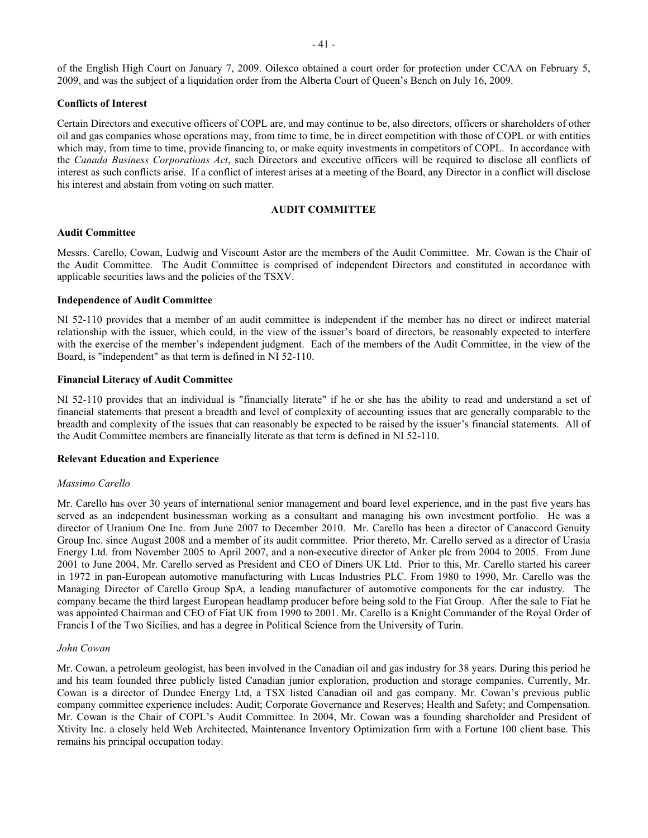of the English High Court on January 7, 2009. Oilexco obtained a court order for protection under CCAA on February 5, 2009, and was the subject of a liquidation order from the Alberta Court of Queen's Bench on July 16, 2009.

### **Conflicts of Interest**

Certain Directors and executive officers of COPL are, and may continue to be, also directors, officers or shareholders of other oil and gas companies whose operations may, from time to time, be in direct competition with those of COPL or with entities which may, from time to time, provide financing to, or make equity investments in competitors of COPL. In accordance with the *Canada Business Corporations Act*, such Directors and executive officers will be required to disclose all conflicts of interest as such conflicts arise. If a conflict of interest arises at a meeting of the Board, any Director in a conflict will disclose his interest and abstain from voting on such matter.

#### <span id="page-41-0"></span>**AUDIT COMMITTEE**

### **Audit Committee**

Messrs. Carello, Cowan, Ludwig and Viscount Astor are the members of the Audit Committee. Mr. Cowan is the Chair of the Audit Committee. The Audit Committee is comprised of independent Directors and constituted in accordance with applicable securities laws and the policies of the TSXV.

#### **Independence of Audit Committee**

NI 52-110 provides that a member of an audit committee is independent if the member has no direct or indirect material relationship with the issuer, which could, in the view of the issuer's board of directors, be reasonably expected to interfere with the exercise of the member's independent judgment. Each of the members of the Audit Committee, in the view of the Board, is "independent" as that term is defined in NI 52-110.

#### **Financial Literacy of Audit Committee**

NI 52-110 provides that an individual is "financially literate" if he or she has the ability to read and understand a set of financial statements that present a breadth and level of complexity of accounting issues that are generally comparable to the breadth and complexity of the issues that can reasonably be expected to be raised by the issuer's financial statements. All of the Audit Committee members are financially literate as that term is defined in NI 52-110.

#### **Relevant Education and Experience**

#### *Massimo Carello*

Mr. Carello has over 30 years of international senior management and board level experience, and in the past five years has served as an independent businessman working as a consultant and managing his own investment portfolio. He was a director of Uranium One Inc. from June 2007 to December 2010. Mr. Carello has been a director of Canaccord Genuity Group Inc. since August 2008 and a member of its audit committee. Prior thereto, Mr. Carello served as a director of Urasia Energy Ltd. from November 2005 to April 2007, and a non-executive director of Anker plc from 2004 to 2005. From June 2001 to June 2004, Mr. Carello served as President and CEO of Diners UK Ltd. Prior to this, Mr. Carello started his career in 1972 in pan-European automotive manufacturing with Lucas Industries PLC. From 1980 to 1990, Mr. Carello was the Managing Director of Carello Group SpA, a leading manufacturer of automotive components for the car industry. The company became the third largest European headlamp producer before being sold to the Fiat Group. After the sale to Fiat he was appointed Chairman and CEO of Fiat UK from 1990 to 2001. Mr. Carello is a Knight Commander of the Royal Order of Francis I of the Two Sicilies, and has a degree in Political Science from the University of Turin.

#### *John Cowan*

Mr. Cowan, a petroleum geologist, has been involved in the Canadian oil and gas industry for 38 years. During this period he and his team founded three publicly listed Canadian junior exploration, production and storage companies. Currently, Mr. Cowan is a director of Dundee Energy Ltd, a TSX listed Canadian oil and gas company. Mr. Cowan's previous public company committee experience includes: Audit; Corporate Governance and Reserves; Health and Safety; and Compensation. Mr. Cowan is the Chair of COPL's Audit Committee. In 2004, Mr. Cowan was a founding shareholder and President of Xtivity Inc. a closely held Web Architected, Maintenance Inventory Optimization firm with a Fortune 100 client base. This remains his principal occupation today.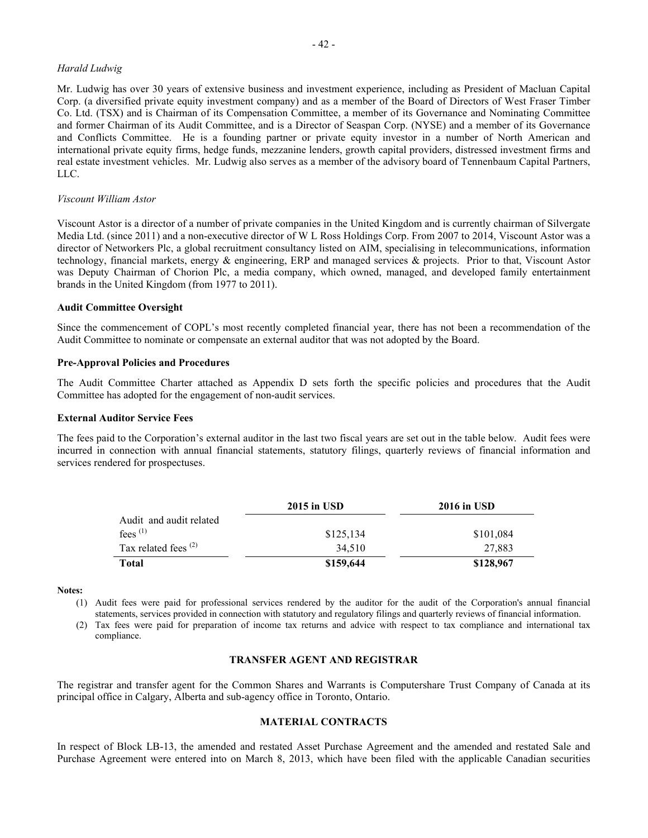#### *Harald Ludwig*

Mr. Ludwig has over 30 years of extensive business and investment experience, including as President of Macluan Capital Corp. (a diversified private equity investment company) and as a member of the Board of Directors of West Fraser Timber Co. Ltd. (TSX) and is Chairman of its Compensation Committee, a member of its Governance and Nominating Committee and former Chairman of its Audit Committee, and is a Director of Seaspan Corp. (NYSE) and a member of its Governance and Conflicts Committee. He is a founding partner or private equity investor in a number of North American and international private equity firms, hedge funds, mezzanine lenders, growth capital providers, distressed investment firms and real estate investment vehicles. Mr. Ludwig also serves as a member of the advisory board of Tennenbaum Capital Partners, LLC.

#### *Viscount William Astor*

Viscount Astor is a director of a number of private companies in the United Kingdom and is currently chairman of Silvergate Media Ltd. (since 2011) and a non-executive director of W L Ross Holdings Corp. From 2007 to 2014, Viscount Astor was a director of Networkers Plc, a global recruitment consultancy listed on AIM, specialising in telecommunications, information technology, financial markets, energy & engineering, ERP and managed services & projects. Prior to that, Viscount Astor was Deputy Chairman of Chorion Plc, a media company, which owned, managed, and developed family entertainment brands in the United Kingdom (from 1977 to 2011).

### **Audit Committee Oversight**

Since the commencement of COPL's most recently completed financial year, there has not been a recommendation of the Audit Committee to nominate or compensate an external auditor that was not adopted by the Board.

### **Pre-Approval Policies and Procedures**

The Audit Committee Charter attached as Appendix D sets forth the specific policies and procedures that the Audit Committee has adopted for the engagement of non-audit services.

#### **External Auditor Service Fees**

The fees paid to the Corporation's external auditor in the last two fiscal years are set out in the table below. Audit fees were incurred in connection with annual financial statements, statutory filings, quarterly reviews of financial information and services rendered for prospectuses.

|                         | $2015$ in USD | <b>2016 in USD</b> |
|-------------------------|---------------|--------------------|
| Audit and audit related |               |                    |
| fees $(1)$              | \$125,134     | \$101,084          |
| Tax related fees $(2)$  | 34.510        | 27.883             |
| Total                   | \$159,644     | \$128,967          |

#### **Notes:**

- (1) Audit fees were paid for professional services rendered by the auditor for the audit of the Corporation's annual financial statements, services provided in connection with statutory and regulatory filings and quarterly reviews of financial information.
- (2) Tax fees were paid for preparation of income tax returns and advice with respect to tax compliance and international tax compliance.

### <span id="page-42-0"></span>**TRANSFER AGENT AND REGISTRAR**

The registrar and transfer agent for the Common Shares and Warrants is Computershare Trust Company of Canada at its principal office in Calgary, Alberta and sub-agency office in Toronto, Ontario.

### <span id="page-42-1"></span>**MATERIAL CONTRACTS**

In respect of Block LB-13, the amended and restated Asset Purchase Agreement and the amended and restated Sale and Purchase Agreement were entered into on March 8, 2013, which have been filed with the applicable Canadian securities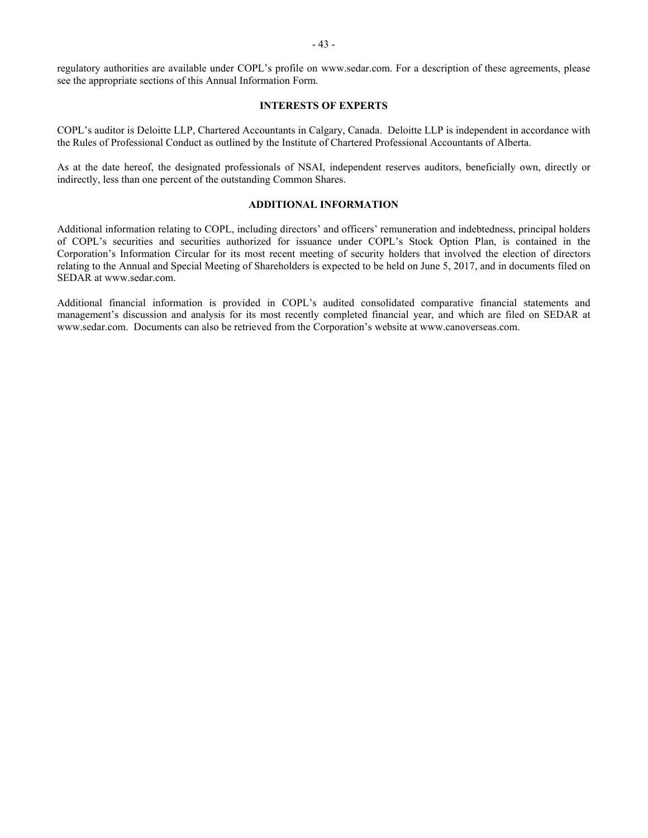regulatory authorities are available under COPL's profile on www.sedar.com. For a description of these agreements, please see the appropriate sections of this Annual Information Form.

### <span id="page-43-0"></span>**INTERESTS OF EXPERTS**

COPL's auditor is Deloitte LLP, Chartered Accountants in Calgary, Canada. Deloitte LLP is independent in accordance with the Rules of Professional Conduct as outlined by the Institute of Chartered Professional Accountants of Alberta.

As at the date hereof, the designated professionals of NSAI, independent reserves auditors, beneficially own, directly or indirectly, less than one percent of the outstanding Common Shares.

#### <span id="page-43-1"></span>**ADDITIONAL INFORMATION**

Additional information relating to COPL, including directors' and officers' remuneration and indebtedness, principal holders of COPL's securities and securities authorized for issuance under COPL's Stock Option Plan, is contained in the Corporation's Information Circular for its most recent meeting of security holders that involved the election of directors relating to the Annual and Special Meeting of Shareholders is expected to be held on June 5, 2017, and in documents filed on SEDAR at www.sedar.com.

Additional financial information is provided in COPL's audited consolidated comparative financial statements and management's discussion and analysis for its most recently completed financial year, and which are filed on SEDAR at www.sedar.com. Documents can also be retrieved from the Corporation's website at www.canoverseas.com.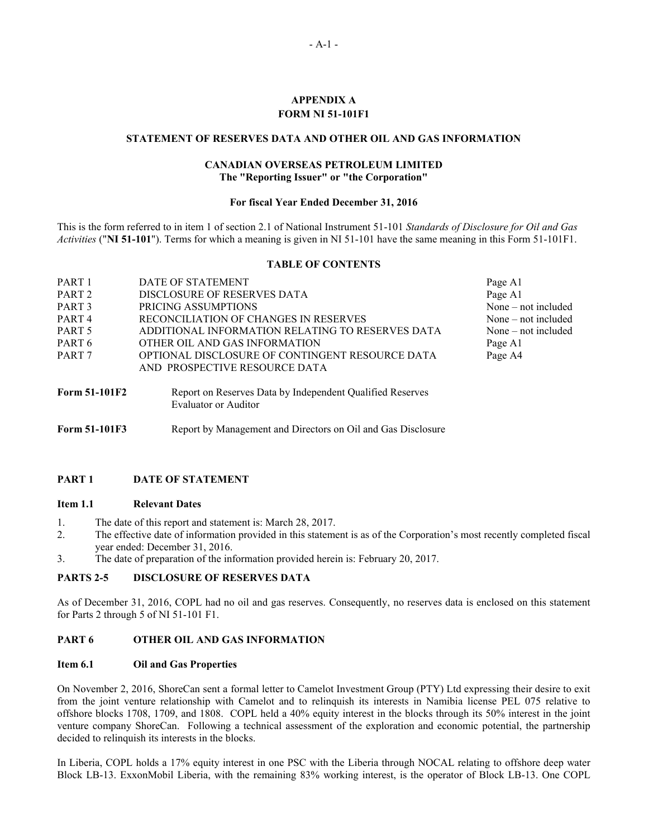## <span id="page-44-0"></span>**APPENDIX A FORM NI 51-101F1**

### **STATEMENT OF RESERVES DATA AND OTHER OIL AND GAS INFORMATION**

## **CANADIAN OVERSEAS PETROLEUM LIMITED The "Reporting Issuer" or "the Corporation"**

#### **For fiscal Year Ended December 31, 2016**

This is the form referred to in item 1 of section 2.1 of National Instrument 51-101 *Standards of Disclosure for Oil and Gas Activities* ("**NI 51-101**"). Terms for which a meaning is given in NI 51-101 have the same meaning in this Form 51-101F1.

#### **TABLE OF CONTENTS**

| PART <sub>1</sub> | DATE OF STATEMENT                                | Page A1               |
|-------------------|--------------------------------------------------|-----------------------|
| PART <sub>2</sub> | DISCLOSURE OF RESERVES DATA                      | Page A1               |
| PART <sub>3</sub> | PRICING ASSUMPTIONS                              | None – not included   |
| PART <sub>4</sub> | RECONCILIATION OF CHANGES IN RESERVES            | None $-$ not included |
| PART 5            | ADDITIONAL INFORMATION RELATING TO RESERVES DATA | None $-$ not included |
| PART <sub>6</sub> | OTHER OIL AND GAS INFORMATION                    | Page A1               |
| PART <sub>7</sub> | OPTIONAL DISCLOSURE OF CONTINGENT RESOURCE DATA  | Page A4               |
|                   | AND PROSPECTIVE RESOURCE DATA                    |                       |
|                   |                                                  |                       |

**Form 51-101F2** Report on Reserves Data by Independent Qualified Reserves Evaluator or Auditor

Form 51-101F3 Report by Management and Directors on Oil and Gas Disclosure

### **PART 1 DATE OF STATEMENT**

#### **Item 1.1 Relevant Dates**

- 1. The date of this report and statement is: March 28, 2017.
- 2. The effective date of information provided in this statement is as of the Corporation's most recently completed fiscal year ended: December 31, 2016.
- 3. The date of preparation of the information provided herein is: February 20, 2017.

### **PARTS 2-5 DISCLOSURE OF RESERVES DATA**

As of December 31, 2016, COPL had no oil and gas reserves. Consequently, no reserves data is enclosed on this statement for Parts 2 through 5 of NI 51-101 F1.

### **PART 6 OTHER OIL AND GAS INFORMATION**

#### **Item 6.1 Oil and Gas Properties**

On November 2, 2016, ShoreCan sent a formal letter to Camelot Investment Group (PTY) Ltd expressing their desire to exit from the joint venture relationship with Camelot and to relinquish its interests in Namibia license PEL 075 relative to offshore blocks 1708, 1709, and 1808. COPL held a 40% equity interest in the blocks through its 50% interest in the joint venture company ShoreCan. Following a technical assessment of the exploration and economic potential, the partnership decided to relinquish its interests in the blocks.

In Liberia, COPL holds a 17% equity interest in one PSC with the Liberia through NOCAL relating to offshore deep water Block LB-13. ExxonMobil Liberia, with the remaining 83% working interest, is the operator of Block LB-13. One COPL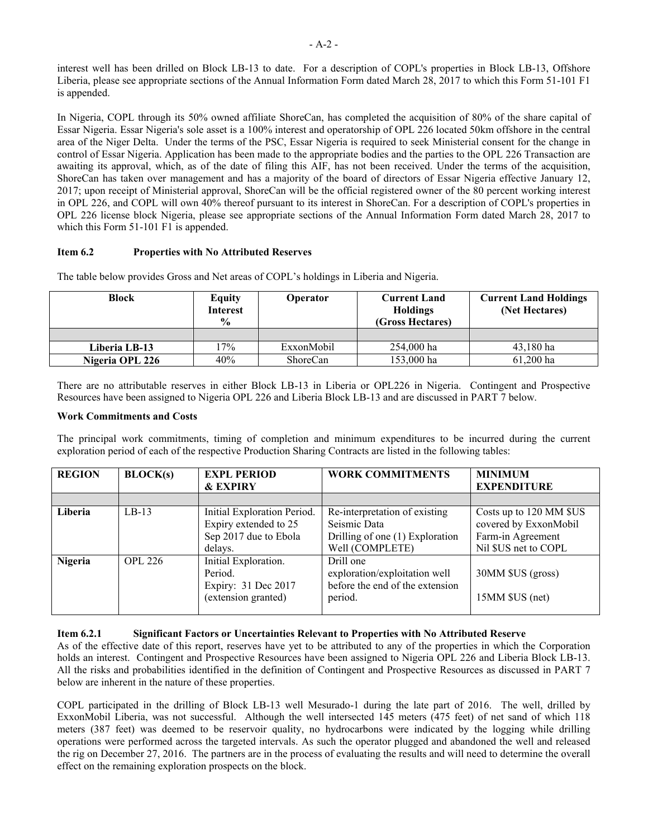interest well has been drilled on Block LB-13 to date. For a description of COPL's properties in Block LB-13, Offshore Liberia, please see appropriate sections of the Annual Information Form dated March 28, 2017 to which this Form 51-101 F1 is appended.

In Nigeria, COPL through its 50% owned affiliate ShoreCan, has completed the acquisition of 80% of the share capital of Essar Nigeria. Essar Nigeria's sole asset is a 100% interest and operatorship of OPL 226 located 50km offshore in the central area of the Niger Delta. Under the terms of the PSC, Essar Nigeria is required to seek Ministerial consent for the change in control of Essar Nigeria. Application has been made to the appropriate bodies and the parties to the OPL 226 Transaction are awaiting its approval, which, as of the date of filing this AIF, has not been received. Under the terms of the acquisition, ShoreCan has taken over management and has a majority of the board of directors of Essar Nigeria effective January 12, 2017; upon receipt of Ministerial approval, ShoreCan will be the official registered owner of the 80 percent working interest in OPL 226, and COPL will own 40% thereof pursuant to its interest in ShoreCan. For a description of COPL's properties in OPL 226 license block Nigeria, please see appropriate sections of the Annual Information Form dated March 28, 2017 to which this Form 51-101 F1 is appended.

### **Item 6.2 Properties with No Attributed Reserves**

The table below provides Gross and Net areas of COPL's holdings in Liberia and Nigeria.

| <b>Block</b>    | Equity<br><b>Interest</b><br>$\frac{6}{9}$ | Operator   | <b>Current Land</b><br><b>Holdings</b><br>(Gross Hectares) | <b>Current Land Holdings</b><br>(Net Hectares) |
|-----------------|--------------------------------------------|------------|------------------------------------------------------------|------------------------------------------------|
|                 |                                            |            |                                                            |                                                |
| Liberia LB-13   | 17%                                        | ExxonMobil | 254,000 ha                                                 | 43,180 ha                                      |
| Nigeria OPL 226 | 40%                                        | ShoreCan   | 153,000 ha                                                 | $61,200$ ha                                    |

There are no attributable reserves in either Block LB-13 in Liberia or OPL226 in Nigeria. Contingent and Prospective Resources have been assigned to Nigeria OPL 226 and Liberia Block LB-13 and are discussed in PART 7 below.

### **Work Commitments and Costs**

The principal work commitments, timing of completion and minimum expenditures to be incurred during the current exploration period of each of the respective Production Sharing Contracts are listed in the following tables:

| <b>REGION</b> | BLOCK(s)       | <b>EXPL PERIOD</b>          | <b>WORK COMMITMENTS</b>         | <b>MINIMUM</b>          |
|---------------|----------------|-----------------------------|---------------------------------|-------------------------|
|               |                | <b>&amp; EXPIRY</b>         |                                 | <b>EXPENDITURE</b>      |
|               |                |                             |                                 |                         |
| Liberia       | $LB-13$        | Initial Exploration Period. | Re-interpretation of existing   | Costs up to 120 MM \$US |
|               |                | Expiry extended to 25       | Seismic Data                    | covered by ExxonMobil   |
|               |                | Sep 2017 due to Ebola       | Drilling of one (1) Exploration | Farm-in Agreement       |
|               |                | delays.                     | Well (COMPLETE)                 | Nil \$US net to COPL    |
| Nigeria       | <b>OPL 226</b> | Initial Exploration.        | Drill one                       |                         |
|               |                | Period.                     | exploration/exploitation well   | 30MM \$US (gross)       |
|               |                | Expiry: 31 Dec 2017         | before the end of the extension |                         |
|               |                | (extension granted)         | period.                         | 15MM \$US (net)         |
|               |                |                             |                                 |                         |

### **Item 6.2.1 Significant Factors or Uncertainties Relevant to Properties with No Attributed Reserve**

As of the effective date of this report, reserves have yet to be attributed to any of the properties in which the Corporation holds an interest. Contingent and Prospective Resources have been assigned to Nigeria OPL 226 and Liberia Block LB-13. All the risks and probabilities identified in the definition of Contingent and Prospective Resources as discussed in PART 7 below are inherent in the nature of these properties.

COPL participated in the drilling of Block LB-13 well Mesurado-1 during the late part of 2016. The well, drilled by ExxonMobil Liberia, was not successful. Although the well intersected 145 meters (475 feet) of net sand of which 118 meters (387 feet) was deemed to be reservoir quality, no hydrocarbons were indicated by the logging while drilling operations were performed across the targeted intervals. As such the operator plugged and abandoned the well and released the rig on December 27, 2016. The partners are in the process of evaluating the results and will need to determine the overall effect on the remaining exploration prospects on the block.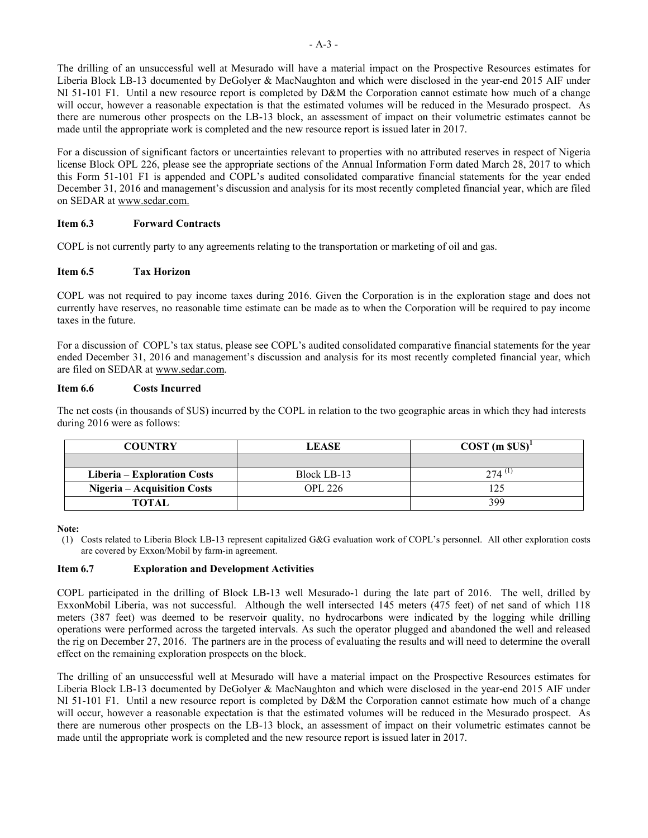The drilling of an unsuccessful well at Mesurado will have a material impact on the Prospective Resources estimates for Liberia Block LB-13 documented by DeGolyer & MacNaughton and which were disclosed in the year-end 2015 AIF under NI 51-101 F1. Until a new resource report is completed by D&M the Corporation cannot estimate how much of a change will occur, however a reasonable expectation is that the estimated volumes will be reduced in the Mesurado prospect. As there are numerous other prospects on the LB-13 block, an assessment of impact on their volumetric estimates cannot be made until the appropriate work is completed and the new resource report is issued later in 2017.

For a discussion of significant factors or uncertainties relevant to properties with no attributed reserves in respect of Nigeria license Block OPL 226, please see the appropriate sections of the Annual Information Form dated March 28, 2017 to which this Form 51-101 F1 is appended and COPL's audited consolidated comparative financial statements for the year ended December 31, 2016 and management's discussion and analysis for its most recently completed financial year, which are filed on SEDAR at [www.sedar.com.](http://www.sedar.com/)

### **Item 6.3 Forward Contracts**

COPL is not currently party to any agreements relating to the transportation or marketing of oil and gas.

### **Item 6.5 Tax Horizon**

COPL was not required to pay income taxes during 2016. Given the Corporation is in the exploration stage and does not currently have reserves, no reasonable time estimate can be made as to when the Corporation will be required to pay income taxes in the future.

For a discussion of COPL's tax status, please see COPL's audited consolidated comparative financial statements for the year ended December 31, 2016 and management's discussion and analysis for its most recently completed financial year, which are filed on SEDAR at www.sedar.com.

### **Item 6.6 Cost[s Incurred](http://www.sedar.com/)**

The net costs (in thousands of \$US) incurred by the COPL in relation to the two geographic areas in which they had interests during 2016 were as follows:

| <b>COUNTRY</b>                     | <b>LEASE</b>   | $COST$ (m $SUS$ ) <sup>1</sup> |  |  |
|------------------------------------|----------------|--------------------------------|--|--|
|                                    |                |                                |  |  |
| Liberia – Exploration Costs        | Block LB-13    | 274                            |  |  |
| <b>Nigeria – Acquisition Costs</b> | <b>OPL 226</b> | 125                            |  |  |
| <b>TOTAL</b>                       |                | 399                            |  |  |

#### **Note:**

(1) Costs related to Liberia Block LB-13 represent capitalized G&G evaluation work of COPL's personnel. All other exploration costs are covered by Exxon/Mobil by farm-in agreement.

### **Item 6.7 Exploration and Development Activities**

COPL participated in the drilling of Block LB-13 well Mesurado-1 during the late part of 2016. The well, drilled by ExxonMobil Liberia, was not successful. Although the well intersected 145 meters (475 feet) of net sand of which 118 meters (387 feet) was deemed to be reservoir quality, no hydrocarbons were indicated by the logging while drilling operations were performed across the targeted intervals. As such the operator plugged and abandoned the well and released the rig on December 27, 2016. The partners are in the process of evaluating the results and will need to determine the overall effect on the remaining exploration prospects on the block.

The drilling of an unsuccessful well at Mesurado will have a material impact on the Prospective Resources estimates for Liberia Block LB-13 documented by DeGolyer & MacNaughton and which were disclosed in the year-end 2015 AIF under NI 51-101 F1. Until a new resource report is completed by D&M the Corporation cannot estimate how much of a change will occur, however a reasonable expectation is that the estimated volumes will be reduced in the Mesurado prospect. As there are numerous other prospects on the LB-13 block, an assessment of impact on their volumetric estimates cannot be made until the appropriate work is completed and the new resource report is issued later in 2017.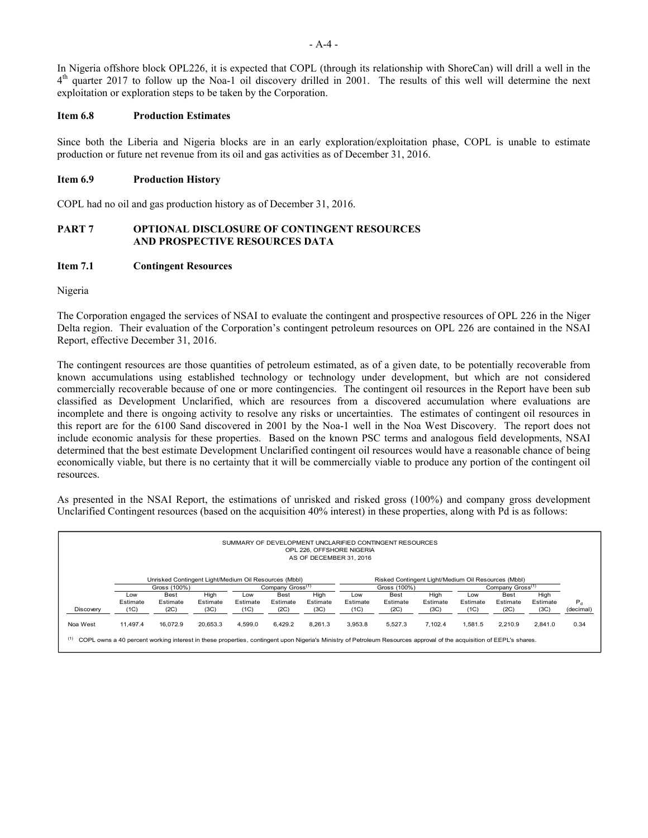In Nigeria offshore block OPL226, it is expected that COPL (through its relationship with ShoreCan) will drill a well in the 4<sup>th</sup> quarter 2017 to follow up the Noa-1 oil discovery drilled in 2001. The results of this well will determine the next exploitation or exploration steps to be taken by the Corporation.

#### **Item 6.8 Production Estimates**

Since both the Liberia and Nigeria blocks are in an early exploration/exploitation phase, COPL is unable to estimate production or future net revenue from its oil and gas activities as of December 31, 2016.

### **Item 6.9 Production History**

COPL had no oil and gas production history as of December 31, 2016.

### **PART 7 OPTIONAL DISCLOSURE OF CONTINGENT RESOURCES AND PROSPECTIVE RESOURCES DATA**

#### **Item 7.1 Contingent Resources**

Nigeria

The Corporation engaged the services of NSAI to evaluate the contingent and prospective resources of OPL 226 in the Niger Delta region. Their evaluation of the Corporation's contingent petroleum resources on OPL 226 are contained in the NSAI Report, effective December 31, 2016.

The contingent resources are those quantities of petroleum estimated, as of a given date, to be potentially recoverable from known accumulations using established technology or technology under development, but which are not considered commercially recoverable because of one or more contingencies. The contingent oil resources in the Report have been sub classified as Development Unclarified, which are resources from a discovered accumulation where evaluations are incomplete and there is ongoing activity to resolve any risks or uncertainties. The estimates of contingent oil resources in this report are for the 6100 Sand discovered in 2001 by the Noa-1 well in the Noa West Discovery. The report does not include economic analysis for these properties. Based on the known PSC terms and analogous field developments, NSAI determined that the best estimate Development Unclarified contingent oil resources would have a reasonable chance of being economically viable, but there is no certainty that it will be commercially viable to produce any portion of the contingent oil resources.

As presented in the NSAI Report, the estimations of unrisked and risked gross (100%) and company gross development Unclarified Contingent resources (based on the acquisition 40% interest) in these properties, along with Pd is as follows:

| SUMMARY OF DEVELOPMENT UNCLARIFIED CONTINGENT RESOURCES<br>OPL 226, OFFSHORE NIGERIA<br>AS OF DECEMBER 31, 2016                                                             |                                                                                                              |             |          |          |              |          |          |                              |          |          |             |          |           |
|-----------------------------------------------------------------------------------------------------------------------------------------------------------------------------|--------------------------------------------------------------------------------------------------------------|-------------|----------|----------|--------------|----------|----------|------------------------------|----------|----------|-------------|----------|-----------|
|                                                                                                                                                                             | Unrisked Contingent Light/Medium Oil Resources (Mbbl)<br>Risked Contingent Light/Medium Oil Resources (Mbbl) |             |          |          |              |          |          |                              |          |          |             |          |           |
|                                                                                                                                                                             | Gross (100%)<br>Company Gross <sup>(1)</sup>                                                                 |             |          |          | Gross (100%) |          |          | Company Gross <sup>(1)</sup> |          |          |             |          |           |
|                                                                                                                                                                             | Low                                                                                                          | <b>Best</b> | High     | Low      | <b>Best</b>  | High     | Low      | <b>Best</b>                  | High     | Low      | <b>Best</b> | High     |           |
|                                                                                                                                                                             | Estimate                                                                                                     | Estimate    | Estimate | Estimate | Estimate     | Estimate | Estimate | Estimate                     | Estimate | Estimate | Estimate    | Estimate | $P_{d}$   |
| Discovery                                                                                                                                                                   | (1C)                                                                                                         | (2C)        | (3C)     | (1C)     | (2C)         | (3C)     | (1C)     | (2C)                         | (3C)     | (1C)     | (2C)        | (3C)     | (decimal) |
| Noa West                                                                                                                                                                    | 11.497.4                                                                                                     | 16.072.9    | 20.653.3 | 4.599.0  | 6.429.2      | 8.261.3  | 3.953.8  | 5.527.3                      | 7.102.4  | 1.581.5  | 2.210.9     | 2.841.0  | 0.34      |
| (1)<br>COPL owns a 40 percent working interest in these properties, contingent upon Nigeria's Ministry of Petroleum Resources approval of the acquisition of EEPL's shares. |                                                                                                              |             |          |          |              |          |          |                              |          |          |             |          |           |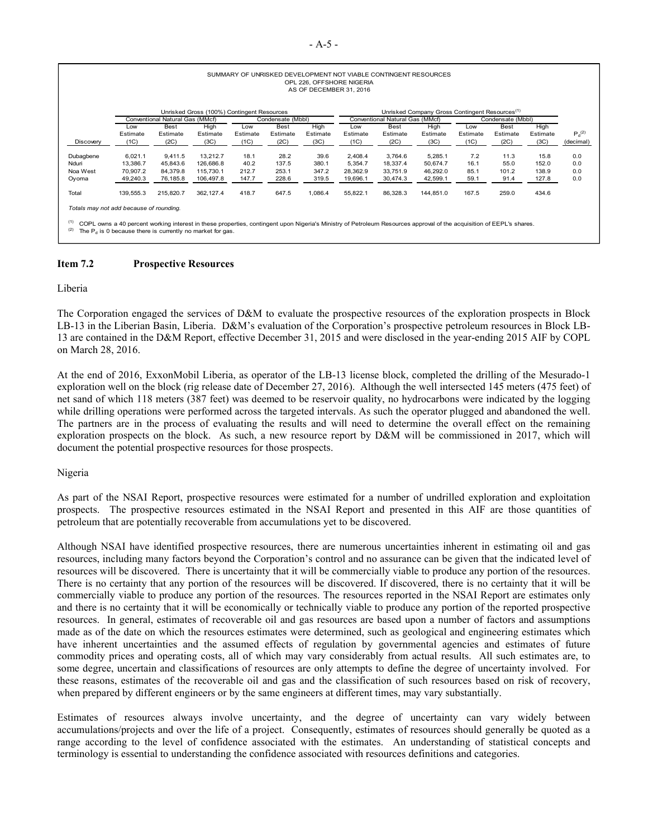| SUMMARY OF UNRISKED DEVELOPMENT NOT VIABLE CONTINGENT RESOURCES |
|-----------------------------------------------------------------|
| OPL 226, OFFSHORE NIGERIA                                       |
| AS OF DECEMBER 31, 2016                                         |

|                                                                                                                                                                                                                                                      |           |                                 | Unrisked Gross (100%) Contingent Resources |          |                   |          | Unrisked Company Gross Contingent Resources <sup>(1)</sup> |                                 |           |          |                   |          |             |
|------------------------------------------------------------------------------------------------------------------------------------------------------------------------------------------------------------------------------------------------------|-----------|---------------------------------|--------------------------------------------|----------|-------------------|----------|------------------------------------------------------------|---------------------------------|-----------|----------|-------------------|----------|-------------|
|                                                                                                                                                                                                                                                      |           | Conventional Natural Gas (MMcf) |                                            |          | Condensate (Mbbl) |          |                                                            | Conventional Natural Gas (MMcf) |           |          | Condensate (Mbbl) |          |             |
|                                                                                                                                                                                                                                                      | Low       | <b>Best</b>                     | High                                       | Low      | Best              | High     | Low                                                        | Best                            | High      | Low      | <b>Best</b>       | High     |             |
|                                                                                                                                                                                                                                                      | Estimate  | Estimate                        | Estimate                                   | Estimate | Estimate          | Estimate | Estimate                                                   | Estimate                        | Estimate  | Estimate | Estimate          | Estimate | $P_d^{(2)}$ |
| Discovery                                                                                                                                                                                                                                            | (1C)      | (2C)                            | (3C)                                       | (1C)     | (2C)              | (3C)     | (1C)                                                       | (2C)                            | (3C)      | (1C)     | (2C)              | (3C)     | (decimal)   |
|                                                                                                                                                                                                                                                      |           |                                 |                                            |          |                   |          |                                                            |                                 |           |          |                   |          |             |
| Dubagbene                                                                                                                                                                                                                                            | 6.021.1   | 9.411.5                         | 13.212.7                                   | 18.1     | 28.2              | 39.6     | 2.408.4                                                    | 3.764.6                         | 5.285.1   | 7.2      | 11.3              | 15.8     | 0.0         |
| Nduri                                                                                                                                                                                                                                                | 13.386.7  | 45.843.6                        | 126.686.8                                  | 40.2     | 137.5             | 380.1    | 5.354.7                                                    | 18.337.4                        | 50.674.7  | 16.1     | 55.0              | 152.0    | 0.0         |
| Noa West                                                                                                                                                                                                                                             | 70.907.2  | 84.379.8                        | 115,730.1                                  | 212.7    | 253.1             | 347.2    | 28.362.9                                                   | 33.751.9                        | 46.292.0  | 85.1     | 101.2             | 138.9    | 0.0         |
| Oyoma                                                                                                                                                                                                                                                | 49,240.3  | 76.185.8                        | 106,497.8                                  | 147.7    | 228.6             | 319.5    | 19,696.1                                                   | 30,474.3                        | 42,599.1  | 59.1     | 91.4              | 127.8    | 0.0         |
| Total                                                                                                                                                                                                                                                | 139.555.3 | 215.820.7                       | 362.127.4                                  | 418.7    | 647.5             | 1.086.4  | 55,822.1                                                   | 86.328.3                        | 144.851.0 | 167.5    | 259.0             | 434.6    |             |
| Totals may not add because of rounding.                                                                                                                                                                                                              |           |                                 |                                            |          |                   |          |                                                            |                                 |           |          |                   |          |             |
| (1)<br>COPL owns a 40 percent working interest in these properties, contingent upon Nigeria's Ministry of Petroleum Resources approval of the acquisition of EEPL's shares.<br>(2)<br>The $P_{d}$ is 0 because there is currently no market for gas. |           |                                 |                                            |          |                   |          |                                                            |                                 |           |          |                   |          |             |

### **Item 7.2 Prospective Resources**

Liberia

The Corporation engaged the services of D&M to evaluate the prospective resources of the exploration prospects in Block LB-13 in the Liberian Basin, Liberia. D&M's evaluation of the Corporation's prospective petroleum resources in Block LB-13 are contained in the D&M Report, effective December 31, 2015 and were disclosed in the year-ending 2015 AIF by COPL on March 28, 2016.

At the end of 2016, ExxonMobil Liberia, as operator of the LB-13 license block, completed the drilling of the Mesurado-1 exploration well on the block (rig release date of December 27, 2016). Although the well intersected 145 meters (475 feet) of net sand of which 118 meters (387 feet) was deemed to be reservoir quality, no hydrocarbons were indicated by the logging while drilling operations were performed across the targeted intervals. As such the operator plugged and abandoned the well. The partners are in the process of evaluating the results and will need to determine the overall effect on the remaining exploration prospects on the block. As such, a new resource report by D&M will be commissioned in 2017, which will document the potential prospective resources for those prospects.

### Nigeria

As part of the NSAI Report, prospective resources were estimated for a number of undrilled exploration and exploitation prospects. The prospective resources estimated in the NSAI Report and presented in this AIF are those quantities of petroleum that are potentially recoverable from accumulations yet to be discovered.

Although NSAI have identified prospective resources, there are numerous uncertainties inherent in estimating oil and gas resources, including many factors beyond the Corporation's control and no assurance can be given that the indicated level of resources will be discovered. There is uncertainty that it will be commercially viable to produce any portion of the resources. There is no certainty that any portion of the resources will be discovered. If discovered, there is no certainty that it will be commercially viable to produce any portion of the resources. The resources reported in the NSAI Report are estimates only and there is no certainty that it will be economically or technically viable to produce any portion of the reported prospective resources. In general, estimates of recoverable oil and gas resources are based upon a number of factors and assumptions made as of the date on which the resources estimates were determined, such as geological and engineering estimates which have inherent uncertainties and the assumed effects of regulation by governmental agencies and estimates of future commodity prices and operating costs, all of which may vary considerably from actual results. All such estimates are, to some degree, uncertain and classifications of resources are only attempts to define the degree of uncertainty involved. For these reasons, estimates of the recoverable oil and gas and the classification of such resources based on risk of recovery, when prepared by different engineers or by the same engineers at different times, may vary substantially.

Estimates of resources always involve uncertainty, and the degree of uncertainty can vary widely between accumulations/projects and over the life of a project. Consequently, estimates of resources should generally be quoted as a range according to the level of confidence associated with the estimates. An understanding of statistical concepts and terminology is essential to understanding the confidence associated with resources definitions and categories.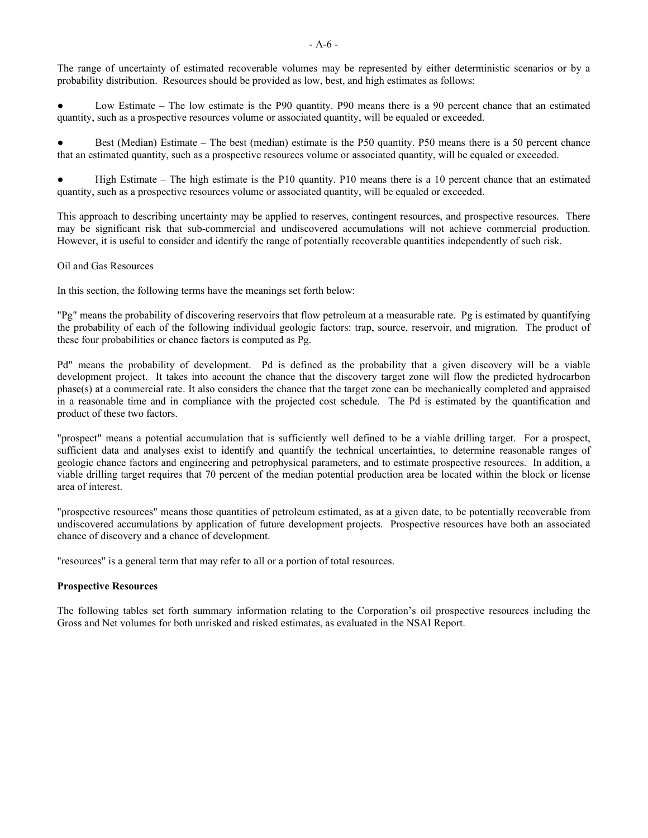The range of uncertainty of estimated recoverable volumes may be represented by either deterministic scenarios or by a probability distribution. Resources should be provided as low, best, and high estimates as follows:

Low Estimate – The low estimate is the P90 quantity. P90 means there is a 90 percent chance that an estimated quantity, such as a prospective resources volume or associated quantity, will be equaled or exceeded.

Best (Median) Estimate – The best (median) estimate is the P50 quantity. P50 means there is a 50 percent chance that an estimated quantity, such as a prospective resources volume or associated quantity, will be equaled or exceeded.

High Estimate – The high estimate is the P10 quantity. P10 means there is a 10 percent chance that an estimated quantity, such as a prospective resources volume or associated quantity, will be equaled or exceeded.

This approach to describing uncertainty may be applied to reserves, contingent resources, and prospective resources. There may be significant risk that sub-commercial and undiscovered accumulations will not achieve commercial production. However, it is useful to consider and identify the range of potentially recoverable quantities independently of such risk.

Oil and Gas Resources

In this section, the following terms have the meanings set forth below:

"Pg" means the probability of discovering reservoirs that flow petroleum at a measurable rate. Pg is estimated by quantifying the probability of each of the following individual geologic factors: trap, source, reservoir, and migration. The product of these four probabilities or chance factors is computed as Pg.

Pd" means the probability of development. Pd is defined as the probability that a given discovery will be a viable development project. It takes into account the chance that the discovery target zone will flow the predicted hydrocarbon phase(s) at a commercial rate. It also considers the chance that the target zone can be mechanically completed and appraised in a reasonable time and in compliance with the projected cost schedule. The Pd is estimated by the quantification and product of these two factors.

"prospect" means a potential accumulation that is sufficiently well defined to be a viable drilling target. For a prospect, sufficient data and analyses exist to identify and quantify the technical uncertainties, to determine reasonable ranges of geologic chance factors and engineering and petrophysical parameters, and to estimate prospective resources. In addition, a viable drilling target requires that 70 percent of the median potential production area be located within the block or license area of interest.

"prospective resources" means those quantities of petroleum estimated, as at a given date, to be potentially recoverable from undiscovered accumulations by application of future development projects. Prospective resources have both an associated chance of discovery and a chance of development.

"resources" is a general term that may refer to all or a portion of total resources.

### **Prospective Resources**

The following tables set forth summary information relating to the Corporation's oil prospective resources including the Gross and Net volumes for both unrisked and risked estimates, as evaluated in the NSAI Report.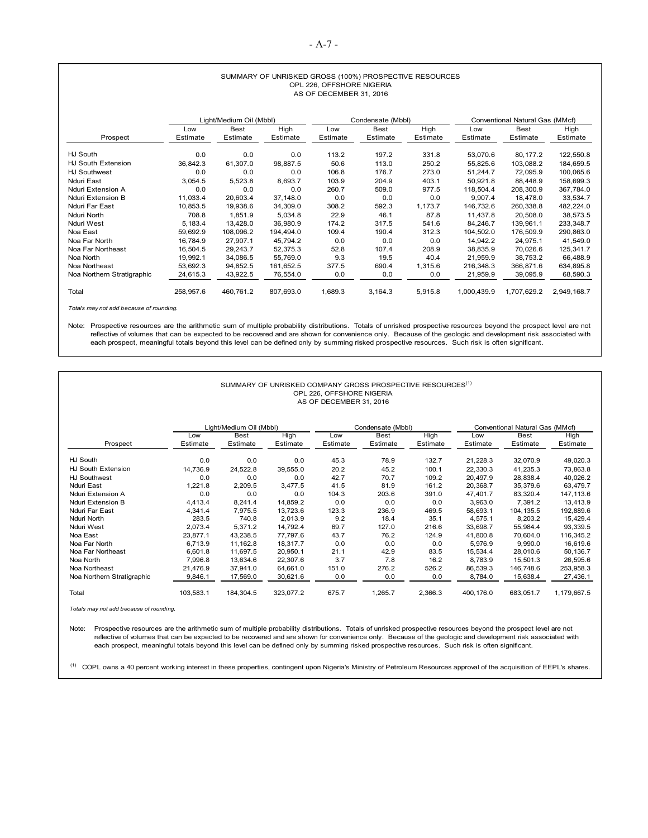#### SUMMARY OF UNRISKED GROSS (100%) PROSPECTIVE RESOURCES OPL 226, OFFSHORE NIGERIA AS OF DECEMBER 31, 2016

|                            |           | Light/Medium Oil (Mbbl) |           | Condensate (Mbbl) |             |          |             | Conventional Natural Gas (MMcf) |             |
|----------------------------|-----------|-------------------------|-----------|-------------------|-------------|----------|-------------|---------------------------------|-------------|
|                            | Low       | <b>Best</b>             | High      | Low               | <b>Best</b> | High     | Low         | <b>Best</b>                     | High        |
| Prospect                   | Estimate  | Estimate                | Estimate  | Estimate          | Estimate    | Estimate | Estimate    | Estimate                        | Estimate    |
| HJ South                   | 0.0       | 0.0                     | 0.0       | 113.2             | 197.2       | 331.8    | 53,070.6    | 80,177.2                        | 122,550.8   |
| HJ South Extension         | 36,842.3  | 61,307.0                | 98,887.5  | 50.6              | 113.0       | 250.2    | 55,825.6    | 103,088.2                       | 184,659.5   |
| <b>HJ Southwest</b>        | 0.0       | 0.0                     | 0.0       | 106.8             | 176.7       | 273.0    | 51,244.7    | 72.095.9                        | 100.065.6   |
| Nduri East                 | 3,054.5   | 5,523.8                 | 8,693.7   | 103.9             | 204.9       | 403.1    | 50,921.8    | 88,448.9                        | 158,699.3   |
| Nduri Extension A          | 0.0       | 0.0                     | 0.0       | 260.7             | 509.0       | 977.5    | 118.504.4   | 208.300.9                       | 367.784.0   |
| Nduri Extension B          | 11,033.4  | 20,603.4                | 37,148.0  | 0.0               | 0.0         | 0.0      | 9.907.4     | 18.478.0                        | 33,534.7    |
| Nduri Far East             | 10,853.5  | 19,938.6                | 34,309.0  | 308.2             | 592.3       | 1,173.7  | 146,732.6   | 260,338.8                       | 482,224.0   |
| Nduri North                | 708.8     | 1,851.9                 | 5,034.8   | 22.9              | 46.1        | 87.8     | 11,437.8    | 20,508.0                        | 38,573.5    |
| Nduri West                 | 5,183.4   | 13,428.0                | 36,980.9  | 174.2             | 317.5       | 541.6    | 84,246.7    | 139,961.1                       | 233,348.7   |
| Noa East                   | 59,692.9  | 108.096.2               | 194,494.0 | 109.4             | 190.4       | 312.3    | 104.502.0   | 176.509.9                       | 290,863.0   |
| Noa Far North              | 16.784.9  | 27,907.1                | 45,794.2  | 0.0               | 0.0         | 0.0      | 14,942.2    | 24,975.1                        | 41,549.0    |
| Noa Far Northeast          | 16,504.5  | 29,243.7                | 52,375.3  | 52.8              | 107.4       | 208.9    | 38,835.9    | 70.026.6                        | 125,341.7   |
| Noa North                  | 19,992.1  | 34,086.5                | 55.769.0  | 9.3               | 19.5        | 40.4     | 21,959.9    | 38,753.2                        | 66,488.9    |
| Noa Northeast              | 53,692.3  | 94,852.5                | 161,652.5 | 377.5             | 690.4       | 1,315.6  | 216.348.3   | 366.871.6                       | 634,895.8   |
| Noa Northern Stratigraphic | 24,615.3  | 43,922.5                | 76,554.0  | 0.0               | 0.0         | 0.0      | 21,959.9    | 39,095.9                        | 68,590.3    |
| Total                      | 258,957.6 | 460.761.2               | 807,693.0 | 1,689.3           | 3,164.3     | 5,915.8  | 1,000,439.9 | 1,707,629.2                     | 2,949,168.7 |

*Totals may not add because of rounding.* 

Note: Prospective resources are the arithmetic sum of multiple probability distributions. Totals of unrisked prospective resources beyond the prospect level are not reflective of volumes that can be expected to be recovered and are shown for convenience only. Because of the geologic and development risk associated with each prospect, meaningful totals beyond this level can be defined only by summing risked prospective resources. Such risk is often significant.

|                            |                 |                         | SUMMARY OF UNRISKED COMPANY GROSS PROSPECTIVE RESOURCES <sup>(1)</sup> | OPL 226, OFFSHORE NIGERIA<br>AS OF DECEMBER 31, 2016 |                         |                  |                 |                                 |                  |  |
|----------------------------|-----------------|-------------------------|------------------------------------------------------------------------|------------------------------------------------------|-------------------------|------------------|-----------------|---------------------------------|------------------|--|
|                            |                 | Light/Medium Oil (Mbbl) |                                                                        |                                                      | Condensate (Mbbl)       |                  |                 | Conventional Natural Gas (MMcf) |                  |  |
| Prospect                   | Low<br>Estimate | <b>Best</b><br>Estimate | High<br>Estimate                                                       | Low<br>Estimate                                      | <b>Best</b><br>Estimate | High<br>Estimate | Low<br>Estimate | <b>Best</b><br>Estimate         | High<br>Estimate |  |
| HJ South                   | 0.0             | 0.0                     | 0.0                                                                    | 45.3                                                 | 78.9                    | 132.7            | 21,228.3        | 32,070.9                        | 49,020.3         |  |
| HJ South Extension         | 14,736.9        | 24,522.8                | 39,555.0                                                               | 20.2                                                 | 45.2                    | 100.1            | 22.330.3        | 41,235.3                        | 73,863.8         |  |
| <b>HJ Southwest</b>        | 0.0             | 0.0                     | 0.0                                                                    | 42.7                                                 | 70.7                    | 109.2            | 20.497.9        | 28,838.4                        | 40.026.2         |  |
| Nduri East                 | 1,221.8         | 2,209.5                 | 3.477.5                                                                | 41.5                                                 | 81.9                    | 161.2            | 20.368.7        | 35,379.6                        | 63.479.7         |  |
| Nduri Extension A          | 0.0             | 0.0                     | 0.0                                                                    | 104.3                                                | 203.6                   | 391.0            | 47.401.7        | 83,320.4                        | 147.113.6        |  |
| Nduri Extension B          | 4,413.4         | 8,241.4                 | 14,859.2                                                               | 0.0                                                  | 0.0                     | 0.0              | 3.963.0         | 7.391.2                         | 13.413.9         |  |
| Nduri Far East             | 4,341.4         | 7.975.5                 | 13.723.6                                                               | 123.3                                                | 236.9                   | 469.5            | 58.693.1        | 104.135.5                       | 192.889.6        |  |
| Nduri North                | 283.5           | 740.8                   | 2,013.9                                                                | 9.2                                                  | 18.4                    | 35.1             | 4.575.1         | 8,203.2                         | 15.429.4         |  |
| Nduri West                 | 2,073.4         | 5,371.2                 | 14,792.4                                                               | 69.7                                                 | 127.0                   | 216.6            | 33.698.7        | 55,984.4                        | 93,339.5         |  |
| Noa East                   | 23.877.1        | 43,238.5                | 77.797.6                                                               | 43.7                                                 | 76.2                    | 124.9            | 41.800.8        | 70,604.0                        | 116.345.2        |  |
| Noa Far North              | 6.713.9         | 11.162.8                | 18.317.7                                                               | 0.0                                                  | 0.0                     | 0.0              | 5.976.9         | 9.990.0                         | 16,619.6         |  |
| Noa Far Northeast          | 6,601.8         | 11.697.5                | 20.950.1                                                               | 21.1                                                 | 42.9                    | 83.5             | 15.534.4        | 28.010.6                        | 50.136.7         |  |
| Noa North                  | 7.996.8         | 13.634.6                | 22.307.6                                                               | 3.7                                                  | 7.8                     | 16.2             | 8.783.9         | 15,501.3                        | 26,595.6         |  |
| Noa Northeast              | 21.476.9        | 37.941.0                | 64.661.0                                                               | 151.0                                                | 276.2                   | 526.2            | 86.539.3        | 146.748.6                       | 253.958.3        |  |
| Noa Northern Stratigraphic | 9.846.1         | 17,569.0                | 30,621.6                                                               | 0.0                                                  | 0.0                     | 0.0              | 8.784.0         | 15,638.4                        | 27,436.1         |  |
| Total                      | 103.583.1       | 184.304.5               | 323.077.2                                                              | 675.7                                                | 1,265.7                 | 2,366.3          | 400.176.0       | 683.051.7                       | 1,179,667.5      |  |

*Totals may not add because of rounding.* 

Note: Prospective resources are the arithmetic sum of multiple probability distributions. Totals of unrisked prospective resources beyond the prospect level are not reflective of volumes that can be expected to be recovered and are shown for convenience only. Because of the geologic and development risk associated with each prospect, meaningful totals beyond this level can be defined only by summing risked prospective resources. Such risk is often significant.

<sup>(1)</sup> COPL owns a 40 percent working interest in these properties, contingent upon Nigeria's Ministry of Petroleum Resources approval of the acquisition of EEPL's shares.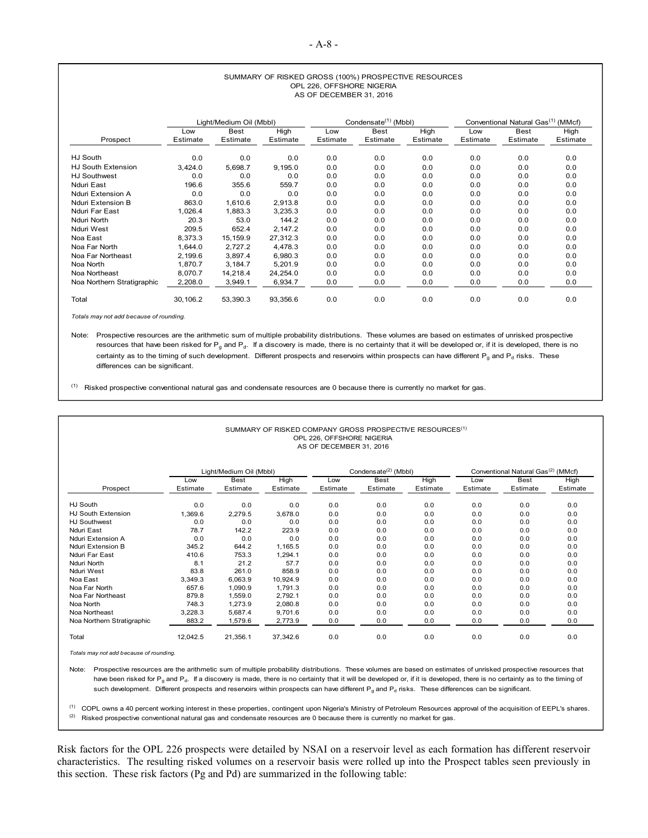#### SUMMARY OF RISKED GROSS (100%) PROSPECTIVE RESOURCES OPL 226, OFFSHORE NIGERIA AS OF DECEMBER 31, 2016

|                            | Light/Medium Oil (Mbbl) |             |          |          | Condensate <sup>(1)</sup> (Mbbl) |          | Conventional Natural Gas <sup>(1)</sup> (MMcf) |             |          |
|----------------------------|-------------------------|-------------|----------|----------|----------------------------------|----------|------------------------------------------------|-------------|----------|
|                            | Low                     | <b>Best</b> | High     | Low      | <b>Best</b>                      | High     | Low                                            | <b>Best</b> | High     |
| Prospect                   | Estimate                | Estimate    | Estimate | Estimate | Estimate                         | Estimate | Estimate                                       | Estimate    | Estimate |
| HJ South                   | 0.0                     | 0.0         | 0.0      | 0.0      | 0.0                              | 0.0      | 0.0                                            | 0.0         | 0.0      |
| <b>HJ South Extension</b>  | 3,424.0                 | 5,698.7     | 9,195.0  | 0.0      | 0.0                              | 0.0      | 0.0                                            | 0.0         | 0.0      |
| <b>HJ Southwest</b>        | 0.0                     | 0.0         | 0.0      | 0.0      | 0.0                              | 0.0      | 0.0                                            | 0.0         | 0.0      |
| Nduri East                 | 196.6                   | 355.6       | 559.7    | 0.0      | 0.0                              | 0.0      | 0.0                                            | 0.0         | 0.0      |
| Nduri Extension A          | 0.0                     | 0.0         | 0.0      | 0.0      | 0.0                              | 0.0      | 0.0                                            | 0.0         | 0.0      |
| Nduri Extension B          | 863.0                   | 1.610.6     | 2,913.8  | 0.0      | 0.0                              | 0.0      | 0.0                                            | 0.0         | 0.0      |
| Nduri Far East             | 1,026.4                 | 1,883.3     | 3,235.3  | 0.0      | 0.0                              | 0.0      | 0.0                                            | 0.0         | 0.0      |
| Nduri North                | 20.3                    | 53.0        | 144.2    | 0.0      | 0.0                              | 0.0      | 0.0                                            | 0.0         | 0.0      |
| Nduri West                 | 209.5                   | 652.4       | 2,147.2  | 0.0      | 0.0                              | 0.0      | 0.0                                            | 0.0         | 0.0      |
| Noa East                   | 8.373.3                 | 15.159.9    | 27.312.3 | 0.0      | 0.0                              | 0.0      | 0.0                                            | 0.0         | 0.0      |
| Noa Far North              | 1.644.0                 | 2.727.2     | 4.478.3  | 0.0      | 0.0                              | 0.0      | 0.0                                            | 0.0         | 0.0      |
| Noa Far Northeast          | 2.199.6                 | 3,897.4     | 6.980.3  | 0.0      | 0.0                              | 0.0      | 0.0                                            | 0.0         | 0.0      |
| Noa North                  | 1.870.7                 | 3.184.7     | 5.201.9  | 0.0      | 0.0                              | 0.0      | 0.0                                            | 0.0         | 0.0      |
| Noa Northeast              | 8.070.7                 | 14.218.4    | 24,254.0 | 0.0      | 0.0                              | 0.0      | 0.0                                            | 0.0         | 0.0      |
| Noa Northern Stratigraphic | 2,208.0                 | 3,949.1     | 6,934.7  | 0.0      | 0.0                              | 0.0      | 0.0                                            | 0.0         | 0.0      |
| Total                      | 30,106.2                | 53,390.3    | 93,356.6 | 0.0      | 0.0                              | 0.0      | 0.0                                            | 0.0         | 0.0      |

*Totals may not add because of rounding.* 

Note: Prospective resources are the arithmetic sum of multiple probability distributions. These volumes are based on estimates of unrisked prospective resources that have been risked for  $P_g$  and  $P_d$ . If a discovery is made, there is no certainty that it will be developed or, if it is developed, there is no certainty as to the timing of such development. Different prospects and reservoirs within prospects can have different  $P_g$  and  $P_d$  risks. These differences can be significant.

 $<sup>(1)</sup>$  Risked prospective conventional natural gas and condensate resources are 0 because there is currently no market for gas.</sup>

| SUMMARY OF RISKED COMPANY GROSS PROSPECTIVE RESOURCES <sup>(1)</sup><br>OPL 226, OFFSHORE NIGERIA<br>AS OF DECEMBER 31, 2016 |          |                         |          |          |                                  |          |          |                                                |          |  |
|------------------------------------------------------------------------------------------------------------------------------|----------|-------------------------|----------|----------|----------------------------------|----------|----------|------------------------------------------------|----------|--|
|                                                                                                                              |          | Light/Medium Oil (Mbbl) |          |          | Condensate <sup>(2)</sup> (Mbbl) |          |          | Conventional Natural Gas <sup>(2)</sup> (MMcf) |          |  |
|                                                                                                                              | Low      | <b>Best</b>             | High     | Low      | <b>Best</b>                      | High     | Low      | <b>Best</b>                                    | High     |  |
| Prospect                                                                                                                     | Estimate | Estimate                | Estimate | Estimate | Estimate                         | Estimate | Estimate | Estimate                                       | Estimate |  |
| HJ South                                                                                                                     | 0.0      | 0.0                     | 0.0      | 0.0      | 0.0                              | 0.0      | 0.0      | 0.0                                            | 0.0      |  |
| HJ South Extension                                                                                                           | 1.369.6  | 2.279.5                 | 3.678.0  | 0.0      | 0.0                              | 0.0      | 0.0      | 0.0                                            | 0.0      |  |
| <b>HJ Southwest</b>                                                                                                          | 0.0      | 0.0                     | 0.0      | 0.0      | 0.0                              | 0.0      | 0.0      | 0.0                                            | 0.0      |  |
| Nduri East                                                                                                                   | 78.7     | 142.2                   | 223.9    | 0.0      | 0.0                              | 0.0      | 0.0      | 0.0                                            | 0.0      |  |
| Nduri Extension A                                                                                                            | 0.0      | 0.0                     | 0.0      | 0.0      | 0.0                              | 0.0      | 0.0      | 0.0                                            | 0.0      |  |
| Nduri Extension B                                                                                                            | 345.2    | 644.2                   | 1,165.5  | 0.0      | 0.0                              | 0.0      | 0.0      | 0.0                                            | 0.0      |  |
| Nduri Far East                                                                                                               | 410.6    | 753.3                   | 1.294.1  | 0.0      | 0.0                              | 0.0      | 0.0      | 0.0                                            | 0.0      |  |
| Nduri North                                                                                                                  | 8.1      | 21.2                    | 57.7     | 0.0      | 0.0                              | 0.0      | 0.0      | 0.0                                            | 0.0      |  |
| Nduri West                                                                                                                   | 83.8     | 261.0                   | 858.9    | 0.0      | 0.0                              | 0.0      | 0.0      | 0.0                                            | 0.0      |  |
| Noa East                                                                                                                     | 3,349.3  | 6,063.9                 | 10,924.9 | 0.0      | 0.0                              | 0.0      | 0.0      | 0.0                                            | 0.0      |  |
| Noa Far North                                                                                                                | 657.6    | 1.090.9                 | 1,791.3  | 0.0      | 0.0                              | 0.0      | 0.0      | 0.0                                            | 0.0      |  |
| Noa Far Northeast                                                                                                            | 879.8    | 1.559.0                 | 2.792.1  | 0.0      | 0.0                              | 0.0      | 0.0      | 0.0                                            | 0.0      |  |
| Noa North                                                                                                                    | 748.3    | 1.273.9                 | 2,080.8  | 0.0      | 0.0                              | 0.0      | 0.0      | 0.0                                            | 0.0      |  |
| Noa Northeast                                                                                                                | 3,228.3  | 5,687.4                 | 9,701.6  | 0.0      | 0.0                              | 0.0      | 0.0      | 0.0                                            | 0.0      |  |
| Noa Northern Stratigraphic                                                                                                   | 883.2    | 1,579.6                 | 2,773.9  | 0.0      | 0.0                              | 0.0      | 0.0      | 0.0                                            | 0.0      |  |
| Total                                                                                                                        | 12,042.5 | 21.356.1                | 37.342.6 | 0.0      | 0.0                              | 0.0      | 0.0      | 0.0                                            | 0.0      |  |

*Totals may not add because of rounding.* 

Note: Prospective resources are the arithmetic sum of multiple probability distributions. These volumes are based on estimates of unrisked prospective resources that have been risked for P<sub>g</sub> and P<sub>d</sub>. If a discovery is made, there is no certainty that it will be developed or, if it is developed, there is no certainty as to the timing of such development. Different prospects and reservoirs within prospects can have different  $P_q$  and  $P_d$  risks. These differences can be significant.

 $(2)$  Risked prospective conventional natural gas and condensate resources are 0 because there is currently no market for gas. (1) COPL owns a 40 percent working interest in these properties, contingent upon Nigeria's Ministry of Petroleum Resources approval of the acquisition of EEPL's shares.

Risk factors for the OPL 226 prospects were detailed by NSAI on a reservoir level as each formation has different reservoir characteristics. The resulting risked volumes on a reservoir basis were rolled up into the Prospect tables seen previously in this section. These risk factors (Pg and Pd) are summarized in the following table: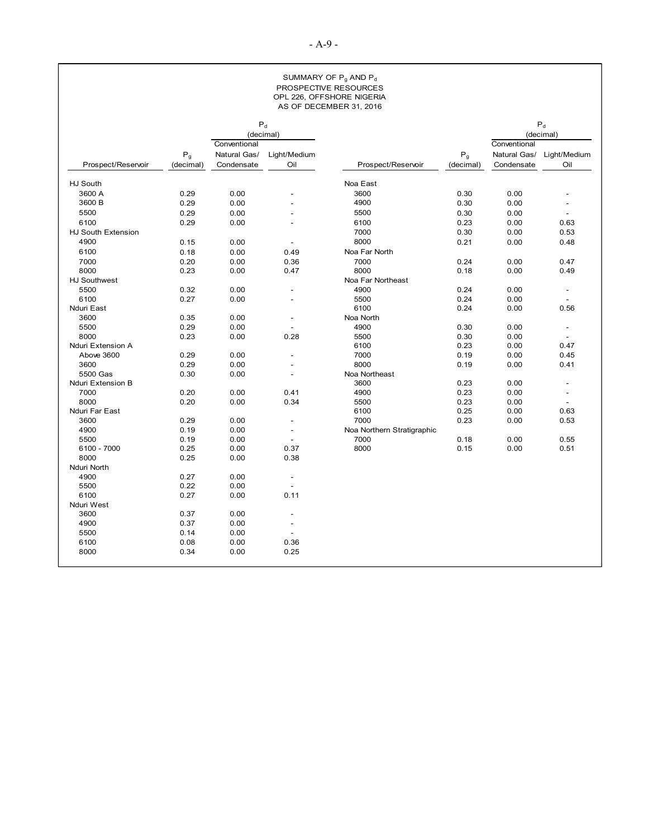#### SUMMARY OF P<sub>g</sub> AND P<sub>d</sub> PROSPECTIVE RESOURCES OPL 226, OFFSHORE NIGERIA AS OF DECEMBER 31, 2016

|                     |                                        |              | $\mathsf{P}_{\sf d}$     |                            |                                        |              | $\mathsf{P}_{\sf d}$     |
|---------------------|----------------------------------------|--------------|--------------------------|----------------------------|----------------------------------------|--------------|--------------------------|
|                     |                                        | Conventional | (decimal)                |                            |                                        | Conventional | (decimal)                |
|                     |                                        | Natural Gas/ | Light/Medium             |                            |                                        | Natural Gas/ | Light/Medium             |
| Prospect/Reservoir  | $\mathsf{P}_{\mathsf{g}}$<br>(decimal) | Condensate   | Oil                      | Prospect/Reservoir         | $\mathsf{P}_{\mathsf{g}}$<br>(decimal) | Condensate   | Oil                      |
|                     |                                        |              |                          |                            |                                        |              |                          |
| HJ South            |                                        |              |                          | Noa East                   |                                        |              |                          |
| 3600 A              | 0.29                                   | 0.00         | $\overline{a}$           | 3600                       | 0.30                                   | 0.00         |                          |
| 3600 B              | 0.29                                   | 0.00         |                          | 4900                       | 0.30                                   | 0.00         | $\overline{\phantom{a}}$ |
| 5500                | 0.29                                   | 0.00         |                          | 5500                       | 0.30                                   | 0.00         | $\sim$                   |
| 6100                | 0.29                                   | 0.00         |                          | 6100                       | 0.23                                   | 0.00         | 0.63                     |
| HJ South Extension  |                                        |              |                          | 7000                       | 0.30                                   | 0.00         | 0.53                     |
| 4900                | 0.15                                   | 0.00         | $\overline{a}$           | 8000                       | 0.21                                   | 0.00         | 0.48                     |
| 6100                | 0.18                                   | 0.00         | 0.49                     | Noa Far North              |                                        |              |                          |
| 7000                | 0.20                                   | 0.00         | 0.36                     | 7000                       | 0.24                                   | 0.00         | 0.47                     |
| 8000                | 0.23                                   | 0.00         | 0.47                     | 8000                       | 0.18                                   | 0.00         | 0.49                     |
| <b>HJ Southwest</b> |                                        |              |                          | Noa Far Northeast          |                                        |              |                          |
| 5500                | 0.32                                   | 0.00         | $\overline{a}$           | 4900                       | 0.24                                   | 0.00         | $\overline{\phantom{a}}$ |
| 6100                | 0.27                                   | 0.00         | $\overline{a}$           | 5500                       | 0.24                                   | 0.00         | $\sim$                   |
| Nduri East          |                                        |              |                          | 6100                       | 0.24                                   | 0.00         | 0.56                     |
| 3600                | 0.35                                   | 0.00         |                          | Noa North                  |                                        |              |                          |
| 5500                | 0.29                                   | 0.00         |                          | 4900                       | 0.30                                   | 0.00         | $\blacksquare$           |
| 8000                | 0.23                                   | 0.00         | 0.28                     | 5500                       | 0.30                                   | 0.00         | $\overline{a}$           |
| Nduri Extension A   |                                        |              |                          | 6100                       | 0.23                                   | 0.00         | 0.47                     |
| Above 3600          | 0.29                                   | 0.00         | $\overline{a}$           | 7000                       | 0.19                                   | 0.00         | 0.45                     |
| 3600                | 0.29                                   | 0.00         | $\overline{\phantom{a}}$ | 8000                       | 0.19                                   | 0.00         | 0.41                     |
| 5500 Gas            | 0.30                                   | 0.00         | $\overline{a}$           | Noa Northeast              |                                        |              |                          |
| Nduri Extension B   |                                        |              |                          | 3600                       | 0.23                                   | 0.00         | $\overline{\phantom{a}}$ |
| 7000                | 0.20                                   | 0.00         | 0.41                     | 4900                       | 0.23                                   | 0.00         | $\overline{\phantom{a}}$ |
| 8000                | 0.20                                   | 0.00         | 0.34                     | 5500                       | 0.23                                   | 0.00         | $\sim$                   |
| Nduri Far East      |                                        |              |                          | 6100                       | 0.25                                   | 0.00         | 0.63                     |
| 3600                | 0.29                                   | 0.00         | $\overline{a}$           | 7000                       | 0.23                                   | 0.00         | 0.53                     |
| 4900                | 0.19                                   | 0.00         | $\frac{1}{2}$            | Noa Northern Stratigraphic |                                        |              |                          |
| 5500                | 0.19                                   | 0.00         | $\overline{\phantom{a}}$ | 7000                       | 0.18                                   | 0.00         | 0.55                     |
| 6100 - 7000         | 0.25                                   | 0.00         | 0.37                     | 8000                       | 0.15                                   | 0.00         | 0.51                     |
| 8000                | 0.25                                   | 0.00         | 0.38                     |                            |                                        |              |                          |
| Nduri North         |                                        |              |                          |                            |                                        |              |                          |
| 4900                | 0.27                                   | 0.00         | $\overline{\phantom{a}}$ |                            |                                        |              |                          |
| 5500                | 0.22                                   | 0.00         | $\frac{1}{2}$            |                            |                                        |              |                          |
| 6100                | 0.27                                   | 0.00         | 0.11                     |                            |                                        |              |                          |
| Nduri West          |                                        |              |                          |                            |                                        |              |                          |
| 3600                | 0.37                                   | 0.00         | $\overline{\phantom{a}}$ |                            |                                        |              |                          |
| 4900                | 0.37                                   | 0.00         |                          |                            |                                        |              |                          |
| 5500                | 0.14                                   | 0.00         | $\blacksquare$           |                            |                                        |              |                          |
| 6100                | 0.08                                   | 0.00         | 0.36                     |                            |                                        |              |                          |
| 8000                | 0.34                                   | 0.00         | 0.25                     |                            |                                        |              |                          |
|                     |                                        |              |                          |                            |                                        |              |                          |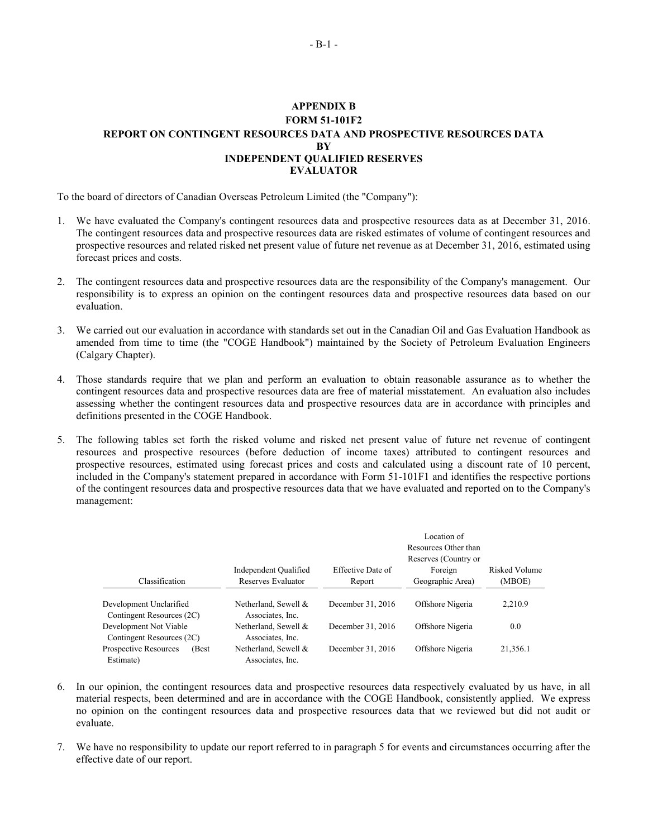### <span id="page-53-0"></span>**APPENDIX B FORM 51-101F2 REPORT ON CONTINGENT RESOURCES DATA AND PROSPECTIVE RESOURCES DATA BY INDEPENDENT QUALIFIED RESERVES EVALUATOR**

To the board of directors of Canadian Overseas Petroleum Limited (the "Company"):

- 1. We have evaluated the Company's contingent resources data and prospective resources data as at December 31, 2016. The contingent resources data and prospective resources data are risked estimates of volume of contingent resources and prospective resources and related risked net present value of future net revenue as at December 31, 2016, estimated using forecast prices and costs.
- 2. The contingent resources data and prospective resources data are the responsibility of the Company's management. Our responsibility is to express an opinion on the contingent resources data and prospective resources data based on our evaluation.
- 3. We carried out our evaluation in accordance with standards set out in the Canadian Oil and Gas Evaluation Handbook as amended from time to time (the "COGE Handbook") maintained by the Society of Petroleum Evaluation Engineers (Calgary Chapter).
- 4. Those standards require that we plan and perform an evaluation to obtain reasonable assurance as to whether the contingent resources data and prospective resources data are free of material misstatement. An evaluation also includes assessing whether the contingent resources data and prospective resources data are in accordance with principles and definitions presented in the COGE Handbook.
- 5. The following tables set forth the risked volume and risked net present value of future net revenue of contingent resources and prospective resources (before deduction of income taxes) attributed to contingent resources and prospective resources, estimated using forecast prices and costs and calculated using a discount rate of 10 percent, included in the Company's statement prepared in accordance with Form 51-101F1 and identifies the respective portions of the contingent resources data and prospective resources data that we have evaluated and reported on to the Company's management:

|                                                      |                                          |                   | Location of<br>Resources Other than<br>Reserves (Country or |               |  |
|------------------------------------------------------|------------------------------------------|-------------------|-------------------------------------------------------------|---------------|--|
|                                                      | Independent Qualified                    | Effective Date of | Foreign                                                     | Risked Volume |  |
| Classification                                       | Reserves Evaluator                       | Report            | Geographic Area)                                            | (MBOE)        |  |
| Development Unclarified<br>Contingent Resources (2C) | Netherland, Sewell &<br>Associates, Inc. | December 31, 2016 | Offshore Nigeria                                            | 2,210.9       |  |
| Development Not Viable<br>Contingent Resources (2C)  | Netherland, Sewell &<br>Associates, Inc. | December 31, 2016 | Offshore Nigeria                                            | 0.0           |  |
| Prospective Resources<br>(Best<br>Estimate)          | Netherland, Sewell &<br>Associates, Inc. | December 31, 2016 | Offshore Nigeria                                            | 21,356.1      |  |

- 6. In our opinion, the contingent resources data and prospective resources data respectively evaluated by us have, in all material respects, been determined and are in accordance with the COGE Handbook, consistently applied. We express no opinion on the contingent resources data and prospective resources data that we reviewed but did not audit or evaluate.
- 7. We have no responsibility to update our report referred to in paragraph 5 for events and circumstances occurring after the effective date of our report.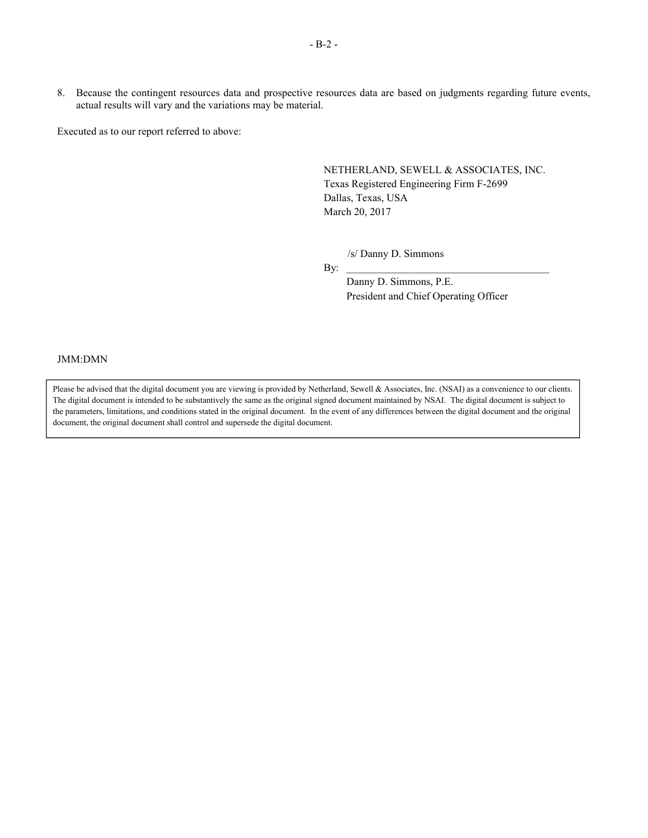8. Because the contingent resources data and prospective resources data are based on judgments regarding future events, actual results will vary and the variations may be material.

Executed as to our report referred to above:

NETHERLAND, SEWELL & ASSOCIATES, INC. Texas Registered Engineering Firm F-2699 Dallas, Texas, USA March 20, 2017

/s/ Danny D. Simmons

By:  $\Box$ 

Danny D. Simmons, P.E. President and Chief Operating Officer

JMM:DMN

Please be advised that the digital document you are viewing is provided by Netherland, Sewell & Associates, Inc. (NSAI) as a convenience to our clients. The digital document is intended to be substantively the same as the original signed document maintained by NSAI. The digital document is subject to the parameters, limitations, and conditions stated in the original document. In the event of any differences between the digital document and the original document, the original document shall control and supersede the digital document.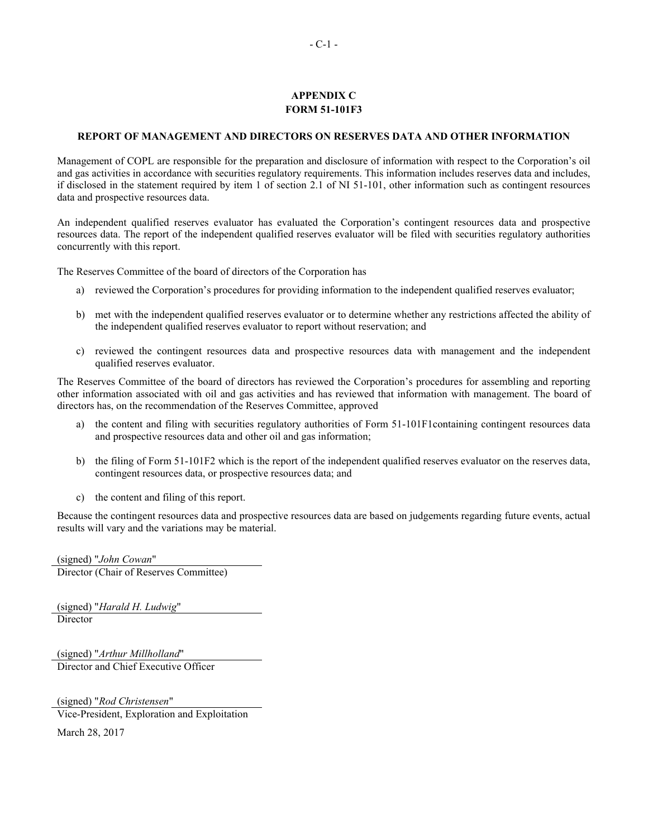### <span id="page-55-0"></span>**APPENDIX C FORM 51-101F3**

### **REPORT OF MANAGEMENT AND DIRECTORS ON RESERVES DATA AND OTHER INFORMATION**

Management of COPL are responsible for the preparation and disclosure of information with respect to the Corporation's oil and gas activities in accordance with securities regulatory requirements. This information includes reserves data and includes, if disclosed in the statement required by item 1 of section 2.1 of NI 51-101, other information such as contingent resources data and prospective resources data.

An independent qualified reserves evaluator has evaluated the Corporation's contingent resources data and prospective resources data. The report of the independent qualified reserves evaluator will be filed with securities regulatory authorities concurrently with this report.

The Reserves Committee of the board of directors of the Corporation has

- a) reviewed the Corporation's procedures for providing information to the independent qualified reserves evaluator;
- b) met with the independent qualified reserves evaluator or to determine whether any restrictions affected the ability of the independent qualified reserves evaluator to report without reservation; and
- c) reviewed the contingent resources data and prospective resources data with management and the independent qualified reserves evaluator.

The Reserves Committee of the board of directors has reviewed the Corporation's procedures for assembling and reporting other information associated with oil and gas activities and has reviewed that information with management. The board of directors has, on the recommendation of the Reserves Committee, approved

- a) the content and filing with securities regulatory authorities of Form 51-101F1 containing contingent resources data and prospective resources data and other oil and gas information;
- b) the filing of Form 51-101F2 which is the report of the independent qualified reserves evaluator on the reserves data, contingent resources data, or prospective resources data; and
- c) the content and filing of this report.

Because the contingent resources data and prospective resources data are based on judgements regarding future events, actual results will vary and the variations may be material.

(signed) "*John Cowan*" Director (Chair of Reserves Committee)

(signed) "*Harald H. Ludwig*" Director

(signed) "*Arthur Millholland*" Director and Chief Executive Officer

(signed) "*Rod Christensen*"

Vice-President, Exploration and Exploitation

March 28, 2017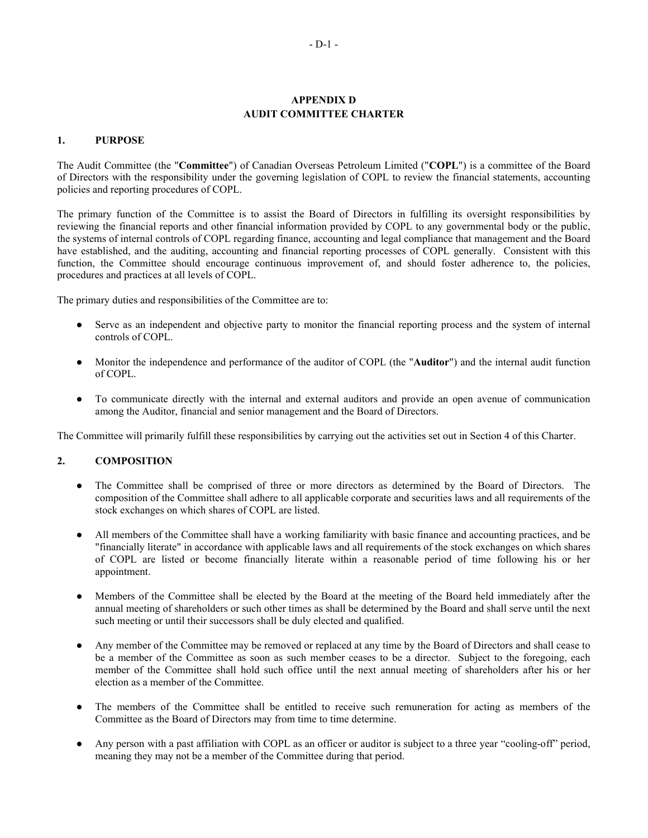## <span id="page-56-0"></span>**APPENDIX D AUDIT COMMITTEE CHARTER**

### **1. PURPOSE**

The Audit Committee (the "**Committee**") of Canadian Overseas Petroleum Limited ("**COPL**") is a committee of the Board of Directors with the responsibility under the governing legislation of COPL to review the financial statements, accounting policies and reporting procedures of COPL.

The primary function of the Committee is to assist the Board of Directors in fulfilling its oversight responsibilities by reviewing the financial reports and other financial information provided by COPL to any governmental body or the public, the systems of internal controls of COPL regarding finance, accounting and legal compliance that management and the Board have established, and the auditing, accounting and financial reporting processes of COPL generally. Consistent with this function, the Committee should encourage continuous improvement of, and should foster adherence to, the policies, procedures and practices at all levels of COPL.

The primary duties and responsibilities of the Committee are to:

- Serve as an independent and objective party to monitor the financial reporting process and the system of internal controls of COPL.
- Monitor the independence and performance of the auditor of COPL (the "**Auditor**") and the internal audit function of COPL.
- To communicate directly with the internal and external auditors and provide an open avenue of communication among the Auditor, financial and senior management and the Board of Directors.

The Committee will primarily fulfill these responsibilities by carrying out the activities set out in Section 4 of this Charter.

### **2. COMPOSITION**

- The Committee shall be comprised of three or more directors as determined by the Board of Directors. The composition of the Committee shall adhere to all applicable corporate and securities laws and all requirements of the stock exchanges on which shares of COPL are listed.
- All members of the Committee shall have a working familiarity with basic finance and accounting practices, and be "financially literate" in accordance with applicable laws and all requirements of the stock exchanges on which shares of COPL are listed or become financially literate within a reasonable period of time following his or her appointment.
- Members of the Committee shall be elected by the Board at the meeting of the Board held immediately after the annual meeting of shareholders or such other times as shall be determined by the Board and shall serve until the next such meeting or until their successors shall be duly elected and qualified.
- Any member of the Committee may be removed or replaced at any time by the Board of Directors and shall cease to be a member of the Committee as soon as such member ceases to be a director. Subject to the foregoing, each member of the Committee shall hold such office until the next annual meeting of shareholders after his or her election as a member of the Committee.
- The members of the Committee shall be entitled to receive such remuneration for acting as members of the Committee as the Board of Directors may from time to time determine.
- Any person with a past affiliation with COPL as an officer or auditor is subject to a three year "cooling-off" period, meaning they may not be a member of the Committee during that period.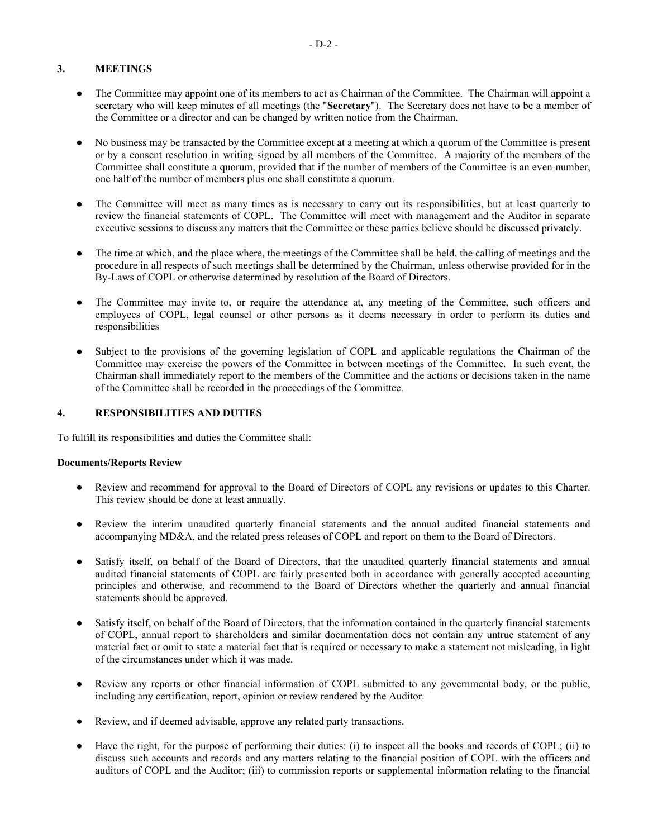- The Committee may appoint one of its members to act as Chairman of the Committee. The Chairman will appoint a secretary who will keep minutes of all meetings (the "**Secretary**"). The Secretary does not have to be a member of the Committee or a director and can be changed by written notice from the Chairman.
- No business may be transacted by the Committee except at a meeting at which a quorum of the Committee is present or by a consent resolution in writing signed by all members of the Committee. A majority of the members of the Committee shall constitute a quorum, provided that if the number of members of the Committee is an even number, one half of the number of members plus one shall constitute a quorum.
- The Committee will meet as many times as is necessary to carry out its responsibilities, but at least quarterly to review the financial statements of COPL. The Committee will meet with management and the Auditor in separate executive sessions to discuss any matters that the Committee or these parties believe should be discussed privately.
- The time at which, and the place where, the meetings of the Committee shall be held, the calling of meetings and the procedure in all respects of such meetings shall be determined by the Chairman, unless otherwise provided for in the By-Laws of COPL or otherwise determined by resolution of the Board of Directors.
- The Committee may invite to, or require the attendance at, any meeting of the Committee, such officers and employees of COPL, legal counsel or other persons as it deems necessary in order to perform its duties and responsibilities
- Subject to the provisions of the governing legislation of COPL and applicable regulations the Chairman of the Committee may exercise the powers of the Committee in between meetings of the Committee. In such event, the Chairman shall immediately report to the members of the Committee and the actions or decisions taken in the name of the Committee shall be recorded in the proceedings of the Committee.

## **4. RESPONSIBILITIES AND DUTIES**

To fulfill its responsibilities and duties the Committee shall:

### **Documents/Reports Review**

- Review and recommend for approval to the Board of Directors of COPL any revisions or updates to this Charter. This review should be done at least annually.
- Review the interim unaudited quarterly financial statements and the annual audited financial statements and accompanying MD&A, and the related press releases of COPL and report on them to the Board of Directors.
- Satisfy itself, on behalf of the Board of Directors, that the unaudited quarterly financial statements and annual audited financial statements of COPL are fairly presented both in accordance with generally accepted accounting principles and otherwise, and recommend to the Board of Directors whether the quarterly and annual financial statements should be approved.
- Satisfy itself, on behalf of the Board of Directors, that the information contained in the quarterly financial statements of COPL, annual report to shareholders and similar documentation does not contain any untrue statement of any material fact or omit to state a material fact that is required or necessary to make a statement not misleading, in light of the circumstances under which it was made.
- Review any reports or other financial information of COPL submitted to any governmental body, or the public, including any certification, report, opinion or review rendered by the Auditor.
- Review, and if deemed advisable, approve any related party transactions.
- Have the right, for the purpose of performing their duties: (i) to inspect all the books and records of COPL; (ii) to discuss such accounts and records and any matters relating to the financial position of COPL with the officers and auditors of COPL and the Auditor; (iii) to commission reports or supplemental information relating to the financial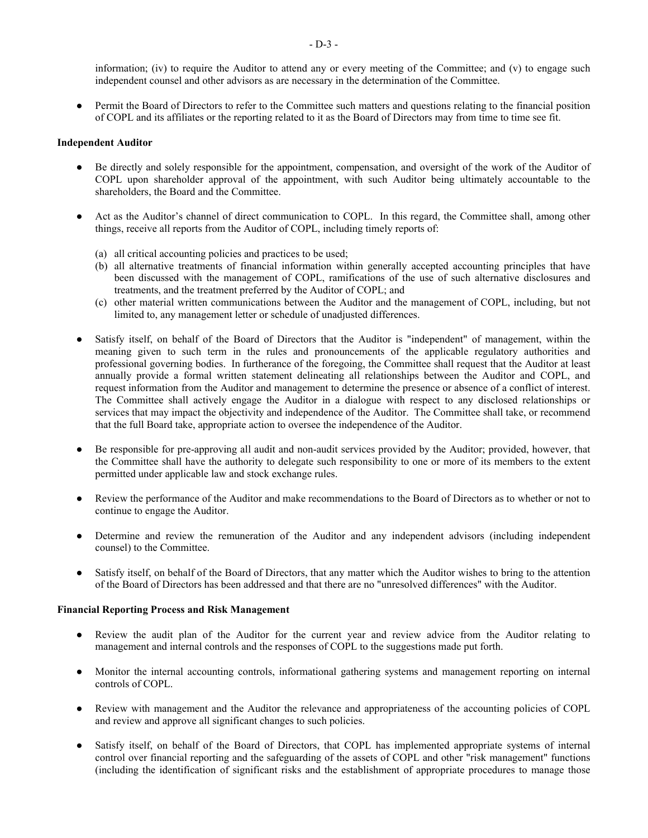information; (iv) to require the Auditor to attend any or every meeting of the Committee; and (v) to engage such independent counsel and other advisors as are necessary in the determination of the Committee.

Permit the Board of Directors to refer to the Committee such matters and questions relating to the financial position of COPL and its affiliates or the reporting related to it as the Board of Directors may from time to time see fit.

#### **Independent Auditor**

- Be directly and solely responsible for the appointment, compensation, and oversight of the work of the Auditor of COPL upon shareholder approval of the appointment, with such Auditor being ultimately accountable to the shareholders, the Board and the Committee.
- Act as the Auditor's channel of direct communication to COPL. In this regard, the Committee shall, among other things, receive all reports from the Auditor of COPL, including timely reports of:
	- (a) all critical accounting policies and practices to be used;
	- (b) all alternative treatments of financial information within generally accepted accounting principles that have been discussed with the management of COPL, ramifications of the use of such alternative disclosures and treatments, and the treatment preferred by the Auditor of COPL; and
	- (c) other material written communications between the Auditor and the management of COPL, including, but not limited to, any management letter or schedule of unadjusted differences.
- Satisfy itself, on behalf of the Board of Directors that the Auditor is "independent" of management, within the meaning given to such term in the rules and pronouncements of the applicable regulatory authorities and professional governing bodies. In furtherance of the foregoing, the Committee shall request that the Auditor at least annually provide a formal written statement delineating all relationships between the Auditor and COPL, and request information from the Auditor and management to determine the presence or absence of a conflict of interest. The Committee shall actively engage the Auditor in a dialogue with respect to any disclosed relationships or services that may impact the objectivity and independence of the Auditor. The Committee shall take, or recommend that the full Board take, appropriate action to oversee the independence of the Auditor.
- Be responsible for pre-approving all audit and non-audit services provided by the Auditor; provided, however, that the Committee shall have the authority to delegate such responsibility to one or more of its members to the extent permitted under applicable law and stock exchange rules.
- Review the performance of the Auditor and make recommendations to the Board of Directors as to whether or not to continue to engage the Auditor.
- Determine and review the remuneration of the Auditor and any independent advisors (including independent counsel) to the Committee.
- Satisfy itself, on behalf of the Board of Directors, that any matter which the Auditor wishes to bring to the attention of the Board of Directors has been addressed and that there are no "unresolved differences" with the Auditor.

### **Financial Reporting Process and Risk Management**

- Review the audit plan of the Auditor for the current year and review advice from the Auditor relating to management and internal controls and the responses of COPL to the suggestions made put forth.
- Monitor the internal accounting controls, informational gathering systems and management reporting on internal controls of COPL.
- Review with management and the Auditor the relevance and appropriateness of the accounting policies of COPL and review and approve all significant changes to such policies.
- Satisfy itself, on behalf of the Board of Directors, that COPL has implemented appropriate systems of internal control over financial reporting and the safeguarding of the assets of COPL and other "risk management" functions (including the identification of significant risks and the establishment of appropriate procedures to manage those